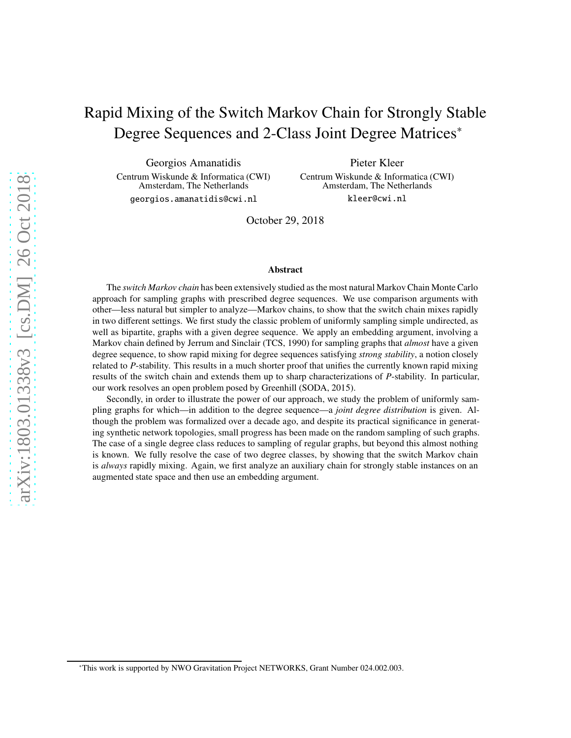# Rapid Mixing of the Switch Markov Chain for Strongly Stable Degree Sequences and 2-Class Joint Degree Matrices<sup>∗</sup>

Georgios Amanatidis Centrum Wiskunde & Informatica (CWI) Amsterdam, The Netherlands georgios.amanatidis@cwi.nl

Pieter Kleer Centrum Wiskunde & Informatica (CWI) Amsterdam, The Netherlands kleer@cwi.nl

October 29, 2018

#### Abstract

The *switch Markov chain* has been extensively studied as the most natural Markov Chain Monte Carlo approach for sampling graphs with prescribed degree sequences. We use comparison arguments with other—less natural but simpler to analyze—Markov chains, to show that the switch chain mixes rapidly in two different settings. We first study the classic problem of uniformly sampling simple undirected, as well as bipartite, graphs with a given degree sequence. We apply an embedding argument, involving a Markov chain defined by Jerrum and Sinclair (TCS, 1990) for sampling graphs that *almost* have a given degree sequence, to show rapid mixing for degree sequences satisfying *strong stability*, a notion closely related to *P*-stability. This results in a much shorter proof that unifies the currently known rapid mixing results of the switch chain and extends them up to sharp characterizations of *P*-stability. In particular, our work resolves an open problem posed by Greenhill (SODA, 2015).

Secondly, in order to illustrate the power of our approach, we study the problem of uniformly sampling graphs for which—in addition to the degree sequence—a *joint degree distribution* is given. Although the problem was formalized over a decade ago, and despite its practical significance in generating synthetic network topologies, small progress has been made on the random sampling of such graphs. The case of a single degree class reduces to sampling of regular graphs, but beyond this almost nothing is known. We fully resolve the case of two degree classes, by showing that the switch Markov chain is *always* rapidly mixing. Again, we first analyze an auxiliary chain for strongly stable instances on an augmented state space and then use an embedding argument.

<sup>∗</sup>This work is supported by NWO Gravitation Project NETWORKS, Grant Number 024.002.003.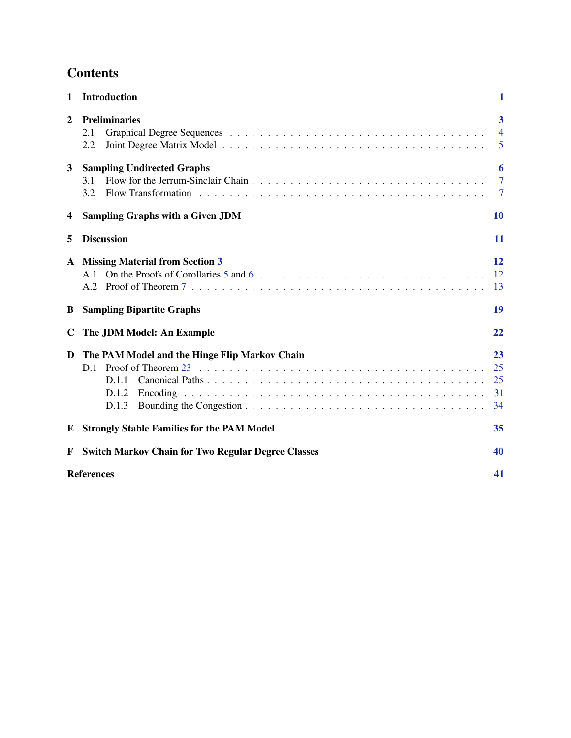# **Contents**

| $\mathbf{1}$   | <b>Introduction</b>                                                    | 1                             |
|----------------|------------------------------------------------------------------------|-------------------------------|
| $\overline{2}$ | <b>Preliminaries</b><br>2.1<br>2.2                                     | 3<br>$\overline{4}$<br>5      |
| 3              | <b>Sampling Undirected Graphs</b><br>3.1<br>3.2                        | 6<br>$\overline{7}$<br>$\tau$ |
| 4              | <b>Sampling Graphs with a Given JDM</b>                                | <b>10</b>                     |
| 5              | <b>Discussion</b>                                                      | 11                            |
|                | A Missing Material from Section 3<br>A.1<br>A.2                        | <b>12</b><br>12<br>13         |
| B              | <b>Sampling Bipartite Graphs</b>                                       | 19                            |
| C              | The JDM Model: An Example                                              | 22                            |
| D              | The PAM Model and the Hinge Flip Markov Chain<br>D.1<br>D.1.2<br>D.1.3 | 23<br>25<br>25<br>31<br>34    |
|                | <b>E</b> Strongly Stable Families for the PAM Model                    | 35                            |
| F              | <b>Switch Markov Chain for Two Regular Degree Classes</b>              | 40                            |
|                | <b>References</b>                                                      | 41                            |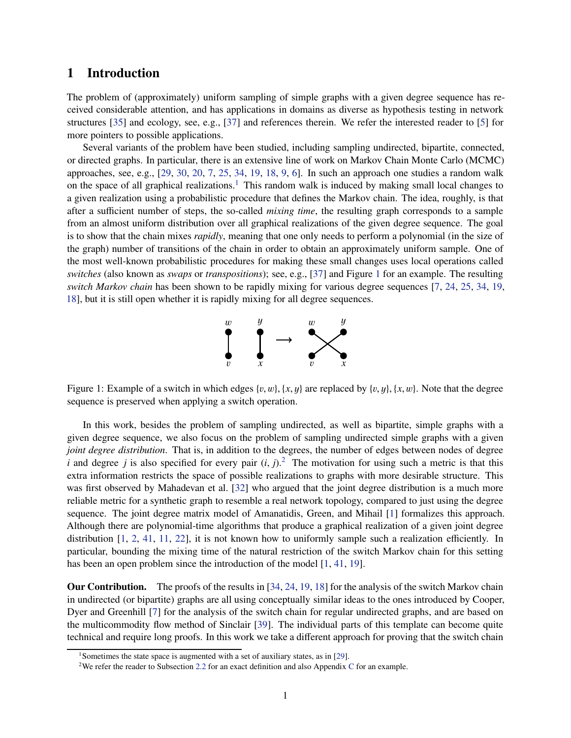# <span id="page-2-0"></span>1 Introduction

The problem of (approximately) uniform sampling of simple graphs with a given degree sequence has received considerable attention, and has applications in domains as diverse as hypothesis testing in network structures [\[35\]](#page-44-0) and ecology, see, e.g., [\[37\]](#page-44-1) and references therein. We refer the interested reader to [\[5\]](#page-42-0) for more pointers to possible applications.

Several variants of the problem have been studied, including sampling undirected, bipartite, connected, or directed graphs. In particular, there is an extensive line of work on Markov Chain Monte Carlo (MCMC) approaches, see, e.g., [\[29,](#page-44-2) [30,](#page-44-3) [20,](#page-43-0) [7,](#page-42-1) [25,](#page-43-1) [34,](#page-44-4) [19,](#page-43-2) [18,](#page-43-3) [9,](#page-42-2) [6\]](#page-42-3). In such an approach one studies a random walk on the space of all graphical realizations.<sup>[1](#page-2-1)</sup> This random walk is induced by making small local changes to a given realization using a probabilistic procedure that defines the Markov chain. The idea, roughly, is that after a sufficient number of steps, the so-called *mixing time*, the resulting graph corresponds to a sample from an almost uniform distribution over all graphical realizations of the given degree sequence. The goal is to show that the chain mixes *rapidly*, meaning that one only needs to perform a polynomial (in the size of the graph) number of transitions of the chain in order to obtain an approximately uniform sample. One of the most well-known probabilistic procedures for making these small changes uses local operations called *switches* (also known as *swaps* or *transpositions*); see, e.g., [\[37\]](#page-44-1) and Figure [1](#page-2-2) for an example. The resulting *switch Markov chain* has been shown to be rapidly mixing for various degree sequences [\[7,](#page-42-1) [24,](#page-43-4) [25,](#page-43-1) [34,](#page-44-4) [19,](#page-43-2) [18\]](#page-43-3), but it is still open whether it is rapidly mixing for all degree sequences.



<span id="page-2-2"></span>Figure 1: Example of a switch in which edges  $\{v, w\}$ ,  $\{x, y\}$  are replaced by  $\{v, y\}$ ,  $\{x, w\}$ . Note that the degree sequence is preserved when applying a switch operation.

In this work, besides the problem of sampling undirected, as well as bipartite, simple graphs with a given degree sequence, we also focus on the problem of sampling undirected simple graphs with a given *joint degree distribution*. That is, in addition to the degrees, the number of edges between nodes of degree *i* and degree *j* is also specified for every pair  $(i, j)$ .<sup>[2](#page-2-3)</sup> The motivation for using such a metric is that this extra information restricts the space of possible realizations to graphs with more desirable structure. This was first observed by Mahadevan et al. [\[32\]](#page-44-5) who argued that the joint degree distribution is a much more reliable metric for a synthetic graph to resemble a real network topology, compared to just using the degree sequence. The joint degree matrix model of Amanatidis, Green, and Mihail [\[1\]](#page-42-4) formalizes this approach. Although there are polynomial-time algorithms that produce a graphical realization of a given joint degree distribution [\[1,](#page-42-4) [2,](#page-42-5) [41,](#page-44-6) [11,](#page-43-5) [22\]](#page-43-6), it is not known how to uniformly sample such a realization efficiently. In particular, bounding the mixing time of the natural restriction of the switch Markov chain for this setting has been an open problem since the introduction of the model [\[1,](#page-42-4) [41,](#page-44-6) [19\]](#page-43-2).

Our Contribution. The proofs of the results in [\[34,](#page-44-4) [24,](#page-43-4) [19,](#page-43-2) [18\]](#page-43-3) for the analysis of the switch Markov chain in undirected (or bipartite) graphs are all using conceptually similar ideas to the ones introduced by Cooper, Dyer and Greenhill [\[7\]](#page-42-1) for the analysis of the switch chain for regular undirected graphs, and are based on the multicommodity flow method of Sinclair [\[39\]](#page-44-7). The individual parts of this template can become quite technical and require long proofs. In this work we take a different approach for proving that the switch chain

<sup>&</sup>lt;sup>1</sup>Sometimes the state space is augmented with a set of auxiliary states, as in [\[29\]](#page-44-2).

<span id="page-2-3"></span><span id="page-2-1"></span><sup>2</sup>We refer the reader to Subsection [2.2](#page-6-0) for an exact definition and also Appendix [C](#page-23-0) for an example.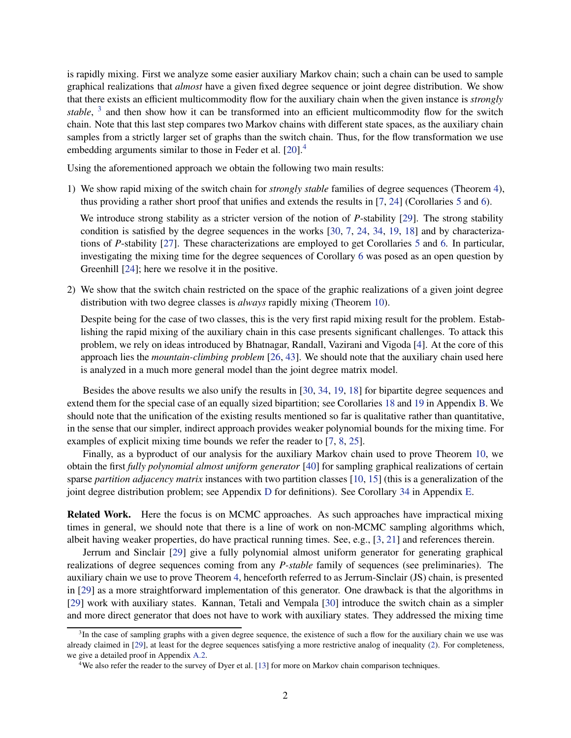is rapidly mixing. First we analyze some easier auxiliary Markov chain; such a chain can be used to sample graphical realizations that *almost* have a given fixed degree sequence or joint degree distribution. We show that there exists an efficient multicommodity flow for the auxiliary chain when the given instance is *strongly* stable, <sup>[3](#page-3-0)</sup> and then show how it can be transformed into an efficient multicommodity flow for the switch chain. Note that this last step compares two Markov chains with different state spaces, as the auxiliary chain samples from a strictly larger set of graphs than the switch chain. Thus, for the flow transformation we use embedding arguments similar to those in Feder et al. [\[20\]](#page-43-0).<sup>[4](#page-3-1)</sup>

Using the aforementioned approach we obtain the following two main results:

1) We show rapid mixing of the switch chain for *strongly stable* families of degree sequences (Theorem [4\)](#page-7-2), thus providing a rather short proof that unifies and extends the results in [\[7,](#page-42-1) [24\]](#page-43-4) (Corollaries [5](#page-7-1) and [6\)](#page-8-2).

We introduce strong stability as a stricter version of the notion of *P*-stability [\[29\]](#page-44-2). The strong stability condition is satisfied by the degree sequences in the works  $[30, 7, 24, 34, 19, 18]$  $[30, 7, 24, 34, 19, 18]$  $[30, 7, 24, 34, 19, 18]$  $[30, 7, 24, 34, 19, 18]$  $[30, 7, 24, 34, 19, 18]$  $[30, 7, 24, 34, 19, 18]$  $[30, 7, 24, 34, 19, 18]$  $[30, 7, 24, 34, 19, 18]$  $[30, 7, 24, 34, 19, 18]$  $[30, 7, 24, 34, 19, 18]$  and by characterizations of *P*-stability [\[27\]](#page-44-8). These characterizations are employed to get Corollaries [5](#page-7-1) and [6.](#page-8-2) In particular, investigating the mixing time for the degree sequences of Corollary [6](#page-8-2) was posed as an open question by Greenhill [\[24\]](#page-43-4); here we resolve it in the positive.

2) We show that the switch chain restricted on the space of the graphic realizations of a given joint degree distribution with two degree classes is *always* rapidly mixing (Theorem [10\)](#page-11-1).

Despite being for the case of two classes, this is the very first rapid mixing result for the problem. Establishing the rapid mixing of the auxiliary chain in this case presents significant challenges. To attack this problem, we rely on ideas introduced by Bhatnagar, Randall, Vazirani and Vigoda [\[4\]](#page-42-6). At the core of this approach lies the *mountain-climbing problem* [\[26,](#page-44-9) [43\]](#page-45-0). We should note that the auxiliary chain used here is analyzed in a much more general model than the joint degree matrix model.

Besides the above results we also unify the results in [\[30,](#page-44-3) [34,](#page-44-4) [19,](#page-43-2) [18\]](#page-43-3) for bipartite degree sequences and extend them for the special case of an equally sized bipartition; see Corollaries [18](#page-20-1) and [19](#page-22-0) in Appendix [B.](#page-20-0) We should note that the unification of the existing results mentioned so far is qualitative rather than quantitative, in the sense that our simpler, indirect approach provides weaker polynomial bounds for the mixing time. For examples of explicit mixing time bounds we refer the reader to [\[7,](#page-42-1) [8,](#page-42-7) [25\]](#page-43-1).

Finally, as a byproduct of our analysis for the auxiliary Markov chain used to prove Theorem [10,](#page-11-1) we obtain the first *fully polynomial almost uniform generator* [\[40\]](#page-44-10) for sampling graphical realizations of certain sparse *partition adjacency matrix* instances with two partition classes [\[10,](#page-43-7) [15\]](#page-43-8) (this is a generalization of the joint degree distribution problem; see Appendix [D](#page-24-0) for definitions). See Corollary [34](#page-41-2) in Appendix [E.](#page-36-0)

Related Work. Here the focus is on MCMC approaches. As such approaches have impractical mixing times in general, we should note that there is a line of work on non-MCMC sampling algorithms which, albeit having weaker properties, do have practical running times. See, e.g., [\[3,](#page-42-8) [21\]](#page-43-9) and references therein.

Jerrum and Sinclair [\[29\]](#page-44-2) give a fully polynomial almost uniform generator for generating graphical realizations of degree sequences coming from any *P-stable* family of sequences (see preliminaries). The auxiliary chain we use to prove Theorem [4,](#page-7-2) henceforth referred to as Jerrum-Sinclair (JS) chain, is presented in [\[29\]](#page-44-2) as a more straightforward implementation of this generator. One drawback is that the algorithms in [\[29\]](#page-44-2) work with auxiliary states. Kannan, Tetali and Vempala [\[30\]](#page-44-3) introduce the switch chain as a simpler and more direct generator that does not have to work with auxiliary states. They addressed the mixing time

<span id="page-3-0"></span><sup>&</sup>lt;sup>3</sup>In the case of sampling graphs with a given degree sequence, the existence of such a flow for the auxiliary chain we use was already claimed in [\[29\]](#page-44-2), at least for the degree sequences satisfying a more restrictive analog of inequality [\(2\)](#page-7-3). For completeness, we give a detailed proof in Appendix [A.2.](#page-14-0)

<span id="page-3-1"></span><sup>4</sup>We also refer the reader to the survey of Dyer et al. [\[13\]](#page-43-10) for more on Markov chain comparison techniques.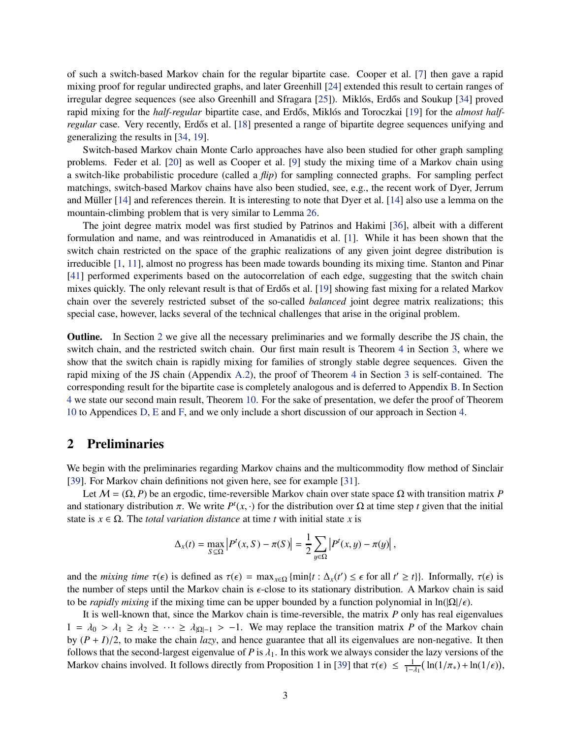of such a switch-based Markov chain for the regular bipartite case. Cooper et al. [\[7\]](#page-42-1) then gave a rapid mixing proof for regular undirected graphs, and later Greenhill [\[24\]](#page-43-4) extended this result to certain ranges of irregular degree sequences (see also Greenhill and Sfragara  $[25]$ ). Miklós, Erdős and Soukup  $[34]$  proved rapid mixing for the *half-regular* bipartite case, and Erdős, Miklós and Toroczkai [\[19\]](#page-43-2) for the *almost halfregular* case. Very recently, Erdős et al. [\[18\]](#page-43-3) presented a range of bipartite degree sequences unifying and generalizing the results in [\[34,](#page-44-4) [19\]](#page-43-2).

Switch-based Markov chain Monte Carlo approaches have also been studied for other graph sampling problems. Feder et al. [\[20\]](#page-43-0) as well as Cooper et al. [\[9\]](#page-42-2) study the mixing time of a Markov chain using a switch-like probabilistic procedure (called a *flip*) for sampling connected graphs. For sampling perfect matchings, switch-based Markov chains have also been studied, see, e.g., the recent work of Dyer, Jerrum and Müller  $[14]$  and references therein. It is interesting to note that Dyer et al.  $[14]$  also use a lemma on the mountain-climbing problem that is very similar to Lemma [26.](#page-29-0)

The joint degree matrix model was first studied by Patrinos and Hakimi [\[36\]](#page-44-11), albeit with a different formulation and name, and was reintroduced in Amanatidis et al. [\[1\]](#page-42-4). While it has been shown that the switch chain restricted on the space of the graphic realizations of any given joint degree distribution is irreducible [\[1,](#page-42-4) [11\]](#page-43-5), almost no progress has been made towards bounding its mixing time. Stanton and Pinar [\[41\]](#page-44-6) performed experiments based on the autocorrelation of each edge, suggesting that the switch chain mixes quickly. The only relevant result is that of Erdős et al. [\[19\]](#page-43-2) showing fast mixing for a related Markov chain over the severely restricted subset of the so-called *balanced* joint degree matrix realizations; this special case, however, lacks several of the technical challenges that arise in the original problem.

Outline. In Section [2](#page-4-0) we give all the necessary preliminaries and we formally describe the JS chain, the switch chain, and the restricted switch chain. Our first main result is Theorem [4](#page-7-2) in Section [3,](#page-7-0) where we show that the switch chain is rapidly mixing for families of strongly stable degree sequences. Given the rapid mixing of the JS chain (Appendix [A.2\)](#page-14-0), the proof of Theorem [4](#page-7-2) in Section [3](#page-7-0) is self-contained. The corresponding result for the bipartite case is completely analogous and is deferred to Appendix [B.](#page-20-0) In Section [4](#page-11-0) we state our second main result, Theorem [10.](#page-11-1) For the sake of presentation, we defer the proof of Theorem [10](#page-11-1) to Appendices [D,](#page-24-0) [E](#page-36-0) and [F,](#page-41-0) and we only include a short discussion of our approach in Section [4.](#page-11-0)

## <span id="page-4-0"></span>2 Preliminaries

We begin with the preliminaries regarding Markov chains and the multicommodity flow method of Sinclair [\[39\]](#page-44-7). For Markov chain definitions not given here, see for example [\[31\]](#page-44-12).

Let  $M = (\Omega, P)$  be an ergodic, time-reversible Markov chain over state space  $\Omega$  with transition matrix *P* and stationary distribution  $\pi$ . We write  $P^t(x, \cdot)$  for the distribution over  $\Omega$  at time step *t* given that the initial state is  $x \in \Omega$ . The *total variation distance* at time *t* with initial state *x* is

$$
\Delta_x(t) = \max_{S \subseteq \Omega} \left| P^t(x, S) - \pi(S) \right| = \frac{1}{2} \sum_{y \in \Omega} \left| P^t(x, y) - \pi(y) \right|,
$$

and the *mixing time*  $\tau(\epsilon)$  is defined as  $\tau(\epsilon) = \max_{x \in \Omega} {\min\{t : \Delta_x(t') \le \epsilon \text{ for all } t' \ge t\}}$ . Informally,  $\tau(\epsilon)$  is the number of steps until the Markov chain is  $\epsilon$ -close to its stationary distribution. A Markov chain is said to be *rapidly mixing* if the mixing time can be upper bounded by a function polynomial in ln( $|\Omega|/\epsilon$ ).

It is well-known that, since the Markov chain is time-reversible, the matrix *P* only has real eigenvalues  $1 = \lambda_0 > \lambda_1 \ge \lambda_2 \ge \cdots \ge \lambda_{|\Omega|-1} > -1$ . We may replace the transition matrix *P* of the Markov chain by  $(P + I)/2$ , to make the chain *lazy*, and hence guarantee that all its eigenvalues are non-negative. It then follows that the second-largest eigenvalue of *P* is  $\lambda_1$ . In this work we always consider the lazy versions of the Markov chains involved. It follows directly from Proposition 1 in [\[39\]](#page-44-7) that  $\tau(\epsilon) \leq \frac{1}{1-\lambda_1}(\ln(1/\pi_*) + \ln(1/\epsilon)),$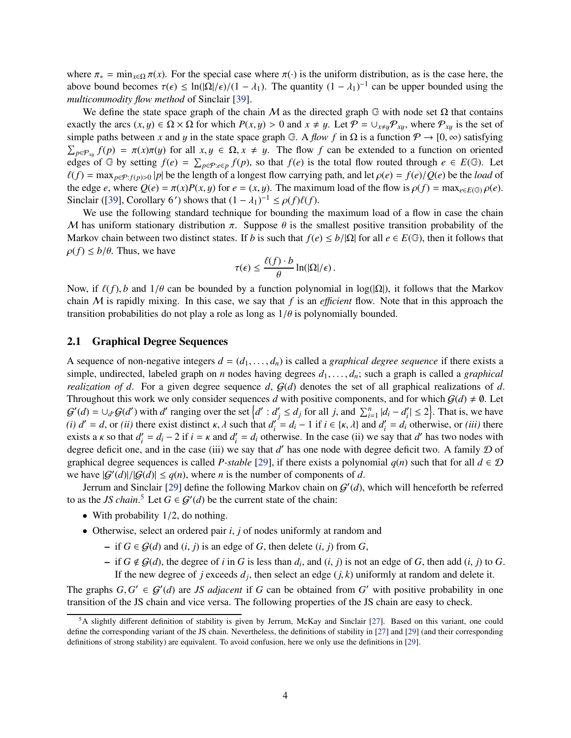where  $\pi_* = \min_{x \in \Omega} \pi(x)$ . For the special case where  $\pi(\cdot)$  is the uniform distribution, as is the case here, the above bound becomes  $\tau(\epsilon) \leq \ln(|\Omega|/\epsilon)/(1 - \lambda_1)$ . The quantity  $(1 - \lambda_1)^{-1}$  can be upper bounded using the *multicommodity flow method* of Sinclair [\[39\]](#page-44-7).

We define the state space graph of the chain M as the directed graph  $\mathbb G$  with node set  $\Omega$  that contains exactly the arcs  $(x, y) \in \Omega \times \Omega$  for which  $P(x, y) > 0$  and  $x \neq y$ . Let  $P = \cup_{x \neq y} P_{xy}$ , where  $P_{xy}$  is the set of simple paths between *x* and *y* in the state space graph G. A *flow f* in  $\Omega$  is a function  $P \to [0, \infty)$  satisfying  $\sum_{p \in \mathcal{P}_{xy}} f(p) = \pi(x)\pi(y)$  for all  $x, y \in \Omega, x \neq y$ . The flow *f* can be extended to a function on oriented edges of G by setting  $f(e) = \sum_{p \in P: e \in p} f(p)$ , so that  $f(e)$  is the total flow routed through  $e \in E(\mathbb{G})$ . Let  $\ell(f) = \max_{p \in \mathcal{P}: f(p) > 0} |p|$  be the length of a longest flow carrying path, and let  $\rho(e) = f(e)/Q(e)$  be the *load* of the edge *e*, where  $Q(e) = \pi(x)P(x, y)$  for  $e = (x, y)$ . The maximum load of the flow is  $\rho(f) = \max_{e \in E(G)} \rho(e)$ . Sinclair ([\[39\]](#page-44-7), Corollary 6') shows that  $(1 - \lambda_1)^{-1} \le \rho(f)\ell(f)$ .

We use the following standard technique for bounding the maximum load of a flow in case the chain M has uniform stationary distribution  $\pi$ . Suppose  $\theta$  is the smallest positive transition probability of the Markov chain between two distinct states. If *b* is such that  $f(e) \le b/|\Omega|$  for all  $e \in E(\mathbb{G})$ , then it follows that  $\rho(f) \le b/\theta$ . Thus, we have

$$
\tau(\epsilon) \leq \frac{\ell(f) \cdot b}{\theta} \ln(|\Omega|/\epsilon).
$$

Now, if  $\ell(f)$ , *b* and  $1/\theta$  can be bounded by a function polynomial in log( $|\Omega|$ ), it follows that the Markov chain M is rapidly mixing. In this case, we say that  $f$  is an *efficient* flow. Note that in this approach the transition probabilities do not play a role as long as  $1/\theta$  is polynomially bounded.

## <span id="page-5-0"></span>2.1 Graphical Degree Sequences

A sequence of non-negative integers  $d = (d_1, \ldots, d_n)$  is called a *graphical degree sequence* if there exists a simple, undirected, labeled graph on *n* nodes having degrees  $d_1, \ldots, d_n$ ; such a graph is called a *graphical realization of d*. For a given degree sequence *d*,  $G(d)$  denotes the set of all graphical realizations of *d*. Throughout this work we only consider sequences *d* with positive components, and for which  $G(d) \neq \emptyset$ . Let  $G'(d) = \bigcup_{d'} G(d')$  with d' ranging over the set  $\left\{d' : d'_{j} \leq d_{j} \text{ for all } j, \text{ and } \sum_{i=1}^{n} |d_{i} - d'_{i}| \leq 2\right\}$ . That is, we have *(i)*  $d' = d$ , or *(ii)* there exist distinct  $\kappa$ ,  $\lambda$  such that  $d'_i = d_i - 1$  if  $i \in {\kappa}$ ,  $\lambda$  and  $d'_i = d_i$  otherwise, or *(iii)* there exists a  $\kappa$  so that  $d'_i = d_i - 2$  if  $i = \kappa$  and  $d'_i = d_i$  otherwise. In the case (ii) we say that  $d'$  has two nodes with degree deficit one, and in the case (iii) we say that  $d'$  has one node with degree deficit two. A family  $D$  of graphical degree sequences is called *P-stable* [\[29\]](#page-44-2), if there exists a polynomial  $q(n)$  such that for all  $d \in \mathcal{D}$ we have  $|G'(d)|/|G(d)| \le q(n)$ , where *n* is the number of components of *d*.

Jerrum and Sinclair [\[29\]](#page-44-2) define the following Markov chain on  $G'(d)$ , which will henceforth be referred to as the *JS chain*.<sup>[5](#page-5-1)</sup> Let  $G \in \mathcal{G}'(d)$  be the current state of the chain:

- With probability  $1/2$ , do nothing.
- Otherwise, select an ordered pair *i*, *j* of nodes uniformly at random and
	- $−$  if *G* ∈ *G*(*d*) and (*i*, *j*) is an edge of *G*, then delete (*i*, *j*) from *G*,
	- $-$  if  $G \notin \mathcal{G}(d)$ , the degree of *i* in *G* is less than  $d_i$ , and  $(i, j)$  is not an edge of *G*, then add  $(i, j)$  to *G*. If the new degree of *j* exceeds  $d_j$ , then select an edge  $(j, k)$  uniformly at random and delete it.

The graphs  $G, G' \in \mathcal{G}'(d)$  are *JS adjacent* if *G* can be obtained from *G'* with positive probability in one transition of the JS chain and vice versa. The following properties of the JS chain are easy to check.

<span id="page-5-1"></span><sup>5</sup>A slightly different definition of stability is given by Jerrum, McKay and Sinclair [\[27\]](#page-44-8). Based on this variant, one could define the corresponding variant of the JS chain. Nevertheless, the definitions of stability in [\[27\]](#page-44-8) and [\[29\]](#page-44-2) (and their corresponding definitions of strong stability) are equivalent. To avoid confusion, here we only use the definitions in [\[29\]](#page-44-2).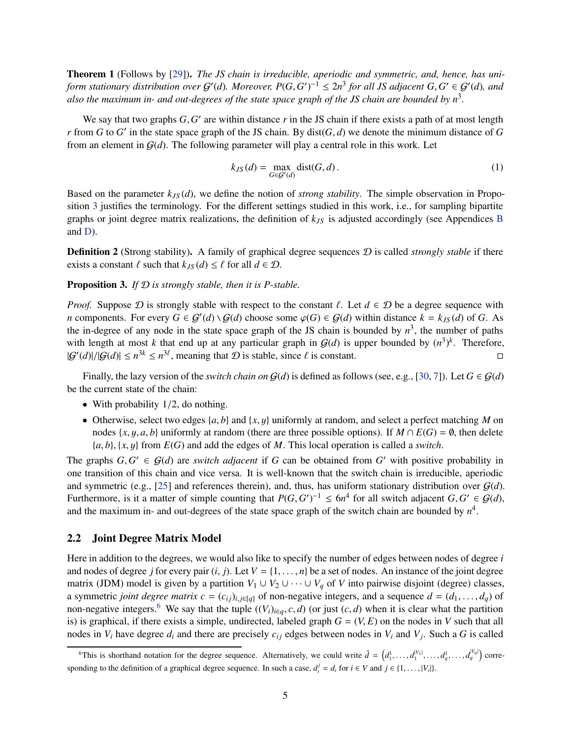Theorem 1 (Follows by [\[29\]](#page-44-2)). *The JS chain is irreducible, aperiodic and symmetric, and, hence, has uniform stationary distribution over*  $G'(d)$ *. Moreover,*  $P(G, G')^{-1} \le 2n^3$  *for all JS adjacent*  $G, G' \in G'(d)$ *, and also the maximum in- and out-degrees of the state space graph of the JS chain are bounded by n*<sup>3</sup> *.*

We say that two graphs *G*, *G'* are within distance *r* in the JS chain if there exists a path of at most length *r* from *G* to *G*' in the state space graph of the JS chain. By dist( $G$ ,  $d$ ) we denote the minimum distance of  $G$ from an element in  $G(d)$ . The following parameter will play a central role in this work. Let

<span id="page-6-4"></span>
$$
k_{JS}(d) = \max_{G \in \mathcal{G}'(d)} \text{dist}(G, d). \tag{1}
$$

Based on the parameter  $k_{JS}(d)$ , we define the notion of *strong stability*. The simple observation in Proposition [3](#page-6-1) justifies the terminology. For the different settings studied in this work, i.e., for sampling bipartite graphs or joint degree matrix realizations, the definition of *kJS* is adjusted accordingly (see Appendices [B](#page-20-0) and [D\)](#page-24-0).

<span id="page-6-3"></span>Definition 2 (Strong stability). A family of graphical degree sequences D is called *strongly stable* if there exists a constant  $\ell$  such that  $k_{JS}(d) \leq \ell$  for all  $d \in \mathcal{D}$ .

## <span id="page-6-1"></span>Proposition 3. *If* D *is strongly stable, then it is P-stable.*

*Proof.* Suppose  $D$  is strongly stable with respect to the constant  $\ell$ . Let  $d \in D$  be a degree sequence with *n* components. For every  $G \in \mathcal{G}'(d) \setminus \mathcal{G}(d)$  choose some  $\varphi(G) \in \mathcal{G}(d)$  within distance  $k = k_{JS}(d)$  of *G*. As the in-degree of any node in the state space graph of the JS chain is bounded by  $n^3$ , the number of paths with length at most *k* that end up at any particular graph in  $\mathcal{G}(d)$  is upper bounded by  $(n^3)^k$ . Therefore,  $|G'(d)|/|G(d)| \le n^{3k} \le n^{3\ell}$ , meaning that  $D$  is stable, since  $\ell$  is constant.

Finally, the lazy version of the *switch chain on*  $G(d)$  is defined as follows (see, e.g., [\[30,](#page-44-3) [7\]](#page-42-1)). Let  $G \in G(d)$ be the current state of the chain:

- With probability  $1/2$ , do nothing.
- Otherwise, select two edges  $\{a, b\}$  and  $\{x, y\}$  uniformly at random, and select a perfect matching *M* on nodes  $\{x, y, a, b\}$  uniformly at random (there are three possible options). If  $M \cap E(G) = \emptyset$ , then delete {*a*, *b*}, {*x*, y} from *E*(*G*) and add the edges of *M*. This local operation is called a *switch*.

The graphs  $G, G' \in \mathcal{G}(d)$  are *switch adjacent* if *G* can be obtained from *G'* with positive probability in one transition of this chain and vice versa. It is well-known that the switch chain is irreducible, aperiodic and symmetric (e.g., [\[25\]](#page-43-1) and references therein), and, thus, has uniform stationary distribution over  $G(d)$ . Furthermore, is it a matter of simple counting that  $P(G, G')^{-1} \le 6n^4$  for all switch adjacent  $G, G' \in \mathcal{G}(d)$ , and the maximum in- and out-degrees of the state space graph of the switch chain are bounded by  $n<sup>4</sup>$ .

## <span id="page-6-0"></span>2.2 Joint Degree Matrix Model

Here in addition to the degrees, we would also like to specify the number of edges between nodes of degree *i* and nodes of degree *j* for every pair  $(i, j)$ . Let  $V = \{1, \ldots, n\}$  be a set of nodes. An instance of the joint degree matrix (JDM) model is given by a partition  $V_1 \cup V_2 \cup \cdots \cup V_q$  of *V* into pairwise disjoint (degree) classes, a symmetric *joint degree matrix c* =  $(c_{ij})_{i,j \in [q]}$  of non-negative integers, and a sequence  $d = (d_1, \ldots, d_q)$  of non-negative integers.<sup>[6](#page-6-2)</sup> We say that the tuple  $((V_i)_{i \in q}, c, d)$  (or just  $(c, d)$  when it is clear what the partition is) is graphical, if there exists a simple, undirected, labeled graph  $G = (V, E)$  on the nodes in *V* such that all nodes in  $V_i$  have degree  $d_i$  and there are precisely  $c_{ij}$  edges between nodes in  $V_i$  and  $V_j$ . Such a G is called

<span id="page-6-2"></span><sup>&</sup>lt;sup>6</sup>This is shorthand notation for the degree sequence. Alternatively, we could write  $\hat{d} = (d_1^1, \ldots, d_1^{|V_1|}, \ldots, d_q^1, \ldots, d_q^{|V_q|})$  corresponding to the definition of a graphical degree sequence. In such a case,  $d_i^j = d_i$  for  $i \in V$  and  $j \in \{1, ..., |V_i|\}$ .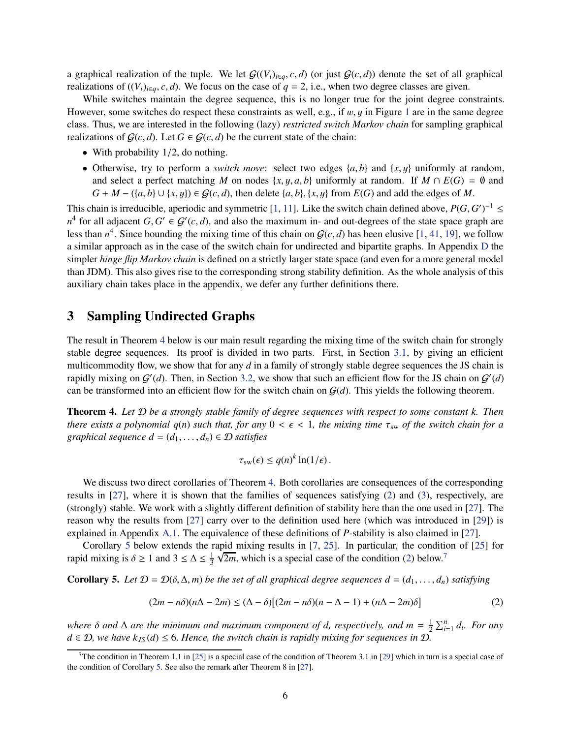a graphical realization of the tuple. We let  $G((V_i)_{i\in q}, c, d)$  (or just  $G(c, d)$ ) denote the set of all graphical realizations of  $((V_i)_{i \in q}, c, d)$ . We focus on the case of  $q = 2$ , i.e., when two degree classes are given.

While switches maintain the degree sequence, this is no longer true for the joint degree constraints. However, some switches do respect these constraints as well, e.g., if  $w, y$  in Figure [1](#page-2-2) are in the same degree class. Thus, we are interested in the following (lazy) *restricted switch Markov chain* for sampling graphical realizations of  $G(c, d)$ . Let  $G \in G(c, d)$  be the current state of the chain:

- With probability  $1/2$ , do nothing.
- Otherwise, try to perform a *switch move*: select two edges  $\{a, b\}$  and  $\{x, y\}$  uniformly at random, and select a perfect matching *M* on nodes  $\{x, y, a, b\}$  uniformly at random. If  $M \cap E(G) = \emptyset$  and  $G + M - (\{a, b\} \cup \{x, y\}) \in \mathcal{G}(c, d)$ , then delete  $\{a, b\}$ ,  $\{x, y\}$  from  $E(G)$  and add the edges of M.

This chain is irreducible, aperiodic and symmetric [\[1,](#page-42-4) [11\]](#page-43-5). Like the switch chain defined above,  $P(G, G')^{-1} \le$  $n^4$  for all adjacent *G*,  $G' \in \mathcal{G}'(c,d)$ , and also the maximum in- and out-degrees of the state space graph are less than  $n^4$ . Since bounding the mixing time of this chain on  $\mathcal{G}(c,d)$  has been elusive [\[1,](#page-42-4) [41,](#page-44-6) [19\]](#page-43-2), we follow a similar approach as in the case of the switch chain for undirected and bipartite graphs. In Appendix [D](#page-24-0) the simpler *hinge flip Markov chain* is defined on a strictly larger state space (and even for a more general model than JDM). This also gives rise to the corresponding strong stability definition. As the whole analysis of this auxiliary chain takes place in the appendix, we defer any further definitions there.

## <span id="page-7-0"></span>3 Sampling Undirected Graphs

The result in Theorem [4](#page-7-2) below is our main result regarding the mixing time of the switch chain for strongly stable degree sequences. Its proof is divided in two parts. First, in Section [3.1,](#page-8-0) by giving an efficient multicommodity flow, we show that for any *d* in a family of strongly stable degree sequences the JS chain is rapidly mixing on  $G'(d)$ . Then, in Section [3.2,](#page-8-1) we show that such an efficient flow for the JS chain on  $G'(d)$ can be transformed into an efficient flow for the switch chain on  $G(d)$ . This yields the following theorem.

<span id="page-7-2"></span>Theorem 4. *Let* D *be a strongly stable family of degree sequences with respect to some constant k. Then there exists a polynomial q(n) such that, for any*  $0 < \epsilon < 1$ *, the mixing time*  $\tau_{sw}$  *of the switch chain for a graphical sequence*  $d = (d_1, \ldots, d_n) \in \mathcal{D}$  *satisfies* 

$$
\tau_{sw}(\epsilon) \le q(n)^k \ln(1/\epsilon).
$$

We discuss two direct corollaries of Theorem [4.](#page-7-2) Both corollaries are consequences of the corresponding results in [\[27\]](#page-44-8), where it is shown that the families of sequences satisfying [\(2\)](#page-7-3) and [\(3\)](#page-8-4), respectively, are (strongly) stable. We work with a slightly different definition of stability here than the one used in [\[27\]](#page-44-8). The reason why the results from [\[27\]](#page-44-8) carry over to the definition used here (which was introduced in [\[29\]](#page-44-2)) is explained in Appendix [A.1.](#page-13-1) The equivalence of these definitions of *P*-stability is also claimed in [\[27\]](#page-44-8).

Corollary [5](#page-7-1) below extends the rapid mixing results in [\[7,](#page-42-1) [25\]](#page-43-1). In particular, the condition of [\[25\]](#page-43-1) for rapid mixing is  $\delta \ge 1$  and  $3 \le \Delta \le \frac{1}{3}$ 3  $\sqrt{2m}$ , which is a special case of the condition [\(2\)](#page-7-3) below.<sup>[7](#page-7-4)</sup>

<span id="page-7-1"></span>Corollary 5. Let  $D = D(\delta, \Delta, m)$  be the set of all graphical degree sequences  $d = (d_1, \ldots, d_n)$  satisfying

<span id="page-7-3"></span>
$$
(2m - n\delta)(n\Delta - 2m) \le (\Delta - \delta)[(2m - n\delta)(n - \Delta - 1) + (n\Delta - 2m)\delta]
$$
 (2)

*where*  $\delta$  *and*  $\Delta$  *are the minimum and maximum component of d, respectively, and m* =  $\frac{1}{2}$  $\frac{1}{2} \sum_{i=1}^{n} d_i$ *. For any d* ∈  $D$ *, we have k<sub><i>JS*</sub> (*d*) ≤ 6. *Hence, the switch chain is rapidly mixing for sequences in*  $D$ *.* 

<span id="page-7-4"></span>The condition in Theorem 1.1 in [\[25\]](#page-43-1) is a special case of the condition of Theorem 3.1 in [\[29\]](#page-44-2) which in turn is a special case of the condition of Corollary [5.](#page-7-1) See also the remark after Theorem 8 in [\[27\]](#page-44-8).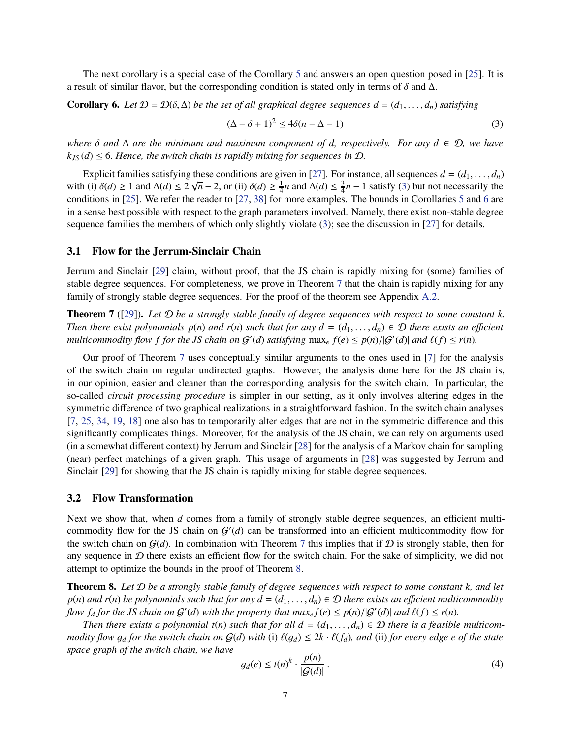The next corollary is a special case of the Corollary [5](#page-7-1) and answers an open question posed in [\[25\]](#page-43-1). It is a result of similar flavor, but the corresponding condition is stated only in terms of  $\delta$  and  $\Delta$ .

<span id="page-8-2"></span>**Corollary 6.** Let  $\mathcal{D} = \mathcal{D}(\delta, \Delta)$  be the set of all graphical degree sequences  $d = (d_1, \ldots, d_n)$  satisfying

<span id="page-8-4"></span>
$$
(\Delta - \delta + 1)^2 \le 4\delta(n - \Delta - 1)
$$
\n(3)

*where*  $\delta$  *and*  $\Delta$  *are the minimum and maximum component of d, respectively. For any*  $d \in D$ *, we have*  $k_{JS}(d) \leq 6$ . Hence, the switch chain is rapidly mixing for sequences in  $D$ .

Explicit families satisfying these conditions are given in [\[27\]](#page-44-8). For instance, all sequences  $d = (d_1, \ldots, d_n)$ with (i)  $\delta(d) \ge 1$  and  $\Delta(d) \le 2\sqrt{n} - 2$ , or (ii)  $\delta(d) \ge \frac{1}{4}$  $\frac{1}{4}n$  and  $\Delta(d) \leq \frac{3}{4}$  $\frac{3}{4}n - 1$  satisfy [\(3\)](#page-8-4) but not necessarily the conditions in [\[25\]](#page-43-1). We refer the reader to [\[27,](#page-44-8) [38\]](#page-44-13) for more examples. The bounds in Corollaries [5](#page-7-1) and [6](#page-8-2) are in a sense best possible with respect to the graph parameters involved. Namely, there exist non-stable degree sequence families the members of which only slightly violate [\(3\)](#page-8-4); see the discussion in [\[27\]](#page-44-8) for details.

## <span id="page-8-0"></span>3.1 Flow for the Jerrum-Sinclair Chain

Jerrum and Sinclair [\[29\]](#page-44-2) claim, without proof, that the JS chain is rapidly mixing for (some) families of stable degree sequences. For completeness, we prove in Theorem [7](#page-8-3) that the chain is rapidly mixing for any family of strongly stable degree sequences. For the proof of the theorem see Appendix [A.2.](#page-14-0)

<span id="page-8-3"></span>Theorem 7 ([\[29\]](#page-44-2)). *Let* D *be a strongly stable family of degree sequences with respect to some constant k. Then there exist polynomials*  $p(n)$  *and*  $r(n)$  *such that for any*  $d = (d_1, \ldots, d_n) \in \mathcal{D}$  *there exists an efficient multicommodity flow f for the JS chain on*  $G'(d)$  *satisfying*  $\max_e f(e) \leq p(n)/|G'(d)|$  *and*  $\ell(f) \leq r(n)$ *.* 

Our proof of Theorem [7](#page-8-3) uses conceptually similar arguments to the ones used in [\[7\]](#page-42-1) for the analysis of the switch chain on regular undirected graphs. However, the analysis done here for the JS chain is, in our opinion, easier and cleaner than the corresponding analysis for the switch chain. In particular, the so-called *circuit processing procedure* is simpler in our setting, as it only involves altering edges in the symmetric difference of two graphical realizations in a straightforward fashion. In the switch chain analyses [\[7,](#page-42-1) [25,](#page-43-1) [34,](#page-44-4) [19,](#page-43-2) [18\]](#page-43-3) one also has to temporarily alter edges that are not in the symmetric difference and this significantly complicates things. Moreover, for the analysis of the JS chain, we can rely on arguments used (in a somewhat different context) by Jerrum and Sinclair [\[28\]](#page-44-14) for the analysis of a Markov chain for sampling (near) perfect matchings of a given graph. This usage of arguments in [\[28\]](#page-44-14) was suggested by Jerrum and Sinclair [\[29\]](#page-44-2) for showing that the JS chain is rapidly mixing for stable degree sequences.

## <span id="page-8-1"></span>3.2 Flow Transformation

Next we show that, when *d* comes from a family of strongly stable degree sequences, an efficient multicommodity flow for the JS chain on  $G'(d)$  can be transformed into an efficient multicommodity flow for the switch chain on  $G(d)$ . In combination with Theorem [7](#page-8-3) this implies that if D is strongly stable, then for any sequence in  $D$  there exists an efficient flow for the switch chain. For the sake of simplicity, we did not attempt to optimize the bounds in the proof of Theorem [8.](#page-8-5)

<span id="page-8-5"></span>Theorem 8. *Let* D *be a strongly stable family of degree sequences with respect to some constant k, and let*  $p(n)$  *and r*(*n*) *be polynomials such that for any*  $d = (d_1, \ldots, d_n) \in \mathcal{D}$  *<i>there exists an efficient multicommodity flow*  $f_d$  *for the JS chain on*  $G'(d)$  *with the property that max<sub>e</sub>*  $f(e) \leq p(n)/|G'(d)|$  *and*  $\ell(f) \leq r(n)$ *.* 

*Then there exists a polynomial t(n) such that for all*  $d = (d_1, \ldots, d_n) \in \mathcal{D}$  *there is a feasible multicommodity flow*  $g_d$  *for the switch chain on*  $G(d)$  *with* (i)  $\ell(g_d) \leq 2k \cdot \ell(f_d)$ *, and* (ii) *for every edge e of the state space graph of the switch chain, we have*

<span id="page-8-6"></span>
$$
g_d(e) \le t(n)^k \cdot \frac{p(n)}{|\mathcal{G}(d)|} \,. \tag{4}
$$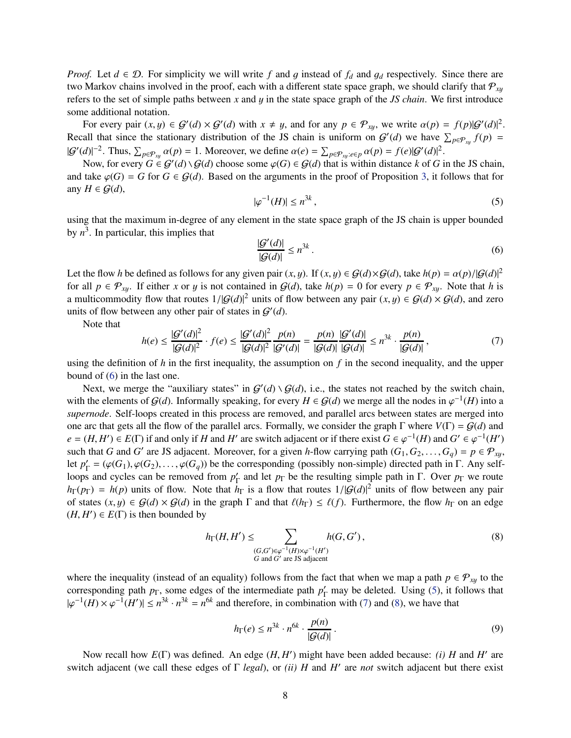*Proof.* Let  $d \in \mathcal{D}$ . For simplicity we will write f and g instead of  $f_d$  and  $g_d$  respectively. Since there are two Markov chains involved in the proof, each with a different state space graph, we should clarify that  $P_{x}$ refers to the set of simple paths between *x* and y in the state space graph of the *JS chain*. We first introduce some additional notation.

For every pair  $(x, y) \in \mathcal{G}'(d) \times \mathcal{G}'(d)$  with  $x \neq y$ , and for any  $p \in \mathcal{P}_{xy}$ , we write  $\alpha(p) = f(p)|\mathcal{G}'(d)|^2$ . Recall that since the stationary distribution of the JS chain is uniform on  $G'(d)$  we have  $\sum_{p \in \mathcal{P}_{xy}} f(p) =$  $|\mathcal{G}'(d)|^{-2}$ . Thus,  $\sum_{p \in \mathcal{P}_{xy}} \alpha(p) = 1$ . Moreover, we define  $\alpha(e) = \sum_{p \in \mathcal{P}_{xy}} \alpha(p) = f(e)|\mathcal{G}'(d)|^2$ .

Now, for every  $G \in \mathcal{G}'(d) \setminus \mathcal{G}(d)$  choose some  $\varphi(G) \in \mathcal{G}(d)$  that is within distance k of G in the JS chain, and take  $\varphi(G) = G$  for  $G \in \mathcal{G}(d)$ . Based on the arguments in the proof of Proposition [3,](#page-6-1) it follows that for any  $H \in \mathcal{G}(d)$ ,

<span id="page-9-1"></span>
$$
|\varphi^{-1}(H)| \le n^{3k},\tag{5}
$$

using that the maximum in-degree of any element in the state space graph of the JS chain is upper bounded by  $n^3$ . In particular, this implies that

<span id="page-9-0"></span> $\vert$ 

$$
\frac{\mathcal{G}'(d)|}{|\mathcal{G}(d)|} \le n^{3k} \,. \tag{6}
$$

Let the flow *h* be defined as follows for any given pair  $(x, y)$ . If  $(x, y) \in G(d) \times G(d)$ , take  $h(p) = \alpha(p)/|G(d)|^2$ for all  $p \in \mathcal{P}_{x,y}$ . If either *x* or *y* is not contained in  $\mathcal{G}(d)$ , take  $h(p) = 0$  for every  $p \in \mathcal{P}_{x,y}$ . Note that *h* is a multicommodity flow that routes  $1/|G(d)|^2$  units of flow between any pair  $(x, y) \in G(d) \times G(d)$ , and zero units of flow between any other pair of states in  $G'(d)$ .

Note that

<span id="page-9-2"></span>
$$
h(e) \le \frac{|G'(d)|^2}{|G(d)|^2} \cdot f(e) \le \frac{|G'(d)|^2}{|G(d)|^2} \cdot \frac{p(n)}{|G'(d)|} = \frac{p(n)}{|G(d)|} \cdot \frac{|G'(d)|}{|G(d)|} \le n^{3k} \cdot \frac{p(n)}{|G(d)|},\tag{7}
$$

using the definition of  $h$  in the first inequality, the assumption on  $f$  in the second inequality, and the upper bound of [\(6\)](#page-9-0) in the last one.

Next, we merge the "auxiliary states" in  $G'(d) \setminus G(d)$ , i.e., the states not reached by the switch chain, with the elements of  $G(d)$ . Informally speaking, for every  $H \in G(d)$  we merge all the nodes in  $\varphi^{-1}(H)$  into a *supernode*. Self-loops created in this process are removed, and parallel arcs between states are merged into one arc that gets all the flow of the parallel arcs. Formally, we consider the graph  $\Gamma$  where  $V(\Gamma) = G(d)$  and  $e = (H, H') \in E(\Gamma)$  if and only if *H* and *H'* are switch adjacent or if there exist  $G \in \varphi^{-1}(H)$  and  $G' \in \varphi^{-1}(H')$ such that *G* and *G'* are JS adjacent. Moreover, for a given *h*-flow carrying path  $(G_1, G_2, \ldots, G_q) = p \in \mathcal{P}_{xy}$ , let  $p'_\Gamma = (\varphi(G_1), \varphi(G_2), \dots, \varphi(G_q))$  be the corresponding (possibly non-simple) directed path in Γ. Any selfloops and cycles can be removed from  $p'_\Gamma$  and let  $p_\Gamma$  be the resulting simple path in Γ. Over  $p_\Gamma$  we route  $h_{\Gamma}(p_{\Gamma}) = h(p)$  units of flow. Note that  $h_{\Gamma}$  is a flow that routes  $1/|G(d)|^2$  units of flow between any pair of states  $(x, y) \in G(d) \times G(d)$  in the graph  $\Gamma$  and that  $\ell(h_{\Gamma}) \leq \ell(f)$ . Furthermore, the flow  $h_{\Gamma}$  on an edge  $(H, H') \in E(\Gamma)$  is then bounded by

<span id="page-9-3"></span>
$$
h_{\Gamma}(H, H') \leq \sum_{\substack{(G, G') \in \varphi^{-1}(H) \times \varphi^{-1}(H') \\ G \text{ and } G' \text{ are JS adjacent}}} h(G, G'), \tag{8}
$$

where the inequality (instead of an equality) follows from the fact that when we map a path  $p \in \mathcal{P}_{xy}$  to the corresponding path  $p_{\Gamma}$ , some edges of the intermediate path  $p_{\Gamma}'$  may be deleted. Using [\(5\)](#page-9-1), it follows that  $|\varphi^{-1}(H) \times \varphi^{-1}(H')| \leq n^{3k} \cdot n^{3k} = n^{6k}$  and therefore, in combination with [\(7\)](#page-9-2) and [\(8\)](#page-9-3), we have that

<span id="page-9-4"></span>
$$
h_{\Gamma}(e) \le n^{3k} \cdot n^{6k} \cdot \frac{p(n)}{|\mathcal{G}(d)|}.
$$
\n(9)

Now recall how  $E(\Gamma)$  was defined. An edge (*H*, *H'*) might have been added because: *(i) H* and *H'* are switch adjacent (we call these edges of Γ *legal*), or *(ii) H* and *H* ′ are *not* switch adjacent but there exist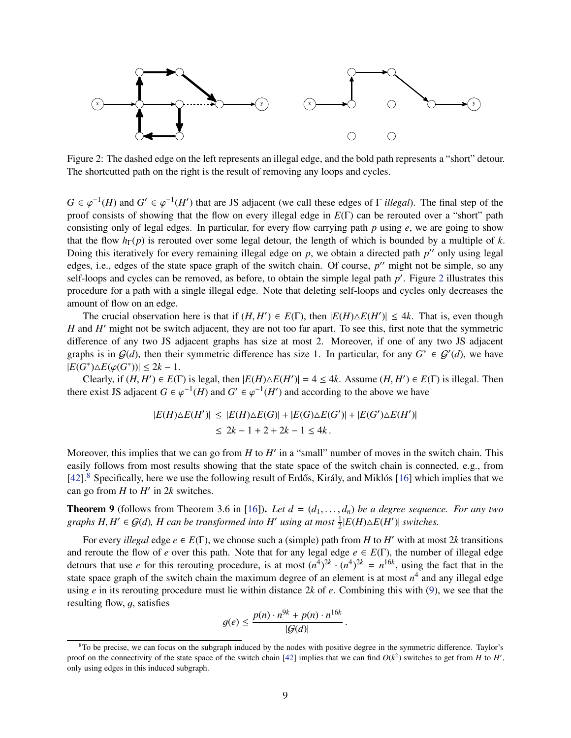

<span id="page-10-0"></span>Figure 2: The dashed edge on the left represents an illegal edge, and the bold path represents a "short" detour. The shortcutted path on the right is the result of removing any loops and cycles.

 $G \in \varphi^{-1}(H)$  and  $G' \in \varphi^{-1}(H')$  that are JS adjacent (we call these edges of  $\Gamma$  *illegal*). The final step of the proof consists of showing that the flow on every illegal edge in *E*(Γ) can be rerouted over a "short" path consisting only of legal edges. In particular, for every flow carrying path *p* using *e*, we are going to show that the flow  $h_{\Gamma}(p)$  is rerouted over some legal detour, the length of which is bounded by a multiple of *k*. Doing this iteratively for every remaining illegal edge on *p*, we obtain a directed path *p* ′′ only using legal edges, i.e., edges of the state space graph of the switch chain. Of course, p'' might not be simple, so any self-loops and cycles can be removed, as before, to obtain the simple legal path p'. Figure [2](#page-10-0) illustrates this procedure for a path with a single illegal edge. Note that deleting self-loops and cycles only decreases the amount of flow on an edge.

The crucial observation here is that if  $(H, H') \in E(\Gamma)$ , then  $|E(H) \triangle E(H')| \leq 4k$ . That is, even though *H* and *H* ′ might not be switch adjacent, they are not too far apart. To see this, first note that the symmetric difference of any two JS adjacent graphs has size at most 2. Moreover, if one of any two JS adjacent graphs is in  $G(d)$ , then their symmetric difference has size 1. In particular, for any  $G^* \in G'(d)$ , we have  $|E(G^*)\triangle E(\varphi(G^*))|$  ≤ 2*k* − 1.

Clearly, if  $(H, H') \in E(\Gamma)$  is legal, then  $|E(H) \triangle E(H')| = 4 \le 4k$ . Assume  $(H, H') \in E(\Gamma)$  is illegal. Then there exist JS adjacent  $G \in \varphi^{-1}(H)$  and  $G' \in \varphi^{-1}(H')$  and according to the above we have

$$
|E(H)\triangle E(H')| \le |E(H)\triangle E(G)| + |E(G)\triangle E(G')| + |E(G')\triangle E(H')|
$$
  

$$
\le 2k - 1 + 2 + 2k - 1 \le 4k.
$$

Moreover, this implies that we can go from  $H$  to  $H'$  in a "small" number of moves in the switch chain. This easily follows from most results showing that the state space of the switch chain is connected, e.g., from  $[42]$ .<sup>[8](#page-10-1)</sup> Specifically, here we use the following result of Erdős, Király, and Miklós [\[16\]](#page-43-12) which implies that we can go from  $H$  to  $H'$  in  $2k$  switches.

<span id="page-10-2"></span>**Theorem 9** (follows from Theorem 3.6 in [\[16\]](#page-43-12)). Let  $d = (d_1, \ldots, d_n)$  be a degree sequence. For any two *graphs H*,  $H' \in \mathcal{G}(d)$ , *H* can be transformed into  $H'$  using at most  $\frac{1}{2}|E(H)\triangle E(H')|$  switches.

For every *illegal* edge  $e \in E(\Gamma)$ , we choose such a (simple) path from *H* to *H'* with at most 2*k* transitions and reroute the flow of *e* over this path. Note that for any legal edge  $e \in E(\Gamma)$ , the number of illegal edge detours that use *e* for this rerouting procedure, is at most  $(n^4)^{2k} \cdot (n^4)^{2k} = n^{16k}$ , using the fact that in the state space graph of the switch chain the maximum degree of an element is at most  $n^4$  and any illegal edge using *e* in its rerouting procedure must lie within distance 2*k* of *e*. Combining this with [\(9\)](#page-9-4), we see that the resulting flow,  $g$ , satisfies

$$
g(e) \leq \frac{p(n) \cdot n^{9k} + p(n) \cdot n^{16k}}{|G(d)|}.
$$

<span id="page-10-1"></span> $8$ To be precise, we can focus on the subgraph induced by the nodes with positive degree in the symmetric difference. Taylor's proof on the connectivity of the state space of the switch chain [\[42\]](#page-45-1) implies that we can find  $O(k^2)$  switches to get from *H* to *H'*, only using edges in this induced subgraph.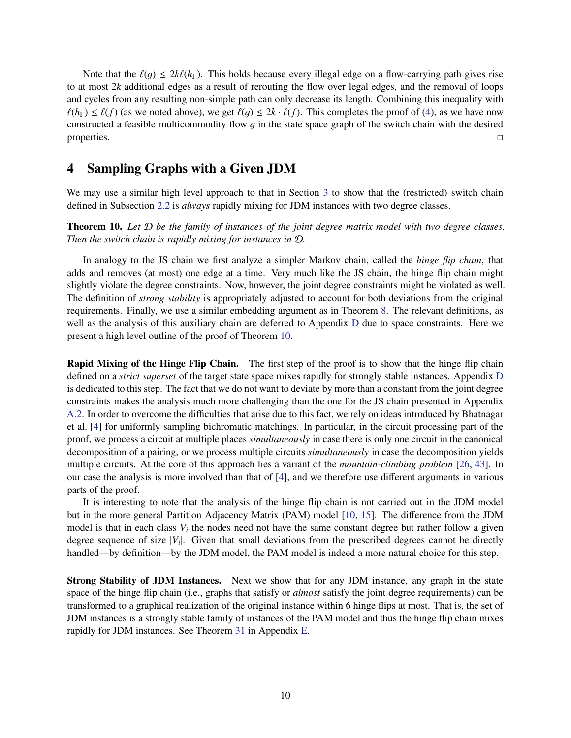Note that the  $\ell(q) \leq 2k\ell(h_{\Gamma})$ . This holds because every illegal edge on a flow-carrying path gives rise to at most 2*k* additional edges as a result of rerouting the flow over legal edges, and the removal of loops and cycles from any resulting non-simple path can only decrease its length. Combining this inequality with  $\ell(h_{\Gamma}) \leq \ell(f)$  (as we noted above), we get  $\ell(g) \leq 2k \cdot \ell(f)$ . This completes the proof of [\(4\)](#page-8-6), as we have now constructed a feasible multicommodity flow q in the state space graph of the switch chain with the desired properties.

# <span id="page-11-0"></span>4 Sampling Graphs with a Given JDM

We may use a similar high level approach to that in Section [3](#page-7-0) to show that the (restricted) switch chain defined in Subsection [2.2](#page-6-0) is *always* rapidly mixing for JDM instances with two degree classes.

<span id="page-11-1"></span>Theorem 10. *Let* D *be the family of instances of the joint degree matrix model with two degree classes. Then the switch chain is rapidly mixing for instances in* D*.*

In analogy to the JS chain we first analyze a simpler Markov chain, called the *hinge flip chain*, that adds and removes (at most) one edge at a time. Very much like the JS chain, the hinge flip chain might slightly violate the degree constraints. Now, however, the joint degree constraints might be violated as well. The definition of *strong stability* is appropriately adjusted to account for both deviations from the original requirements. Finally, we use a similar embedding argument as in Theorem [8.](#page-8-5) The relevant definitions, as well as the analysis of this auxiliary chain are deferred to Appendix [D](#page-24-0) due to space constraints. Here we present a high level outline of the proof of Theorem [10.](#page-11-1)

Rapid Mixing of the Hinge Flip Chain. The first step of the proof is to show that the hinge flip chain defined on a *strict superset* of the target state space mixes rapidly for strongly stable instances. Appendix [D](#page-24-0) is dedicated to this step. The fact that we do not want to deviate by more than a constant from the joint degree constraints makes the analysis much more challenging than the one for the JS chain presented in Appendix [A.2.](#page-14-0) In order to overcome the difficulties that arise due to this fact, we rely on ideas introduced by Bhatnagar et al. [\[4\]](#page-42-6) for uniformly sampling bichromatic matchings. In particular, in the circuit processing part of the proof, we process a circuit at multiple places *simultaneously* in case there is only one circuit in the canonical decomposition of a pairing, or we process multiple circuits *simultaneously* in case the decomposition yields multiple circuits. At the core of this approach lies a variant of the *mountain-climbing problem* [\[26,](#page-44-9) [43\]](#page-45-0). In our case the analysis is more involved than that of [\[4\]](#page-42-6), and we therefore use different arguments in various parts of the proof.

It is interesting to note that the analysis of the hinge flip chain is not carried out in the JDM model but in the more general Partition Adjacency Matrix (PAM) model [\[10,](#page-43-7) [15\]](#page-43-8). The difference from the JDM model is that in each class  $V_i$  the nodes need not have the same constant degree but rather follow a given degree sequence of size  $|V_i|$ . Given that small deviations from the prescribed degrees cannot be directly handled—by definition—by the JDM model, the PAM model is indeed a more natural choice for this step.

Strong Stability of JDM Instances. Next we show that for any JDM instance, any graph in the state space of the hinge flip chain (i.e., graphs that satisfy or *almost* satisfy the joint degree requirements) can be transformed to a graphical realization of the original instance within 6 hinge flips at most. That is, the set of JDM instances is a strongly stable family of instances of the PAM model and thus the hinge flip chain mixes rapidly for JDM instances. See Theorem [31](#page-36-1) in Appendix [E.](#page-36-0)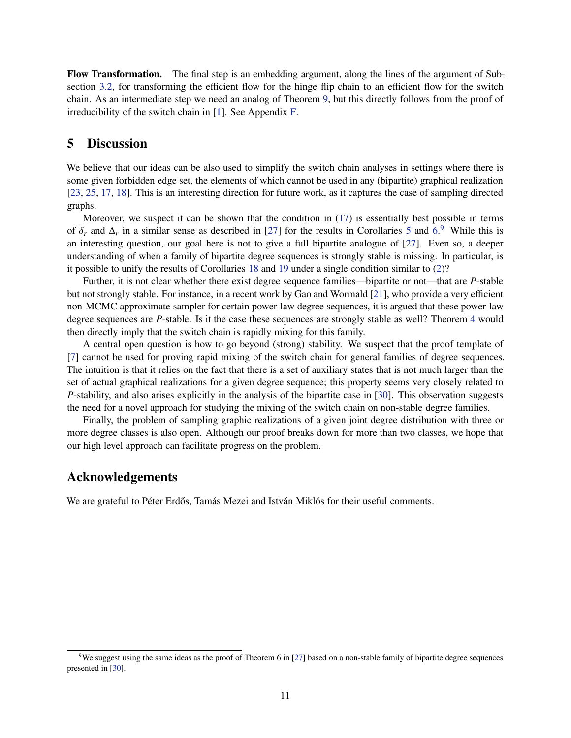Flow Transformation. The final step is an embedding argument, along the lines of the argument of Subsection [3.2,](#page-8-1) for transforming the efficient flow for the hinge flip chain to an efficient flow for the switch chain. As an intermediate step we need an analog of Theorem [9,](#page-10-2) but this directly follows from the proof of irreducibility of the switch chain in [\[1\]](#page-42-4). See Appendix [F.](#page-41-0)

# <span id="page-12-0"></span>5 Discussion

We believe that our ideas can be also used to simplify the switch chain analyses in settings where there is some given forbidden edge set, the elements of which cannot be used in any (bipartite) graphical realization [\[23,](#page-43-13) [25,](#page-43-1) [17,](#page-43-14) [18\]](#page-43-3). This is an interesting direction for future work, as it captures the case of sampling directed graphs.

Moreover, we suspect it can be shown that the condition in [\(17\)](#page-21-0) is essentially best possible in terms of  $\delta_r$  and  $\Delta_r$  in a similar sense as described in [\[27\]](#page-44-8) for the results in Corollaries [5](#page-7-1) and [6.](#page-8-2)<sup>[9](#page-12-1)</sup> While this is an interesting question, our goal here is not to give a full bipartite analogue of [\[27\]](#page-44-8). Even so, a deeper understanding of when a family of bipartite degree sequences is strongly stable is missing. In particular, is it possible to unify the results of Corollaries [18](#page-20-1) and [19](#page-22-0) under a single condition similar to [\(2\)](#page-7-3)?

Further, it is not clear whether there exist degree sequence families—bipartite or not—that are *P*-stable but not strongly stable. For instance, in a recent work by Gao and Wormald [\[21\]](#page-43-9), who provide a very efficient non-MCMC approximate sampler for certain power-law degree sequences, it is argued that these power-law degree sequences are *P*-stable. Is it the case these sequences are strongly stable as well? Theorem [4](#page-7-2) would then directly imply that the switch chain is rapidly mixing for this family.

A central open question is how to go beyond (strong) stability. We suspect that the proof template of [\[7\]](#page-42-1) cannot be used for proving rapid mixing of the switch chain for general families of degree sequences. The intuition is that it relies on the fact that there is a set of auxiliary states that is not much larger than the set of actual graphical realizations for a given degree sequence; this property seems very closely related to *P*-stability, and also arises explicitly in the analysis of the bipartite case in [\[30\]](#page-44-3). This observation suggests the need for a novel approach for studying the mixing of the switch chain on non-stable degree families.

Finally, the problem of sampling graphic realizations of a given joint degree distribution with three or more degree classes is also open. Although our proof breaks down for more than two classes, we hope that our high level approach can facilitate progress on the problem.

## Acknowledgements

We are grateful to Péter Erdős, Tamás Mezei and István Miklós for their useful comments.

<span id="page-12-1"></span><sup>&</sup>lt;sup>9</sup>We suggest using the same ideas as the proof of Theorem 6 in [\[27\]](#page-44-8) based on a non-stable family of bipartite degree sequences presented in [\[30\]](#page-44-3).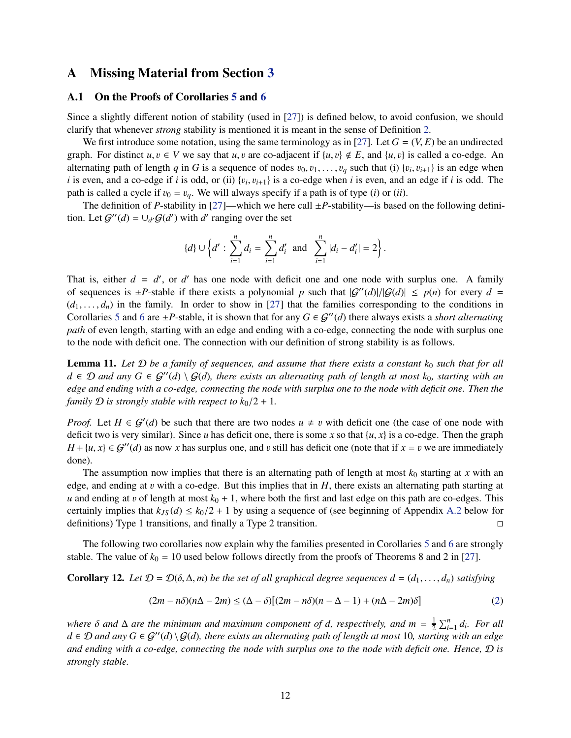# <span id="page-13-1"></span><span id="page-13-0"></span>A Missing Material from Section [3](#page-7-0)

## A.1 On the Proofs of Corollaries [5](#page-7-1) and [6](#page-8-2)

Since a slightly different notion of stability (used in [\[27\]](#page-44-8)) is defined below, to avoid confusion, we should clarify that whenever *strong* stability is mentioned it is meant in the sense of Definition [2.](#page-6-3)

We first introduce some notation, using the same terminology as in [\[27\]](#page-44-8). Let  $G = (V, E)$  be an undirected graph. For distinct  $u, v \in V$  we say that  $u, v$  are co-adjacent if  $\{u, v\} \notin E$ , and  $\{u, v\}$  is called a co-edge. An alternating path of length *q* in *G* is a sequence of nodes  $v_0, v_1, \ldots, v_q$  such that (i)  $\{v_i, v_{i+1}\}$  is an edge when *i* is even, and a co-edge if *i* is odd, or (ii)  $\{v_i, v_{i+1}\}$  is a co-edge when *i* is even, and an edge if *i* is odd. The path is called a cycle if  $v_0 = v_q$ . We will always specify if a path is of type (*i*) or (*ii*).

The definition of *P*-stability in [\[27\]](#page-44-8)—which we here call  $\pm P$ -stability—is based on the following definition. Let  $\mathcal{G}^{\prime\prime}(d) = \cup_{d'} \mathcal{G}(d')$  with *d'* ranging over the set

$$
\{d\} \cup \left\{d' : \sum_{i=1}^n d_i = \sum_{i=1}^n d'_i \text{ and } \sum_{i=1}^n |d_i - d'_i| = 2\right\}.
$$

That is, either  $d = d'$ , or  $d'$  has one node with deficit one and one node with surplus one. A family of sequences is  $\pm P$ -stable if there exists a polynomial p such that  $|G''(d)|/|G(d)| \leq p(n)$  for every  $d =$  $(d_1, \ldots, d_n)$  in the family. In order to show in [\[27\]](#page-44-8) that the families corresponding to the conditions in Corollaries [5](#page-7-1) and [6](#page-8-2) are  $\pm P$ -stable, it is shown that for any  $G \in \mathcal{G}''(d)$  there always exists a *short alternating path* of even length, starting with an edge and ending with a co-edge, connecting the node with surplus one to the node with deficit one. The connection with our definition of strong stability is as follows.

**Lemma 11.** Let  $D$  be a family of sequences, and assume that there exists a constant  $k_0$  such that for all *d* ∈ D and any  $G \in \mathcal{G}''(d) \setminus \mathcal{G}(d)$ , there exists an alternating path of length at most  $k_0$ , starting with an *edge and ending with a co-edge, connecting the node with surplus one to the node with deficit one. Then the family*  $\mathcal{D}$  *is strongly stable with respect to*  $k_0/2 + 1$ *.* 

*Proof.* Let  $H \in \mathcal{G}'(d)$  be such that there are two nodes  $u \neq v$  with deficit one (the case of one node with deficit two is very similar). Since *u* has deficit one, there is some *x* so that  $\{u, x\}$  is a co-edge. Then the graph  $H + \{u, x\} \in \mathcal{G}''(d)$  as now *x* has surplus one, and *v* still has deficit one (note that if  $x = v$  we are immediately done).

The assumption now implies that there is an alternating path of length at most  $k_0$  starting at *x* with an edge, and ending at v with a co-edge. But this implies that in *H*, there exists an alternating path starting at *u* and ending at *v* of length at most  $k_0 + 1$ , where both the first and last edge on this path are co-edges. This certainly implies that  $k_{JS}(d) \le k_0/2 + 1$  by using a sequence of (see beginning of Appendix [A.2](#page-14-0) below for definitions) Type 1 transitions and finally a Type 2 transition definitions) Type 1 transitions, and finally a Type 2 transition.

The following two corollaries now explain why the families presented in Corollaries [5](#page-7-1) and [6](#page-8-2) are strongly stable. The value of  $k_0 = 10$  used below follows directly from the proofs of Theorems 8 and 2 in [\[27\]](#page-44-8).

Corollary 12. Let  $D = D(\delta, \Delta, m)$  be the set of all graphical degree sequences  $d = (d_1, \ldots, d_n)$  satisfying

$$
(2m - n\delta)(n\Delta - 2m) \le (\Delta - \delta)[(2m - n\delta)(n - \Delta - 1) + (n\Delta - 2m)\delta]
$$
 (2)

*where*  $\delta$  *and*  $\Delta$  *are the minimum and maximum component of d, respectively, and m* =  $\frac{1}{2}$  $\frac{1}{2} \sum_{i=1}^{n} d_i$ *. For all*  $d ∈ D$  and any  $G ∈ G''(d) \ G(d)$ *, there exists an alternating path of length at most* 10*, starting with an edge and ending with a co-edge, connecting the node with surplus one to the node with deficit one. Hence,* D *is strongly stable.*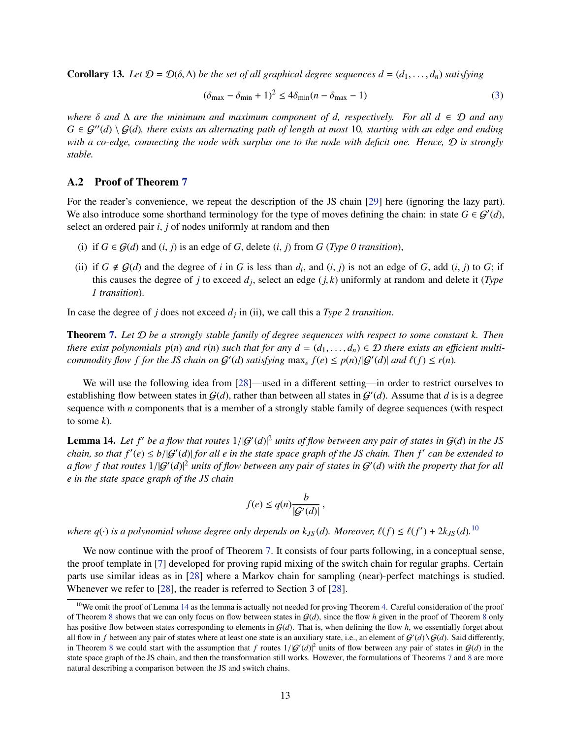Corollary 13. Let  $\mathcal{D} = \mathcal{D}(\delta, \Delta)$  be the set of all graphical degree sequences  $d = (d_1, \ldots, d_n)$  satisfying

$$
(\delta_{\max} - \delta_{\min} + 1)^2 \le 4\delta_{\min}(n - \delta_{\max} - 1)
$$
\n(3)

*where* δ *and* ∆ *are the minimum and maximum component of d, respectively. For all d* ∈ D *and any*  $G \in \mathcal{G}''(d) \setminus \mathcal{G}(d)$ , there exists an alternating path of length at most 10, starting with an edge and ending *with a co-edge, connecting the node with surplus one to the node with deficit one. Hence,* D *is strongly stable.*

## <span id="page-14-0"></span>A.2 Proof of Theorem [7](#page-8-3)

For the reader's convenience, we repeat the description of the JS chain [\[29\]](#page-44-2) here (ignoring the lazy part). We also introduce some shorthand terminology for the type of moves defining the chain: in state  $G \in \mathcal{G}'(d)$ , select an ordered pair *i*, *j* of nodes uniformly at random and then

- (i) if  $G \in \mathcal{G}(d)$  and  $(i, j)$  is an edge of  $G$ , delete  $(i, j)$  from  $G$  (*Type 0 transition*),
- (ii) if  $G \notin \mathcal{G}(d)$  and the degree of *i* in *G* is less than  $d_i$ , and  $(i, j)$  is not an edge of *G*, add  $(i, j)$  to *G*; if this causes the degree of *j* to exceed *d<sup>j</sup>* , select an edge (*j*, *k*) uniformly at random and delete it (*Type 1 transition*).

In case the degree of *j* does not exceed *d<sup>j</sup>* in (ii), we call this a *Type 2 transition*.

Theorem [7.](#page-8-3) *Let* D *be a strongly stable family of degree sequences with respect to some constant k. Then there exist polynomials p(n) and r(n) such that for any*  $d = (d_1, \ldots, d_n) \in \mathcal{D}$  *there exists an efficient multicommodity flow f for the JS chain on*  $G'(d)$  *satisfying*  $\max_e f(e) \leq p(n)/|G'(d)|$  *and*  $\ell(f) \leq r(n)$ *.* 

We will use the following idea from [\[28\]](#page-44-14)—used in a different setting—in order to restrict ourselves to establishing flow between states in  $\mathcal{G}(d)$ , rather than between all states in  $\mathcal{G}'(d)$ . Assume that *d* is is a degree sequence with *n* components that is a member of a strongly stable family of degree sequences (with respect to some *k*).

<span id="page-14-2"></span>**Lemma 14.** Let  $f'$  be a flow that routes  $1/|G'(d)|^2$  units of flow between any pair of states in  $G(d)$  in the JS *chain, so that f* ′ (*e*) ≤ *b*/|G′ (*d*)| *for all e in the state space graph of the JS chain. Then f* ′ *can be extended to* a flow f that routes  $1/|G'(d)|^2$  units of flow between any pair of states in  $G'(d)$  with the property that for all *e in the state space graph of the JS chain*

$$
f(e) \le q(n) \frac{b}{|\mathcal{G}'(d)|},
$$

*where q*(·) *is a polynomial whose degree only depends on*  $k_{JS}(d)$ *. Moreover,*  $\ell(f) \leq \ell(f') + 2k_{JS}(d)$ .<sup>[10](#page-14-1)</sup>

We now continue with the proof of Theorem [7.](#page-8-3) It consists of four parts following, in a conceptual sense, the proof template in [\[7\]](#page-42-1) developed for proving rapid mixing of the switch chain for regular graphs. Certain parts use similar ideas as in [\[28\]](#page-44-14) where a Markov chain for sampling (near)-perfect matchings is studied. Whenever we refer to [\[28\]](#page-44-14), the reader is referred to Section 3 of [\[28\]](#page-44-14).

<span id="page-14-1"></span><sup>&</sup>lt;sup>10</sup>We omit the proof of Lemma [14](#page-14-2) as the lemma is actually not needed for proving Theorem [4.](#page-7-2) Careful consideration of the proof of Theorem [8](#page-8-5) shows that we can only focus on flow between states in  $G(d)$ , since the flow *h* given in the proof of Theorem 8 only has positive flow between states corresponding to elements in G(*d*). That is, when defining the flow *h*, we essentially forget about all flow in *f* between any pair of states where at least one state is an auxiliary state, i.e., an element of  $G'(d) \setminus G(d)$ . Said differently, in Theorem [8](#page-8-5) we could start with the assumption that *f* routes  $1/|G'(d)|^2$  units of flow between any pair of states in  $G(d)$  in the state space graph of the JS chain, and then the transformation still works. However, the formulations of Theorems [7](#page-8-3) and [8](#page-8-5) are more natural describing a comparison between the JS and switch chains.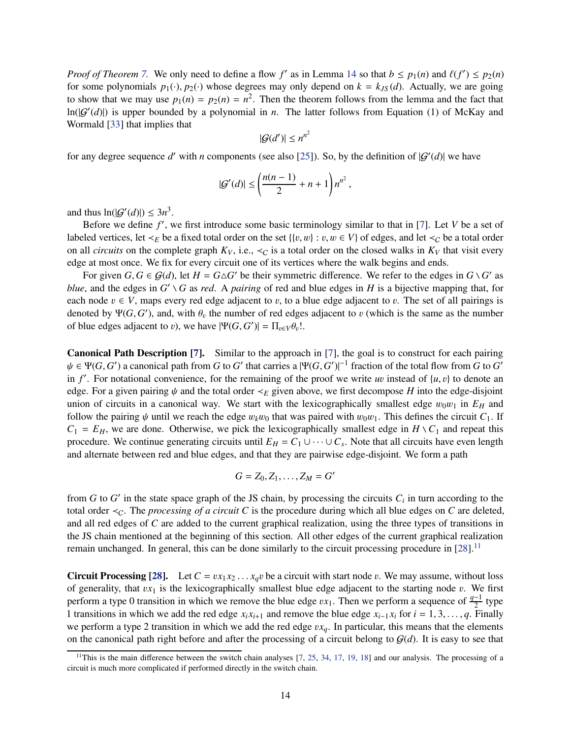*Proof of Theorem* [7.](#page-8-3) We only need to define a flow  $f'$  as in Lemma [14](#page-14-2) so that  $b \leq p_1(n)$  and  $\ell(f') \leq p_2(n)$ for some polynomials  $p_1(\cdot), p_2(\cdot)$  whose degrees may only depend on  $k = k_{JS}(d)$ . Actually, we are going to show that we may use  $p_1(n) = p_2(n) = n^2$ . Then the theorem follows from the lemma and the fact that  $ln(|G'(d)|)$  is upper bounded by a polynomial in *n*. The latter follows from Equation (1) of McKay and Wormald [\[33\]](#page-44-15) that implies that

$$
|\mathcal{G}(d')| \leq n^{n^2}
$$

for any degree sequence d' with *n* components (see also [\[25\]](#page-43-1)). So, by the definition of  $|G'(d)|$  we have

$$
|G'(d)| \le \left(\frac{n(n-1)}{2} + n + 1\right)n^{n^2},
$$

and thus  $ln(|G'(d)|) \leq 3n^3$ .

Before we define f', we first introduce some basic terminology similar to that in [\[7\]](#page-42-1). Let *V* be a set of labeled vertices, let  $\prec_E$  be a fixed total order on the set {{v, w} : v, w ∈ V} of edges, and let  $\prec_C$  be a total order on all *circuits* on the complete graph  $K_V$ , i.e.,  $\lt_C$  is a total order on the closed walks in  $K_V$  that visit every edge at most once. We fix for every circuit one of its vertices where the walk begins and ends.

For given  $G, G \in \mathcal{G}(d)$ , let  $H = G \triangle G'$  be their symmetric difference. We refer to the edges in  $G \setminus G'$  as *blue*, and the edges in  $G' \setminus G$  as *red*. A *pairing* of red and blue edges in *H* is a bijective mapping that, for each node  $v \in V$ , maps every red edge adjacent to v, to a blue edge adjacent to v. The set of all pairings is denoted by  $\Psi(G, G')$ , and, with  $\theta_v$  the number of red edges adjacent to v (which is the same as the number of blue edges adjacent to *v*), we have  $|\Psi(G, G')| = \Pi_{v \in V} \theta_v!$ .

Canonical Path Description [\[7\]](#page-42-1). Similar to the approach in [\[7\]](#page-42-1), the goal is to construct for each pairing  $\psi \in \Psi(G, G')$  a canonical path from *G* to *G'* that carries a  $|\Psi(G, G')|^{-1}$  fraction of the total flow from *G* to *G'* in  $f'$ . For notational convenience, for the remaining of the proof we write *uv* instead of  $\{u, v\}$  to denote an edge. For a given pairing ψ and the total order ≺*<sup>E</sup>* given above, we first decompose *H* into the edge-disjoint union of circuits in a canonical way. We start with the lexicographically smallest edge  $w_0w_1$  in  $E_H$  and follow the pairing  $\psi$  until we reach the edge  $w_k w_0$  that was paired with  $w_0 w_1$ . This defines the circuit  $C_1$ . If  $C_1 = E_H$ , we are done. Otherwise, we pick the lexicographically smallest edge in  $H \setminus C_1$  and repeat this procedure. We continue generating circuits until  $E_H = C_1 \cup \cdots \cup C_s$ . Note that all circuits have even length and alternate between red and blue edges, and that they are pairwise edge-disjoint. We form a path

$$
G = Z_0, Z_1, \ldots, Z_M = G'
$$

from *G* to *G*' in the state space graph of the JS chain, by processing the circuits  $C_i$  in turn according to the total order  $\lt_C$ . The *processing of a circuit C* is the procedure during which all blue edges on *C* are deleted, and all red edges of *C* are added to the current graphical realization, using the three types of transitions in the JS chain mentioned at the beginning of this section. All other edges of the current graphical realization remain unchanged. In general, this can be done similarly to the circuit processing procedure in [\[28\]](#page-44-14).<sup>[11](#page-15-0)</sup>

Circuit Processing [\[28\]](#page-44-14). Let  $C = vx_1x_2...x_qv$  be a circuit with start node v. We may assume, without loss of generality, that  $vx_1$  is the lexicographically smallest blue edge adjacent to the starting node  $v$ . We first perform a type 0 transition in which we remove the blue edge  $vx_1$ . Then we perform a sequence of  $\frac{q-1}{2}$  type 1 transitions in which we add the red edge  $x_i x_{i+1}$  and remove the blue edge  $x_{i-1} x_i$  for  $i = 1, 3, \ldots, q$ . Finally we perform a type 2 transition in which we add the red edge  $vx_q$ . In particular, this means that the elements on the canonical path right before and after the processing of a circuit belong to  $\mathcal{G}(d)$ . It is easy to see that

<span id="page-15-0"></span><sup>&</sup>lt;sup>11</sup>This is the main difference between the switch chain analyses  $[7, 25, 34, 17, 19, 18]$  $[7, 25, 34, 17, 19, 18]$  $[7, 25, 34, 17, 19, 18]$  $[7, 25, 34, 17, 19, 18]$  $[7, 25, 34, 17, 19, 18]$  $[7, 25, 34, 17, 19, 18]$  $[7, 25, 34, 17, 19, 18]$  $[7, 25, 34, 17, 19, 18]$  $[7, 25, 34, 17, 19, 18]$  $[7, 25, 34, 17, 19, 18]$  $[7, 25, 34, 17, 19, 18]$  and our analysis. The processing of a circuit is much more complicated if performed directly in the switch chain.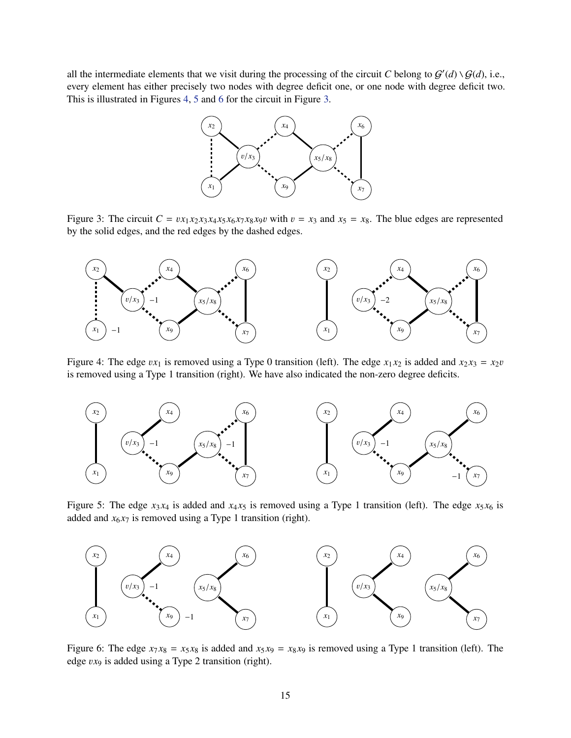all the intermediate elements that we visit during the processing of the circuit *C* belong to  $G'(d) \setminus G(d)$ , i.e., every element has either precisely two nodes with degree deficit one, or one node with degree deficit two. This is illustrated in Figures [4,](#page-16-0) [5](#page-16-1) and [6](#page-16-2) for the circuit in Figure [3.](#page-16-3)



<span id="page-16-3"></span>Figure 3: The circuit  $C = vx_1x_2x_3x_4x_5x_6x_7x_8x_9v$  with  $v = x_3$  and  $x_5 = x_8$ . The blue edges are represented by the solid edges, and the red edges by the dashed edges.



<span id="page-16-0"></span>Figure 4: The edge  $vx_1$  is removed using a Type 0 transition (left). The edge  $x_1x_2$  is added and  $x_2x_3 = x_2v$ is removed using a Type 1 transition (right). We have also indicated the non-zero degree deficits.



<span id="page-16-1"></span>Figure 5: The edge  $x_3 x_4$  is added and  $x_4 x_5$  is removed using a Type 1 transition (left). The edge  $x_5 x_6$  is added and  $x_6x_7$  is removed using a Type 1 transition (right).



<span id="page-16-2"></span>Figure 6: The edge  $x_7 x_8 = x_5 x_8$  is added and  $x_5 x_9 = x_8 x_9$  is removed using a Type 1 transition (left). The edge v*x*<sup>9</sup> is added using a Type 2 transition (right).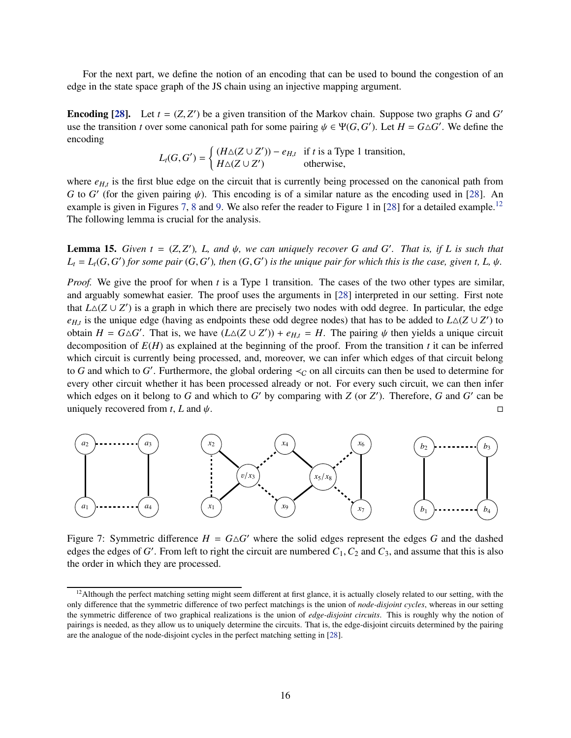For the next part, we define the notion of an encoding that can be used to bound the congestion of an edge in the state space graph of the JS chain using an injective mapping argument.

**Encoding [\[28\]](#page-44-14).** Let  $t = (Z, Z')$  be a given transition of the Markov chain. Suppose two graphs *G* and *G'* use the transition *t* over some canonical path for some pairing  $\psi \in \Psi(G, G')$ . Let  $H = G \triangle G'$ . We define the encoding

$$
L_t(G, G') = \begin{cases} (H \triangle (Z \cup Z')) - e_{H,t} & \text{if } t \text{ is a Type 1 transition,} \\ H \triangle (Z \cup Z') & \text{otherwise,} \end{cases}
$$

where  $e_{H,t}$  is the first blue edge on the circuit that is currently being processed on the canonical path from *G* to *G'* (for the given pairing  $\psi$ ). This encoding is of a similar nature as the encoding used in [\[28\]](#page-44-14). An example is given in Figures [7,](#page-17-0) [8](#page-18-0) and [9.](#page-18-1) We also refer the reader to Figure 1 in [\[28\]](#page-44-14) for a detailed example.<sup>[12](#page-17-1)</sup> The following lemma is crucial for the analysis.

<span id="page-17-2"></span>**Lemma 15.** Given  $t = (Z, Z')$ , L, and  $\psi$ , we can uniquely recover G and G'. That is, if L is such that  $L_t = L_t(G, G')$  for some pair  $(G, G')$ , then  $(G, G')$  is the unique pair for which this is the case, given t, L,  $\psi$ .

*Proof.* We give the proof for when *t* is a Type 1 transition. The cases of the two other types are similar, and arguably somewhat easier. The proof uses the arguments in [\[28\]](#page-44-14) interpreted in our setting. First note that  $L\Delta(Z \cup Z')$  is a graph in which there are precisely two nodes with odd degree. In particular, the edge  $e_{H,t}$  is the unique edge (having as endpoints these odd degree nodes) that has to be added to  $L\Delta(Z \cup Z')$  to obtain  $H = G \triangle G'$ . That is, we have  $(L \triangle (Z \cup Z')) + e_{H,t} = H$ . The pairing  $\psi$  then yields a unique circuit decomposition of *E*(*H*) as explained at the beginning of the proof. From the transition *t* it can be inferred which circuit is currently being processed, and, moreover, we can infer which edges of that circuit belong to *G* and which to *G*'. Furthermore, the global ordering  $\lt_C$  on all circuits can then be used to determine for every other circuit whether it has been processed already or not. For every such circuit, we can then infer which edges on it belong to  $G$  and which to  $G'$  by comparing with  $Z$  (or  $Z'$ ). Therefore,  $G$  and  $G'$  can be uniquely recovered from *t*, *L* and  $\psi$ .



<span id="page-17-0"></span>Figure 7: Symmetric difference  $H = G \triangle G'$  where the solid edges represent the edges G and the dashed edges the edges of *G* ′ . From left to right the circuit are numbered *C*1,*C*<sup>2</sup> and *C*3, and assume that this is also the order in which they are processed.

<span id="page-17-1"></span> $12$ Although the perfect matching setting might seem different at first glance, it is actually closely related to our setting, with the only difference that the symmetric difference of two perfect matchings is the union of *node-disjoint cycles*, whereas in our setting the symmetric difference of two graphical realizations is the union of *edge-disjoint circuits*. This is roughly why the notion of pairings is needed, as they allow us to uniquely determine the circuits. That is, the edge-disjoint circuits determined by the pairing are the analogue of the node-disjoint cycles in the perfect matching setting in [\[28\]](#page-44-14).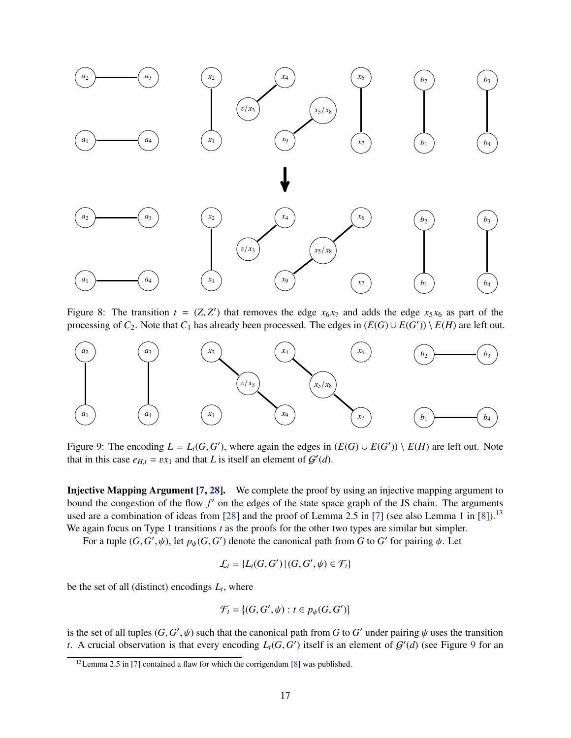

<span id="page-18-0"></span>Figure 8: The transition  $t = (Z, Z')$  that removes the edge  $x_6x_7$  and adds the edge  $x_5x_6$  as part of the processing of  $C_2$ . Note that  $C_1$  has already been processed. The edges in  $(E(G) \cup E(G')) \setminus E(H)$  are left out.



<span id="page-18-1"></span>Figure 9: The encoding  $L = L_t(G, G')$ , where again the edges in  $(E(G) \cup E(G')) \setminus E(H)$  are left out. Note that in this case  $e_{H,t} = vx_1$  and that *L* is itself an element of  $G'(d)$ .

Injective Mapping Argument [\[7,](#page-42-1) [28\]](#page-44-14). We complete the proof by using an injective mapping argument to bound the congestion of the flow *f* ′ on the edges of the state space graph of the JS chain. The arguments used are a combination of ideas from [\[28\]](#page-44-14) and the proof of Lemma 2.5 in [\[7\]](#page-42-1) (see also Lemma 1 in [\[8\]](#page-42-7)).<sup>[13](#page-18-2)</sup> We again focus on Type 1 transitions *t* as the proofs for the other two types are similar but simpler.

For a tuple  $(G, G', \psi)$ , let  $p_{\psi}(G, G')$  denote the canonical path from *G* to *G'* for pairing  $\psi$ . Let

$$
\mathcal{L}_t = \{L_t(G, G') | (G, G', \psi) \in \mathcal{F}_t\}
$$

be the set of all (distinct) encodings  $L_t$ , where

$$
\mathcal{F}_t = \{ (G, G', \psi) : t \in p_{\psi}(G, G') \}
$$

is the set of all tuples  $(G, G', \psi)$  such that the canonical path from *G* to *G'* under pairing  $\psi$  uses the transition *t*. A crucial observation is that every encoding  $L_t(G, G')$  itself is an element of  $G'(d)$  (see Figure [9](#page-18-1) for an

<span id="page-18-2"></span><sup>&</sup>lt;sup>13</sup>Lemma 2.5 in [\[7\]](#page-42-1) contained a flaw for which the corrigendum [\[8\]](#page-42-7) was published.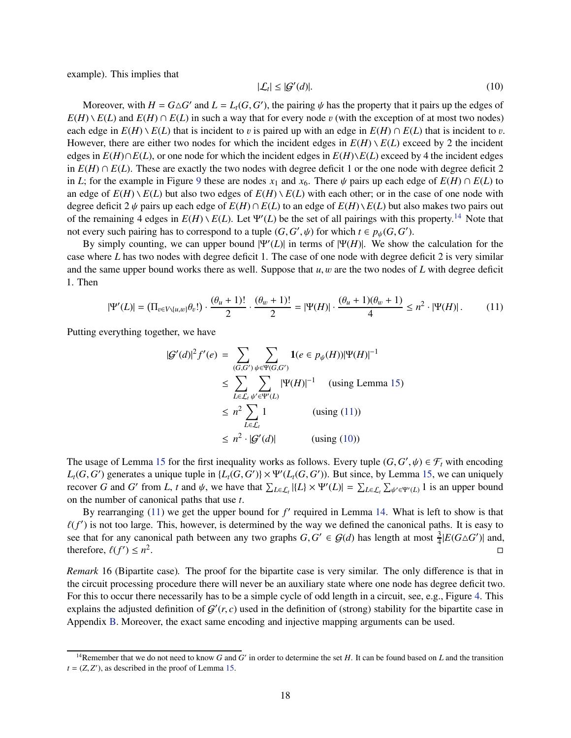example). This implies that

<span id="page-19-2"></span>
$$
|\mathcal{L}_t| \le |\mathcal{G}'(d)|. \tag{10}
$$

Moreover, with  $H = G \triangle G'$  and  $L = L_t(G, G')$ , the pairing  $\psi$  has the property that it pairs up the edges of  $E(H) \setminus E(L)$  and  $E(H) \cap E(L)$  in such a way that for every node v (with the exception of at most two nodes) each edge in  $E(H) \setminus E(L)$  that is incident to v is paired up with an edge in  $E(H) \cap E(L)$  that is incident to v. However, there are either two nodes for which the incident edges in  $E(H) \setminus E(L)$  exceed by 2 the incident edges in  $E(H) \cap E(L)$ , or one node for which the incident edges in  $E(H) \setminus E(L)$  exceed by 4 the incident edges in  $E(H) \cap E(L)$ . These are exactly the two nodes with degree deficit 1 or the one node with degree deficit 2 in *L*; for the example in Figure [9](#page-18-1) these are nodes  $x_1$  and  $x_6$ . There  $\psi$  pairs up each edge of  $E(H) \cap E(L)$  to an edge of  $E(H) \setminus E(L)$  but also two edges of  $E(H) \setminus E(L)$  with each other; or in the case of one node with degree deficit 2  $\psi$  pairs up each edge of  $E(H) \cap E(L)$  to an edge of  $E(H) \setminus E(L)$  but also makes two pairs out of the remaining 4 edges in  $E(H) \setminus E(L)$ . Let  $\Psi'(L)$  be the set of all pairings with this property.<sup>[14](#page-19-0)</sup> Note that not every such pairing has to correspond to a tuple  $(G, G', \psi)$  for which  $t \in p_{\psi}(G, G')$ .

By simply counting, we can upper bound  $|\Psi'(L)|$  in terms of  $|\Psi(H)|$ . We show the calculation for the case where *L* has two nodes with degree deficit 1. The case of one node with degree deficit 2 is very similar and the same upper bound works there as well. Suppose that *u*, w are the two nodes of *L* with degree deficit 1. Then

<span id="page-19-1"></span>
$$
|\Psi'(L)| = \left(\Pi_{v \in V \setminus \{u, w\}} \theta_v! \right) \cdot \frac{(\theta_u + 1)!}{2} \cdot \frac{(\theta_w + 1)!}{2} = |\Psi(H)| \cdot \frac{(\theta_u + 1)(\theta_w + 1)}{4} \le n^2 \cdot |\Psi(H)|. \tag{11}
$$

Putting everything together, we have

$$
|G'(d)|^2 f'(e) = \sum_{(G,G')}\sum_{\psi \in \Psi(G,G')} 1(e \in p_{\psi}(H))|\Psi(H)|^{-1}
$$
  
\n
$$
\leq \sum_{L \in \mathcal{L}_t} \sum_{\psi' \in \Psi'(L)} |\Psi(H)|^{-1} \quad \text{(using Lemma 15)}
$$
  
\n
$$
\leq n^2 \sum_{L \in \mathcal{L}_t} 1 \quad \text{(using (11))}
$$
  
\n
$$
\leq n^2 \cdot |G'(d)| \quad \text{(using (10))}
$$

The usage of Lemma [15](#page-17-2) for the first inequality works as follows. Every tuple  $(G, G', \psi) \in \mathcal{F}_t$  with encoding  $L_t(G, G')$  generates a unique tuple in  $\{L_t(G, G')\} \times \Psi'(L_t(G, G'))$ . But since, by Lemma [15,](#page-17-2) we can uniquely recover *G* and *G*<sup> $\prime$ </sup> from *L*, *t* and  $\psi$ , we have that  $\sum_{L \in \mathcal{L}_t} |{L} \times \Psi'(L)| = \sum_{L \in \mathcal{L}_t} \sum_{\psi' \in \Psi'(L)} 1$  is an upper bound on the number of canonical paths that use *t*.

By rearranging [\(11\)](#page-19-1) we get the upper bound for f' required in Lemma [14.](#page-14-2) What is left to show is that  $\ell(f')$  is not too large. This, however, is determined by the way we defined the canonical paths. It is easy to see that for any canonical path between any two graphs  $G, G' \in \mathcal{G}(d)$  has length at most  $\frac{3}{4}|E(G \triangle G')|$  and, therefore,  $\ell(f') \leq n^2$ e de la construcción de la construcción de la construcción de la construcción de la construcción de la constru<br>En la construcción de la construcción de la construcción de la construcción de la construcción de la construcc

<span id="page-19-3"></span>*Remark* 16 (Bipartite case)*.* The proof for the bipartite case is very similar. The only difference is that in the circuit processing procedure there will never be an auxiliary state where one node has degree deficit two. For this to occur there necessarily has to be a simple cycle of odd length in a circuit, see, e.g., Figure [4.](#page-16-0) This explains the adjusted definition of  $G'(r, c)$  used in the definition of (strong) stability for the bipartite case in Appendix [B.](#page-20-0) Moreover, the exact same encoding and injective mapping arguments can be used.

<span id="page-19-0"></span><sup>&</sup>lt;sup>14</sup>Remember that we do not need to know *G* and *G'* in order to determine the set *H*. It can be found based on *L* and the transition  $t = (Z, Z')$ , as described in the proof of Lemma [15.](#page-17-2)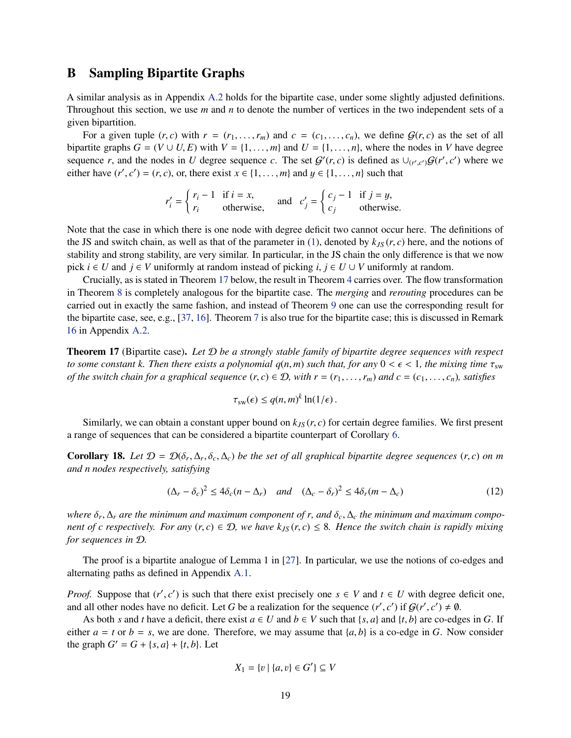## <span id="page-20-0"></span>B Sampling Bipartite Graphs

A similar analysis as in Appendix [A.2](#page-14-0) holds for the bipartite case, under some slightly adjusted definitions. Throughout this section, we use *m* and *n* to denote the number of vertices in the two independent sets of a given bipartition.

For a given tuple  $(r, c)$  with  $r = (r_1, \ldots, r_m)$  and  $c = (c_1, \ldots, c_n)$ , we define  $G(r, c)$  as the set of all bipartite graphs  $G = (V \cup U, E)$  with  $V = \{1, \ldots, m\}$  and  $U = \{1, \ldots, n\}$ , where the nodes in *V* have degree sequence *r*, and the nodes in *U* degree sequence *c*. The set  $G'(r, c)$  is defined as  $\cup_{(r', c')} G(r', c')$  where we either have  $(r', c') = (r, c)$ , or, there exist  $x \in \{1, \ldots, m\}$  and  $y \in \{1, \ldots, n\}$  such that

$$
r'_{i} = \begin{cases} r_{i} - 1 & \text{if } i = x, \\ r_{i} & \text{otherwise,} \end{cases} \text{ and } c'_{j} = \begin{cases} c_{j} - 1 & \text{if } j = y, \\ c_{j} & \text{otherwise.} \end{cases}
$$

Note that the case in which there is one node with degree deficit two cannot occur here. The definitions of the JS and switch chain, as well as that of the parameter in [\(1\)](#page-6-4), denoted by  $k_{IS}(r, c)$  here, and the notions of stability and strong stability, are very similar. In particular, in the JS chain the only difference is that we now pick  $i \in U$  and  $j \in V$  uniformly at random instead of picking  $i, j \in U \cup V$  uniformly at random.

Crucially, as is stated in Theorem [17](#page-20-2) below, the result in Theorem [4](#page-7-2) carries over. The flow transformation in Theorem [8](#page-8-5) is completely analogous for the bipartite case. The *merging* and *rerouting* procedures can be carried out in exactly the same fashion, and instead of Theorem [9](#page-10-2) one can use the corresponding result for the bipartite case, see, e.g., [\[37,](#page-44-1) [16\]](#page-43-12). Theorem [7](#page-8-3) is also true for the bipartite case; this is discussed in Remark [16](#page-19-3) in Appendix [A.2.](#page-14-0)

<span id="page-20-2"></span>Theorem 17 (Bipartite case). *Let* D *be a strongly stable family of bipartite degree sequences with respect to some constant k. Then there exists a polynomial*  $q(n, m)$  *such that, for any*  $0 < \epsilon < 1$ , the mixing time  $\tau_{sw}$ *of the switch chain for a graphical sequence*  $(r, c) \in \mathcal{D}$ , with  $r = (r_1, \ldots, r_m)$  and  $c = (c_1, \ldots, c_n)$ , satisfies

$$
\tau_{sw}(\epsilon) \le q(n,m)^k \ln(1/\epsilon).
$$

Similarly, we can obtain a constant upper bound on  $k_{JS}(r, c)$  for certain degree families. We first present a range of sequences that can be considered a bipartite counterpart of Corollary [6.](#page-8-2)

<span id="page-20-1"></span>**Corollary 18.** Let  $\mathcal{D} = \mathcal{D}(\delta_r, \Delta_r, \delta_c, \Delta_c)$  be the set of all graphical bipartite degree sequences  $(r, c)$  on m *and n nodes respectively, satisfying*

<span id="page-20-3"></span>
$$
(\Delta_r - \delta_c)^2 \le 4\delta_c (n - \Delta_r) \quad \text{and} \quad (\Delta_c - \delta_r)^2 \le 4\delta_r (m - \Delta_c) \tag{12}
$$

*where* δ*<sup>r</sup>* , ∆*<sup>r</sup> are the minimum and maximum component of r, and* δ*c*, ∆*<sup>c</sup> the minimum and maximum component of c respectively. For any*  $(r, c) \in \mathcal{D}$ , we have  $k_{JS}(r, c) \leq 8$ . Hence the switch chain is rapidly mixing *for sequences in* D*.*

The proof is a bipartite analogue of Lemma 1 in [\[27\]](#page-44-8). In particular, we use the notions of co-edges and alternating paths as defined in Appendix [A.1.](#page-13-1)

*Proof.* Suppose that  $(r', c')$  is such that there exist precisely one  $s \in V$  and  $t \in U$  with degree deficit one, and all other nodes have no deficit. Let *G* be a realization for the sequence  $(r', c')$  if  $G(r', c') \neq \emptyset$ .

As both *s* and *t* have a deficit, there exist  $a \in U$  and  $b \in V$  such that  $\{s, a\}$  and  $\{t, b\}$  are co-edges in *G*. If either  $a = t$  or  $b = s$ , we are done. Therefore, we may assume that  $\{a, b\}$  is a co-edge in *G*. Now consider the graph  $G' = G + \{s, a\} + \{t, b\}$ . Let

$$
X_1 = \{v \mid \{a, v\} \in G'\} \subseteq V
$$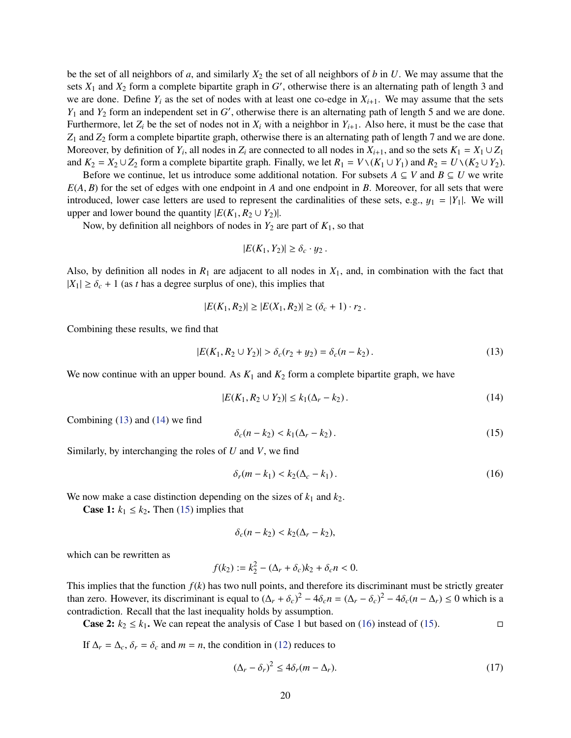be the set of all neighbors of *a*, and similarly  $X_2$  the set of all neighbors of *b* in *U*. We may assume that the sets  $X_1$  and  $X_2$  form a complete bipartite graph in  $G'$ , otherwise there is an alternating path of length 3 and we are done. Define  $Y_i$  as the set of nodes with at least one co-edge in  $X_{i+1}$ . We may assume that the sets *Y*<sup>1</sup> and *Y*<sup>2</sup> form an independent set in *G* ′ , otherwise there is an alternating path of length 5 and we are done. Furthermore, let  $Z_i$  be the set of nodes not in  $X_i$  with a neighbor in  $Y_{i+1}$ . Also here, it must be the case that *Z*<sup>1</sup> and *Z*<sup>2</sup> form a complete bipartite graph, otherwise there is an alternating path of length 7 and we are done. Moreover, by definition of  $Y_i$ , all nodes in  $Z_i$  are connected to all nodes in  $X_{i+1}$ , and so the sets  $K_1 = X_1 \cup Z_1$ and  $K_2 = X_2 \cup Z_2$  form a complete bipartite graph. Finally, we let  $R_1 = V \setminus (K_1 \cup Y_1)$  and  $R_2 = U \setminus (K_2 \cup Y_2)$ .

Before we continue, let us introduce some additional notation. For subsets  $A \subseteq V$  and  $B \subseteq U$  we write *E*(*A*, *B*) for the set of edges with one endpoint in *A* and one endpoint in *B*. Moreover, for all sets that were introduced, lower case letters are used to represent the cardinalities of these sets, e.g.,  $y_1 = |Y_1|$ . We will upper and lower bound the quantity  $|E(K_1, R_2 \cup Y_2)|$ .

Now, by definition all neighbors of nodes in  $Y_2$  are part of  $K_1$ , so that

$$
|E(K_1,Y_2)| \geq \delta_c \cdot y_2.
$$

Also, by definition all nodes in  $R_1$  are adjacent to all nodes in  $X_1$ , and, in combination with the fact that  $|X_1| \ge \delta_c + 1$  (as *t* has a degree surplus of one), this implies that

$$
|E(K_1, R_2)| \ge |E(X_1, R_2)| \ge (\delta_c + 1) \cdot r_2.
$$

Combining these results, we find that

<span id="page-21-1"></span>
$$
|E(K_1, R_2 \cup Y_2)| > \delta_c(r_2 + y_2) = \delta_c(n - k_2).
$$
 (13)

We now continue with an upper bound. As  $K_1$  and  $K_2$  form a complete bipartite graph, we have

<span id="page-21-2"></span>
$$
|E(K_1, R_2 \cup Y_2)| \le k_1(\Delta_r - k_2). \tag{14}
$$

Combining [\(13\)](#page-21-1) and [\(14\)](#page-21-2) we find

<span id="page-21-3"></span>
$$
\delta_c(n-k_2) < k_1(\Delta_r - k_2). \tag{15}
$$

Similarly, by interchanging the roles of *U* and *V*, we find

<span id="page-21-4"></span>
$$
\delta_r(m-k_1) < k_2(\Delta_c - k_1). \tag{16}
$$

We now make a case distinction depending on the sizes of  $k_1$  and  $k_2$ .

**Case 1:**  $k_1 \leq k_2$ . Then [\(15\)](#page-21-3) implies that

$$
\delta_c(n-k_2) < k_2(\Delta_r - k_2),
$$

which can be rewritten as

$$
f(k_2) := k_2^2 - (\Delta_r + \delta_c)k_2 + \delta_c n < 0.
$$

This implies that the function  $f(k)$  has two null points, and therefore its discriminant must be strictly greater than zero. However, its discriminant is equal to  $(\Delta_r + \delta_c)^2 - 4\delta_c n = (\Delta_r - \delta_c)^2 - 4\delta_c (n - \Delta_r) \le 0$  which is a contradiction. Recall that the last inequality holds by assumption.

**Case 2:**  $k_2$  ≤  $k_1$ . We can repeat the analysis of Case 1 but based on [\(16\)](#page-21-4) instead of [\(15\)](#page-21-3). □

If  $\Delta_r = \Delta_c$ ,  $\delta_r = \delta_c$  and  $m = n$ , the condition in [\(12\)](#page-20-3) reduces to

<span id="page-21-0"></span>
$$
(\Delta_r - \delta_r)^2 \le 4\delta_r (m - \Delta_r). \tag{17}
$$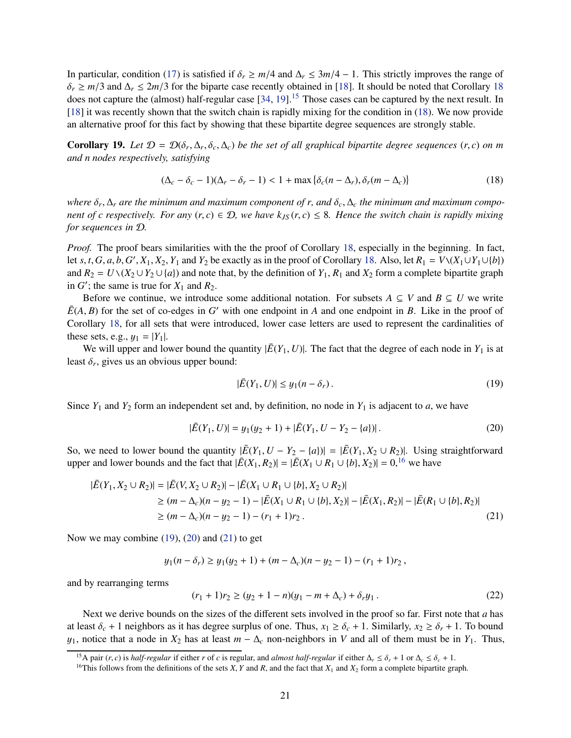In particular, condition [\(17\)](#page-21-0) is satisfied if  $\delta_r \geq m/4$  and  $\Delta_r \leq 3m/4 - 1$ . This strictly improves the range of  $\delta_r \ge m/3$  and  $\Delta_r \le 2m/3$  for the biparte case recently obtained in [\[18\]](#page-43-3). It should be noted that Corollary [18](#page-20-1) does not capture the (almost) half-regular case [\[34,](#page-44-4) [19\]](#page-43-2).<sup>[15](#page-22-1)</sup> Those cases can be captured by the next result. In [\[18\]](#page-43-3) it was recently shown that the switch chain is rapidly mixing for the condition in [\(18\)](#page-22-2). We now provide an alternative proof for this fact by showing that these bipartite degree sequences are strongly stable.

<span id="page-22-0"></span>**Corollary 19.** Let  $\mathcal{D} = \mathcal{D}(\delta_r, \Delta_r, \delta_c, \Delta_c)$  be the set of all graphical bipartite degree sequences  $(r, c)$  on m *and n nodes respectively, satisfying*

<span id="page-22-2"></span>
$$
(\Delta_c - \delta_c - 1)(\Delta_r - \delta_r - 1) < 1 + \max\{\delta_c(n - \Delta_r), \delta_r(m - \Delta_c)\}\tag{18}
$$

*where* δ*<sup>r</sup>* , ∆*<sup>r</sup> are the minimum and maximum component of r, and* δ*c*, ∆*<sup>c</sup> the minimum and maximum component of c respectively. For any*  $(r, c) \in \mathcal{D}$ , we have  $k_{JS}(r, c) \leq 8$ . Hence the switch chain is rapidly mixing *for sequences in* D*.*

*Proof.* The proof bears similarities with the the proof of Corollary [18,](#page-20-1) especially in the beginning. In fact, let *s*, *t*, *G*, *a*, *b*, *G'*, *X*<sub>1</sub>, *X*<sub>2</sub>, *Y*<sub>1</sub> and *Y*<sub>2</sub> be exactly as in the proof of Corollary [18.](#page-20-1) Also, let  $R_1 = V \setminus (X_1 \cup Y_1 \cup \{b\})$ and  $R_2 = U \setminus (X_2 \cup Y_2 \cup \{a\})$  and note that, by the definition of  $Y_1$ ,  $R_1$  and  $X_2$  form a complete bipartite graph in  $G'$ ; the same is true for  $X_1$  and  $R_2$ .

Before we continue, we introduce some additional notation. For subsets  $A \subseteq V$  and  $B \subseteq U$  we write  $E(A, B)$  for the set of co-edges in *G*' with one endpoint in *A* and one endpoint in *B*. Like in the proof of Corollary [18,](#page-20-1) for all sets that were introduced, lower case letters are used to represent the cardinalities of these sets, e.g.,  $y_1 = |Y_1|$ .

We will upper and lower bound the quantity  $|\overline{E}(Y_1, U)|$ . The fact that the degree of each node in  $Y_1$  is at least  $\delta_r$ , gives us an obvious upper bound:

<span id="page-22-6"></span><span id="page-22-4"></span>
$$
|\bar{E}(Y_1, U)| \le y_1(n - \delta_r). \tag{19}
$$

Since  $Y_1$  and  $Y_2$  form an independent set and, by definition, no node in  $Y_1$  is adjacent to *a*, we have

<span id="page-22-5"></span>
$$
|\bar{E}(Y_1, U)| = y_1(y_2 + 1) + |\bar{E}(Y_1, U - Y_2 - \{a\})|.
$$
 (20)

So, we need to lower bound the quantity  $|\bar{E}(Y_1, U - Y_2 - \{a\})| = |\bar{E}(Y_1, X_2 \cup R_2)|$ . Using straightforward upper and lower bounds and the fact that  $|\overline{E}(X_1, R_2)| = |\overline{E}(X_1 \cup R_1 \cup \{b\}, X_2)| = 0,^{16}$  $|\overline{E}(X_1, R_2)| = |\overline{E}(X_1 \cup R_1 \cup \{b\}, X_2)| = 0,^{16}$  $|\overline{E}(X_1, R_2)| = |\overline{E}(X_1 \cup R_1 \cup \{b\}, X_2)| = 0,^{16}$  we have

$$
|\bar{E}(Y_1, X_2 \cup R_2)| = |\bar{E}(V, X_2 \cup R_2)| - |\bar{E}(X_1 \cup R_1 \cup \{b\}, X_2 \cup R_2)|
$$
  
\n
$$
\ge (m - \Delta_c)(n - y_2 - 1) - |\bar{E}(X_1 \cup R_1 \cup \{b\}, X_2)| - |\bar{E}(X_1, R_2)| - |\bar{E}(R_1 \cup \{b\}, R_2)|
$$
  
\n
$$
\ge (m - \Delta_c)(n - y_2 - 1) - (r_1 + 1)r_2.
$$
\n(21)

Now we may combine  $(19)$ ,  $(20)$  and  $(21)$  to get

$$
y_1(n - \delta_r) \ge y_1(y_2 + 1) + (m - \Delta_c)(n - y_2 - 1) - (r_1 + 1)r_2
$$
,

and by rearranging terms

<span id="page-22-7"></span>
$$
(r_1 + 1)r_2 \ge (y_2 + 1 - n)(y_1 - m + \Delta_c) + \delta_r y_1.
$$
 (22)

Next we derive bounds on the sizes of the different sets involved in the proof so far. First note that *a* has at least  $\delta_c + 1$  neighbors as it has degree surplus of one. Thus,  $x_1 \geq \delta_c + 1$ . Similarly,  $x_2 \geq \delta_r + 1$ . To bound y<sub>1</sub>, notice that a node in  $X_2$  has at least  $m - \Delta_c$  non-neighbors in *V* and all of them must be in  $Y_1$ . Thus,

<sup>&</sup>lt;sup>15</sup>A pair (*r*, *c*) is *half-regular* if either *r* of *c* is regular, and *almost half-regular* if either  $\Delta_r \le \delta_r + 1$  or  $\Delta_c \le \delta_c + 1$ .

<span id="page-22-3"></span><span id="page-22-1"></span><sup>&</sup>lt;sup>16</sup>This follows from the definitions of the sets *X*, *Y* and *R*, and the fact that  $X_1$  and  $X_2$  form a complete bipartite graph.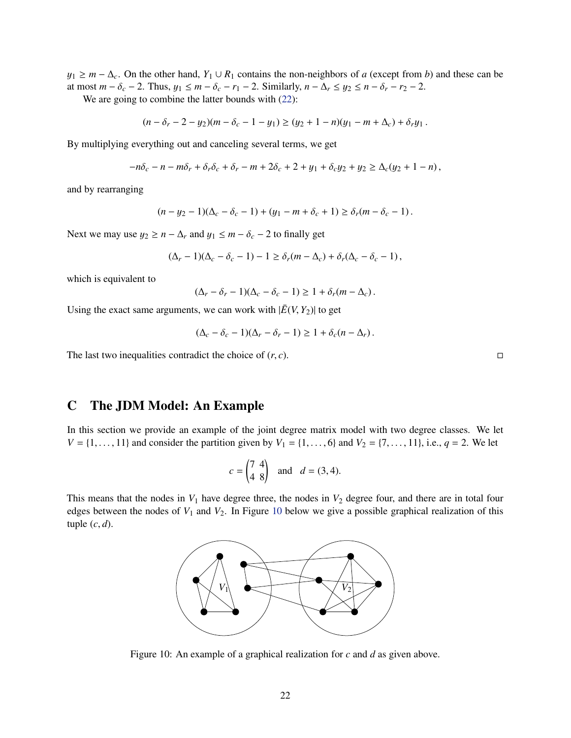$y_1 \geq m - \Delta_c$ . On the other hand,  $Y_1 \cup R_1$  contains the non-neighbors of *a* (except from *b*) and these can be at most  $m - \delta_c - 2$ . Thus,  $y_1 \leq m - \delta_c - r_1 - 2$ . Similarly,  $n - \Delta_r \leq y_2 \leq n - \delta_r - r_2 - 2$ .

We are going to combine the latter bounds with  $(22)$ :

$$
(n - \delta_r - 2 - y_2)(m - \delta_c - 1 - y_1) \ge (y_2 + 1 - n)(y_1 - m + \Delta_c) + \delta_r y_1.
$$

By multiplying everything out and canceling several terms, we get

$$
-n\delta_c - n - m\delta_r + \delta_r \delta_c + \delta_r - m + 2\delta_c + 2 + y_1 + \delta_c y_2 + y_2 \ge \Delta_c (y_2 + 1 - n),
$$

and by rearranging

$$
(n - y_2 - 1)(\Delta_c - \delta_c - 1) + (y_1 - m + \delta_c + 1) \ge \delta_r(m - \delta_c - 1).
$$

Next we may use  $y_2 \ge n - \Delta_r$  and  $y_1 \le m - \delta_c - 2$  to finally get

$$
(\Delta_r - 1)(\Delta_c - \delta_c - 1) - 1 \ge \delta_r(m - \Delta_c) + \delta_r(\Delta_c - \delta_c - 1),
$$

which is equivalent to

$$
(\Delta_r - \delta_r - 1)(\Delta_c - \delta_c - 1) \ge 1 + \delta_r(m - \Delta_c).
$$

Using the exact same arguments, we can work with  $|\overline{E}(V, Y_2)|$  to get

$$
(\Delta_c - \delta_c - 1)(\Delta_r - \delta_r - 1) \ge 1 + \delta_c(n - \Delta_r).
$$

The last two inequalities contradict the choice of  $(r, c)$ .

# <span id="page-23-0"></span>C The JDM Model: An Example

In this section we provide an example of the joint degree matrix model with two degree classes. We let *V* = {1, . . . , 11} and consider the partition given by  $V_1 = \{1, ..., 6\}$  and  $V_2 = \{7, ..., 11\}$ , i.e.,  $q = 2$ . We let

$$
c = \begin{pmatrix} 7 & 4 \\ 4 & 8 \end{pmatrix} \quad \text{and} \quad d = (3, 4).
$$

This means that the nodes in  $V_1$  have degree three, the nodes in  $V_2$  degree four, and there are in total four edges between the nodes of  $V_1$  and  $V_2$ . In Figure [10](#page-23-1) below we give a possible graphical realization of this tuple  $(c, d)$ .



<span id="page-23-1"></span>Figure 10: An example of a graphical realization for *c* and *d* as given above.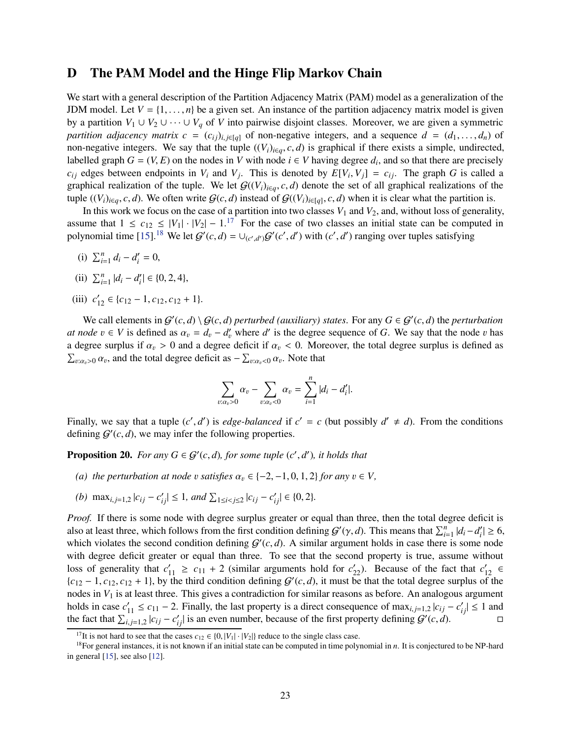## <span id="page-24-0"></span>D The PAM Model and the Hinge Flip Markov Chain

We start with a general description of the Partition Adjacency Matrix (PAM) model as a generalization of the JDM model. Let  $V = \{1, \ldots, n\}$  be a given set. An instance of the partition adjacency matrix model is given by a partition  $V_1 \cup V_2 \cup \cdots \cup V_q$  of *V* into pairwise disjoint classes. Moreover, we are given a symmetric *partition adjacency matrix c* =  $(c_{ij})_{i,j \in [q]}$  of non-negative integers, and a sequence  $d = (d_1, \ldots, d_n)$  of non-negative integers. We say that the tuple  $((V_i)_{i \in q}, c, d)$  is graphical if there exists a simple, undirected, labelled graph  $G = (V, E)$  on the nodes in *V* with node  $i \in V$  having degree  $d_i$ , and so that there are precisely  $c_{ij}$  edges between endpoints in  $V_i$  and  $V_j$ . This is denoted by  $E[V_i, V_j] = c_{ij}$ . The graph *G* is called a graphical realization of the tuple. We let  $G((V_i)_{i \in q}, c, d)$  denote the set of all graphical realizations of the tuple  $((V_i)_{i \in q}, c, d)$ . We often write  $\mathcal{G}(c, d)$  instead of  $\mathcal{G}((V_i)_{i \in [q]}, c, d)$  when it is clear what the partition is.

In this work we focus on the case of a partition into two classes  $V_1$  and  $V_2$ , and, without loss of generality, assume that  $1 \leq c_{12} \leq |V_1| \cdot |V_2| - 1$ .<sup>[17](#page-24-1)</sup> For the case of two classes an initial state can be computed in polynomial time [\[15\]](#page-43-8).<sup>[18](#page-24-2)</sup> We let  $G'(c, d) = \bigcup_{(c', d')} G'(c', d')$  with  $(c', d')$  ranging over tuples satisfying

- (i)  $\sum_{i=1}^{n} d_i d'_i = 0$ ,
- (ii)  $\sum_{i=1}^{n} |d_i d'_i| \in \{0, 2, 4\},\$
- (iii)  $c'_{12} \in \{c_{12} 1, c_{12}, c_{12} + 1\}.$

We call elements in  $G'(c,d) \setminus G(c,d)$  perturbed (auxiliary) states. For any  $G \in G'(c,d)$  the *perturbation at node*  $v \in V$  is defined as  $\alpha_v = d_v - d'_v$  where *d'* is the degree sequence of *G*. We say that the node *v* has a degree surplus if  $\alpha_v > 0$  and a degree deficit if  $\alpha_v < 0$ . Moreover, the total degree surplus is defined as  $\sum_{v:\alpha_v>0} \alpha_v$ , and the total degree deficit as  $-\sum_{v:\alpha_v<0} \alpha_v$ . Note that

$$
\sum_{v:\alpha_v>0}\alpha_v-\sum_{v:\alpha_v<0}\alpha_v=\sum_{i=1}^n|d_i-d_i'|.
$$

Finally, we say that a tuple  $(c', d')$  is *edge-balanced* if  $c' = c$  (but possibly  $d' \neq d$ ). From the conditions defining  $G'(c, d)$ , we may infer the following properties.

<span id="page-24-3"></span>**Proposition 20.** For any  $G \in \mathcal{G}'(c,d)$ , for some tuple  $(c', d')$ , it holds that

- *(a) the perturbation at node* v *satisfies*  $\alpha_v \in \{-2, -1, 0, 1, 2\}$  *for any*  $v \in V$ ,
- $(b)$  max<sub>*i*, *j*=1,2 | $c_{ij} c'_{ij}$ | ≤ 1, and  $\sum_{1 \le i < j \le 2} |c_{ij} c'_{ij}| \in \{0, 2\}.$ </sub>

*Proof.* If there is some node with degree surplus greater or equal than three, then the total degree deficit is also at least three, which follows from the first condition defining  $G'(\gamma, d)$ . This means that  $\sum_{i=1}^{n} |d_i - d'_i| \ge 6$ , which violates the second condition defining  $G'(c, d)$ . A similar argument holds in case there is some node with degree deficit greater or equal than three. To see that the second property is true, assume without loss of generality that  $c'_{11} \ge c_{11} + 2$  (similar arguments hold for  $c'_{22}$ ). Because of the fact that  $c'_{12} \in$  ${c_{12} - 1, c_{12}, c_{12} + 1}$ , by the third condition defining  $G'(c, d)$ , it must be that the total degree surplus of the nodes in  $V_1$  is at least three. This gives a contradiction for similar reasons as before. An analogous argument holds in case  $c'_{11} \le c_{11} - 2$ . Finally, the last property is a direct consequence of  $\max_{i,j=1,2} |c_{ij} - c'_{ij}| \le 1$  and the fact that  $\sum_{i,j=1,2}^{1} |c_{ij} - c'_{ij}|$  is an even number, because of the first property defining  $G'(c, d)$ .

<span id="page-24-1"></span><sup>&</sup>lt;sup>17</sup>It is not hard to see that the cases  $c_{12} \in \{0, |V_1| \cdot |V_2|\}$  reduce to the single class case.

<span id="page-24-2"></span><sup>18</sup>For general instances, it is not known if an initial state can be computed in time polynomial in *n*. It is conjectured to be NP-hard in general [\[15\]](#page-43-8), see also [\[12\]](#page-43-15).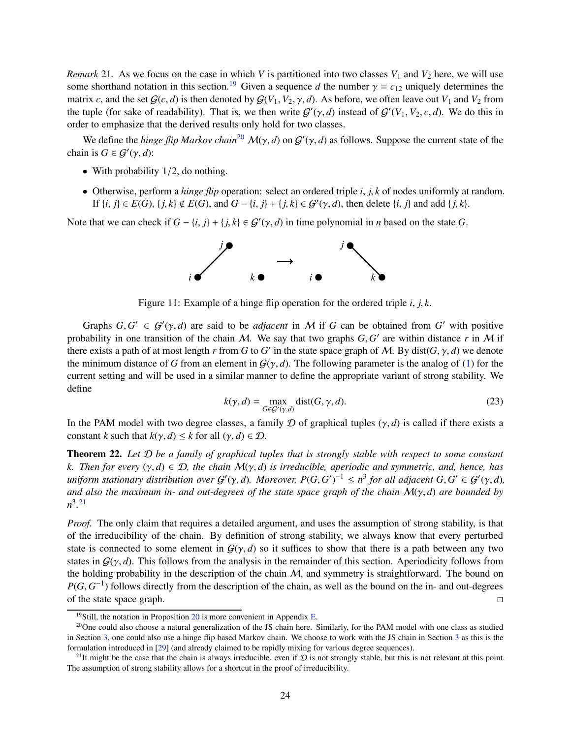*Remark* 21. As we focus on the case in which *V* is partitioned into two classes  $V_1$  and  $V_2$  here, we will use some shorthand notation in this section.<sup>[19](#page-25-0)</sup> Given a sequence *d* the number  $\gamma = c_{12}$  uniquely determines the matrix *c*, and the set  $G(c, d)$  is then denoted by  $G(V_1, V_2, \gamma, d)$ . As before, we often leave out  $V_1$  and  $V_2$  from the tuple (for sake of readability). That is, we then write  $G'(\gamma, d)$  instead of  $G'(V_1, V_2, c, d)$ . We do this in order to emphasize that the derived results only hold for two classes.

We define the *hinge flip Markov chain*<sup>[20](#page-25-1)</sup>  $\mathcal{M}(\gamma, d)$  on  $\mathcal{G}'(\gamma, d)$  as follows. Suppose the current state of the chain is  $G \in \mathcal{G}'(\gamma, d)$ :

- With probability  $1/2$ , do nothing.
- Otherwise, perform a *hinge flip* operation: select an ordered triple *i*, *j*, *k* of nodes uniformly at random. If  $\{i, j\} \in E(G)$ ,  $\{j, k\} \notin E(G)$ , and  $G - \{i, j\} + \{j, k\} \in \mathcal{G}'(\gamma, d)$ , then delete  $\{i, j\}$  and add  $\{j, k\}$ .

Note that we can check if  $G - \{i, j\} + \{j, k\} \in \mathcal{G}'(\gamma, d)$  in time polynomial in *n* based on the state *G*.



Figure 11: Example of a hinge flip operation for the ordered triple *i*, *j*, *k*.

Graphs  $G, G' \in \mathcal{G}'(\gamma, d)$  are said to be *adjacent* in M if G can be obtained from G' with positive probability in one transition of the chain  $M$ . We say that two graphs  $G, G'$  are within distance  $r$  in  $M$  if there exists a path of at most length *r* from *G* to *G'* in the state space graph of *M*. By dist(*G*,  $\gamma$ , *d*) we denote the minimum distance of *G* from an element in  $G(\gamma, d)$ . The following parameter is the analog of [\(1\)](#page-6-4) for the current setting and will be used in a similar manner to define the appropriate variant of strong stability. We define

$$
k(\gamma, d) = \max_{G \in \mathcal{G}'(\gamma, d)} \text{dist}(G, \gamma, d). \tag{23}
$$

In the PAM model with two degree classes, a family D of graphical tuples  $(\gamma, d)$  is called if there exists a constant *k* such that  $k(\gamma, d) \leq k$  for all  $(\gamma, d) \in \mathcal{D}$ .

Theorem 22. *Let* D *be a family of graphical tuples that is strongly stable with respect to some constant k. Then for every* (γ, *d*) ∈ D*, the chain* M(γ, *d*) *is irreducible, aperiodic and symmetric, and, hence, has*  $i$ *uniform stationary distribution over*  $G'(\gamma, d)$ . Moreover,  $P(G, G')^{-1} \leq n^3$  for all adjacent  $G, G' \in G'(\gamma, d)$ , *and also the maximum in- and out-degrees of the state space graph of the chain* M(γ, *d*) *are bounded by*  $n^3$ <sup>[21](#page-25-2)</sup>

*Proof.* The only claim that requires a detailed argument, and uses the assumption of strong stability, is that of the irreducibility of the chain. By definition of strong stability, we always know that every perturbed state is connected to some element in  $G(\gamma, d)$  so it suffices to show that there is a path between any two states in  $G(\gamma, d)$ . This follows from the analysis in the remainder of this section. Aperiodicity follows from the holding probability in the description of the chain  $M$ , and symmetry is straightforward. The bound on  $P(G, G<sup>-1</sup>)$  follows directly from the description of the chain, as well as the bound on the in- and out-degrees of the state space graph.  $\Box$ 

<span id="page-25-0"></span><sup>&</sup>lt;sup>19</sup>Still, the notation in Proposition [20](#page-24-3) is more convenient in Appendix [E.](#page-36-0)

<span id="page-25-1"></span><sup>&</sup>lt;sup>20</sup>One could also choose a natural generalization of the JS chain here. Similarly, for the PAM model with one class as studied in Section [3,](#page-7-0) one could also use a hinge flip based Markov chain. We choose to work with the JS chain in Section [3](#page-7-0) as this is the formulation introduced in [\[29\]](#page-44-2) (and already claimed to be rapidly mixing for various degree sequences).

<span id="page-25-2"></span><sup>&</sup>lt;sup>21</sup>It might be the case that the chain is always irreducible, even if  $\mathcal D$  is not strongly stable, but this is not relevant at this point. The assumption of strong stability allows for a shortcut in the proof of irreducibility.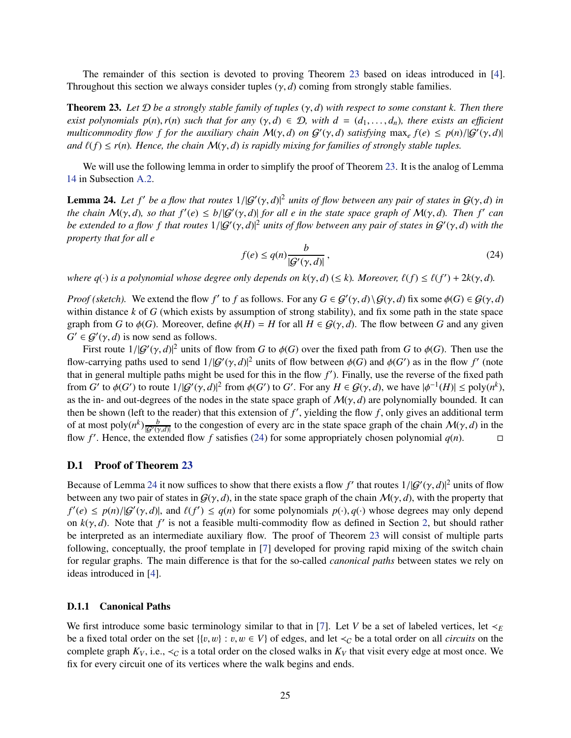The remainder of this section is devoted to proving Theorem [23](#page-26-0) based on ideas introduced in [\[4\]](#page-42-6). Throughout this section we always consider tuples  $(\gamma, d)$  coming from strongly stable families.

<span id="page-26-0"></span>Theorem 23. *Let* D *be a strongly stable family of tuples* (γ, *d*) *with respect to some constant k. Then there exist polynomials p(n), r(n) such that for any*  $(\gamma, d) \in \mathcal{D}$ , with  $d = (d_1, \ldots, d_n)$ , there exists an efficient *multicommodity flow f for the auxiliary chain*  $M(\gamma, d)$  *on*  $G'(\gamma, d)$  *satisfying*  $\max_e f(e) \leq p(n)/|G'(\gamma, d)|$ *and*  $\ell(f) \leq r(n)$ *. Hence, the chain*  $\mathcal{M}(\gamma, d)$  *is rapidly mixing for families of strongly stable tuples.* 

We will use the following lemma in order to simplify the proof of Theorem [23.](#page-26-0) It is the analog of Lemma [14](#page-14-2) in Subsection [A.2.](#page-14-0)

<span id="page-26-4"></span>**Lemma 24.** Let  $f'$  be a flow that routes  $1/|G'(\gamma, d)|^2$  units of flow between any pair of states in  $G(\gamma, d)$  in *the chain*  $M(\gamma, d)$ , so that  $f'(e) \le b/|G'(\gamma, d)|$  for all e in the state space graph of  $M(\gamma, d)$ . Then  $f'$  can *be extended to a flow f that routes* 1/|G′ (γ, *d*)| <sup>2</sup> *units of flow between any pair of states in* <sup>G</sup> ′ (γ, *d*) *with the property that for all e*

<span id="page-26-3"></span>
$$
f(e) \le q(n) \frac{b}{|\mathcal{G}'(\gamma, d)|},\tag{24}
$$

*where q*( $\cdot$ ) *is a polynomial whose degree only depends on k*( $\gamma$ , *d*) ( $\leq k$ ). Moreover,  $\ell(f) \leq \ell(f') + 2k(\gamma, d)$ .

*Proof (sketch).* We extend the flow *f'* to *f* as follows. For any  $G \in \mathcal{G}'(\gamma, d) \setminus \mathcal{G}(\gamma, d)$  fix some  $\phi(G) \in \mathcal{G}(\gamma, d)$ within distance *k* of *G* (which exists by assumption of strong stability), and fix some path in the state space graph from *G* to  $\phi(G)$ . Moreover, define  $\phi(H) = H$  for all  $H \in \mathcal{G}(\gamma, d)$ . The flow between *G* and any given  $G' \in \mathcal{G}'(\gamma, d)$  is now send as follows.

First route  $1/|G'(y, d)|^2$  units of flow from *G* to  $\phi(G)$  over the fixed path from *G* to  $\phi(G)$ . Then use the flow-carrying paths used to send  $1/|G'(y, d)|^2$  units of flow between  $\phi(G)$  and  $\phi(G')$  as in the flow  $f'$  (note that in general multiple paths might be used for this in the flow  $f'$ ). Finally, use the reverse of the fixed path from *G'* to  $\phi(G')$  to route  $1/|G'(\gamma, d)|^2$  from  $\phi(G')$  to *G'*. For any  $H \in G(\gamma, d)$ , we have  $|\phi^{-1}(H)| \le \text{poly}(n^k)$ , as the in- and out-degrees of the nodes in the state space graph of  $M(\gamma, d)$  are polynomially bounded. It can then be shown (left to the reader) that this extension of  $f'$ , yielding the flow  $f$ , only gives an additional term of at most poly $(n^k)$ <sub> $\frac{b}{|G'(n)}$ </sub>  $\frac{b}{|\mathcal{G}'(y,d)|}$  to the congestion of every arc in the state space graph of the chain  $\mathcal{M}(y,d)$  in the flow *f'*. Hence, the extended flow *f* satisfies [\(24\)](#page-26-3) for some appropriately chosen polynomial  $q(n)$ .

### <span id="page-26-1"></span>D.1 Proof of Theorem [23](#page-26-0)

Because of Lemma [24](#page-26-4) it now suffices to show that there exists a flow  $f'$  that routes  $1/|G'(\gamma, d)|^2$  units of flow between any two pair of states in  $G(\gamma, d)$ , in the state space graph of the chain  $\mathcal{M}(\gamma, d)$ , with the property that  $f'(e) \leq p(n)/|G'(y,d)|$ , and  $\ell(f') \leq q(n)$  for some polynomials  $p(\cdot), q(\cdot)$  whose degrees may only depend on  $k(\gamma, d)$ . Note that  $f'$  is not a feasible multi-commodity flow as defined in Section [2,](#page-4-0) but should rather be interpreted as an intermediate auxiliary flow. The proof of Theorem [23](#page-26-0) will consist of multiple parts following, conceptually, the proof template in [\[7\]](#page-42-1) developed for proving rapid mixing of the switch chain for regular graphs. The main difference is that for the so-called *canonical paths* between states we rely on ideas introduced in [\[4\]](#page-42-6).

#### <span id="page-26-2"></span>D.1.1 Canonical Paths

We first introduce some basic terminology similar to that in [\[7\]](#page-42-1). Let *V* be a set of labeled vertices, let  $\prec_E$ be a fixed total order on the set  $\{(v, w) : v, w \in V\}$  of edges, and let  $\prec_C$  be a total order on all *circuits* on the complete graph  $K_V$ , i.e.,  $\prec_C$  is a total order on the closed walks in  $K_V$  that visit every edge at most once. We fix for every circuit one of its vertices where the walk begins and ends.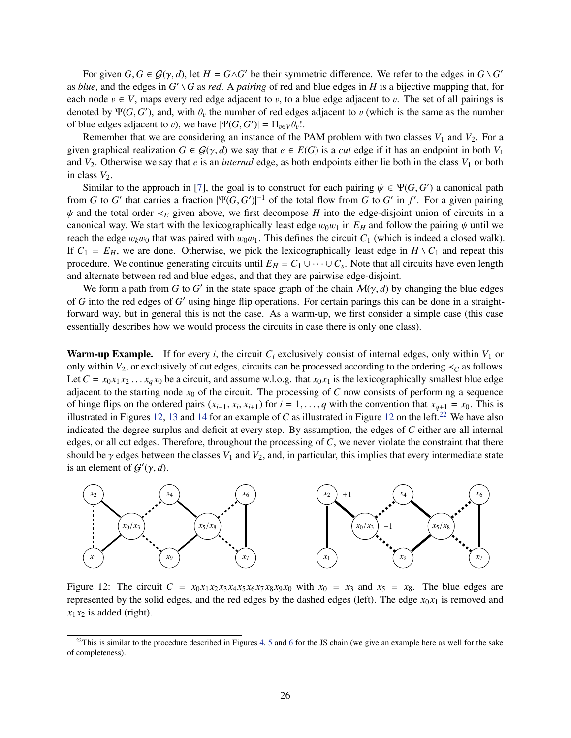For given  $G, G \in \mathcal{G}(\gamma, d)$ , let  $H = G \triangle G'$  be their symmetric difference. We refer to the edges in  $G \setminus G'$ as *blue*, and the edges in *G* ′ *G* as *red*. A *pairing* of red and blue edges in *H* is a bijective mapping that, for each node  $v \in V$ , maps every red edge adjacent to v, to a blue edge adjacent to v. The set of all pairings is denoted by  $\Psi(G, G')$ , and, with  $\theta_v$  the number of red edges adjacent to v (which is the same as the number of blue edges adjacent to *v*), we have  $|\Psi(G, G')| = \Pi_{v \in V} \theta_v!$ .

Remember that we are considering an instance of the PAM problem with two classes  $V_1$  and  $V_2$ . For a given graphical realization  $G \in \mathcal{G}(\gamma, d)$  we say that  $e \in E(G)$  is a *cut* edge if it has an endpoint in both  $V_1$ and  $V_2$ . Otherwise we say that *e* is an *internal* edge, as both endpoints either lie both in the class  $V_1$  or both in class  $V_2$ .

Similar to the approach in [\[7\]](#page-42-1), the goal is to construct for each pairing  $\psi \in \Psi(G, G')$  a canonical path from *G* to *G*<sup> $\prime$ </sup> that carries a fraction  $|\Psi(G, G')|^{-1}$  of the total flow from *G* to *G*<sup> $\prime$ </sup> in *f*<sup> $\prime$ </sup>. For a given pairing  $\psi$  and the total order  $\prec_E$  given above, we first decompose *H* into the edge-disjoint union of circuits in a canonical way. We start with the lexicographically least edge  $w_0w_1$  in  $E_H$  and follow the pairing  $\psi$  until we reach the edge  $w_kw_0$  that was paired with  $w_0w_1$ . This defines the circuit  $C_1$  (which is indeed a closed walk). If  $C_1 = E_H$ , we are done. Otherwise, we pick the lexicographically least edge in  $H \setminus C_1$  and repeat this procedure. We continue generating circuits until  $E_H = C_1 \cup \cdots \cup C_s$ . Note that all circuits have even length and alternate between red and blue edges, and that they are pairwise edge-disjoint.

We form a path from *G* to *G*<sup> $\prime$ </sup> in the state space graph of the chain  $\mathcal{M}(\gamma, d)$  by changing the blue edges of *G* into the red edges of *G* ′ using hinge flip operations. For certain parings this can be done in a straightforward way, but in general this is not the case. As a warm-up, we first consider a simple case (this case essentially describes how we would process the circuits in case there is only one class).

Warm-up Example. If for every *i*, the circuit  $C_i$  exclusively consist of internal edges, only within  $V_1$  or only within  $V_2$ , or exclusively of cut edges, circuits can be processed according to the ordering  $\prec_C$  as follows. Let  $C = x_0 x_1 x_2 \ldots x_q x_0$  be a circuit, and assume w.l.o.g. that  $x_0 x_1$  is the lexicographically smallest blue edge adjacent to the starting node  $x_0$  of the circuit. The processing of  $C$  now consists of performing a sequence of hinge flips on the ordered pairs  $(x_{i-1}, x_i, x_{i+1})$  for  $i = 1, \ldots, q$  with the convention that  $x_{q+1} = x_0$ . This is illustrated in Figures [12,](#page-27-0) [13](#page-28-0) and [14](#page-28-1) for an example of *C* as illustrated in Figure [12](#page-27-0) on the left.<sup>[22](#page-27-1)</sup> We have also indicated the degree surplus and deficit at every step. By assumption, the edges of *C* either are all internal edges, or all cut edges. Therefore, throughout the processing of *C*, we never violate the constraint that there should be  $\gamma$  edges between the classes  $V_1$  and  $V_2$ , and, in particular, this implies that every intermediate state is an element of  $G'(\gamma, d)$ .



<span id="page-27-0"></span>Figure 12: The circuit  $C = x_0 x_1 x_2 x_3 x_4 x_5 x_6 x_7 x_8 x_9 x_0$  with  $x_0 = x_3$  and  $x_5 = x_8$ . The blue edges are represented by the solid edges, and the red edges by the dashed edges (left). The edge  $x_0x_1$  is removed and  $x_1 x_2$  is added (right).

<span id="page-27-1"></span><sup>&</sup>lt;sup>22</sup>This is similar to the procedure described in Figures [4,](#page-16-0) [5](#page-16-1) and [6](#page-16-2) for the JS chain (we give an example here as well for the sake of completeness).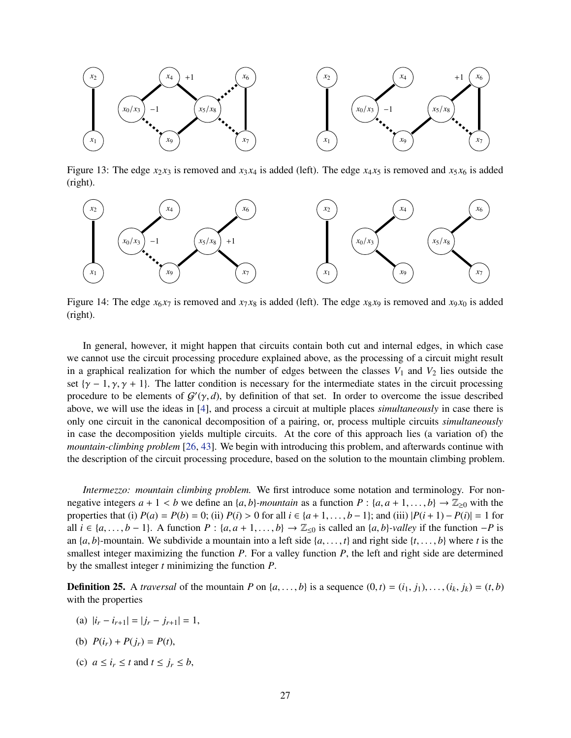

<span id="page-28-0"></span>Figure 13: The edge  $x_2 x_3$  is removed and  $x_3 x_4$  is added (left). The edge  $x_4 x_5$  is removed and  $x_5 x_6$  is added (right).



<span id="page-28-1"></span>Figure 14: The edge  $x_6 x_7$  is removed and  $x_7 x_8$  is added (left). The edge  $x_8 x_9$  is removed and  $x_9 x_0$  is added (right).

In general, however, it might happen that circuits contain both cut and internal edges, in which case we cannot use the circuit processing procedure explained above, as the processing of a circuit might result in a graphical realization for which the number of edges between the classes  $V_1$  and  $V_2$  lies outside the set  $\{\gamma - 1, \gamma, \gamma + 1\}$ . The latter condition is necessary for the intermediate states in the circuit processing procedure to be elements of  $G'(\gamma, d)$ , by definition of that set. In order to overcome the issue described above, we will use the ideas in [\[4\]](#page-42-6), and process a circuit at multiple places *simultaneously* in case there is only one circuit in the canonical decomposition of a pairing, or, process multiple circuits *simultaneously* in case the decomposition yields multiple circuits. At the core of this approach lies (a variation of) the *mountain-climbing problem* [\[26,](#page-44-9) [43\]](#page-45-0). We begin with introducing this problem, and afterwards continue with the description of the circuit processing procedure, based on the solution to the mountain climbing problem.

*Intermezzo: mountain climbing problem.* We first introduce some notation and terminology. For nonnegative integers  $a + 1 < b$  we define an  $\{a, b\}$ *-mountain* as a function  $P : \{a, a + 1, \ldots, b\} \rightarrow \mathbb{Z}_{\geq 0}$  with the properties that (i)  $P(a) = P(b) = 0$ ; (ii)  $P(i) > 0$  for all  $i \in \{a+1, ..., b-1\}$ ; and (iii)  $|P(i+1) - P(i)| = 1$  for all  $i \in \{a, \ldots, b-1\}$ . A function  $P : \{a, a+1, \ldots, b\} \rightarrow \mathbb{Z}_{\leq 0}$  is called an  $\{a, b\}$ *-valley* if the function −*P* is an  $\{a, b\}$ -mountain. We subdivide a mountain into a left side  $\{a, \ldots, t\}$  and right side  $\{t, \ldots, b\}$  where *t* is the smallest integer maximizing the function *P*. For a valley function *P*, the left and right side are determined by the smallest integer *t* minimizing the function *P*.

<span id="page-28-2"></span>**Definition 25.** A *traversal* of the mountain *P* on  $\{a, \ldots, b\}$  is a sequence  $(0, t) = (i_1, j_1), \ldots, (i_k, j_k) = (t, b)$ with the properties

- (a)  $|i_r i_{r+1}| = |j_r j_{r+1}| = 1$ ,
- (b)  $P(i_r) + P(j_r) = P(t)$ ,
- (c)  $a \le i_r \le t$  and  $t \le j_r \le b$ ,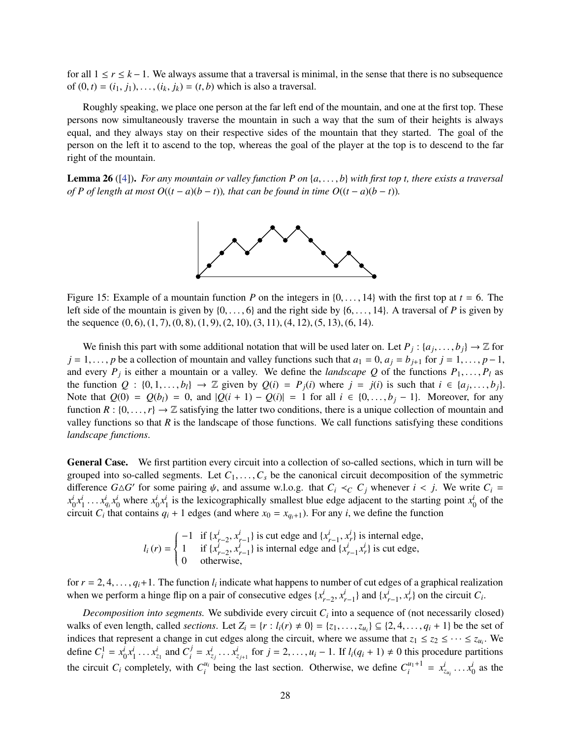for all  $1 \le r \le k - 1$ . We always assume that a traversal is minimal, in the sense that there is no subsequence of  $(0, t) = (i_1, j_1), \dots, (i_k, j_k) = (t, b)$  which is also a traversal.

Roughly speaking, we place one person at the far left end of the mountain, and one at the first top. These persons now simultaneously traverse the mountain in such a way that the sum of their heights is always equal, and they always stay on their respective sides of the mountain that they started. The goal of the person on the left it to ascend to the top, whereas the goal of the player at the top is to descend to the far right of the mountain.

<span id="page-29-0"></span>Lemma 26 ([\[4\]](#page-42-6)). *For any mountain or valley function P on* {*a*, . . . , *b*} *with first top t, there exists a traversal of P of length at most*  $O((t - a)(b - t))$ *, that can be found in time*  $O((t - a)(b - t))$ *.* 



Figure 15: Example of a mountain function *P* on the integers in  $\{0, \ldots, 14\}$  with the first top at  $t = 6$ . The left side of the mountain is given by  $\{0, \ldots, 6\}$  and the right side by  $\{6, \ldots, 14\}$ . A traversal of P is given by the sequence (0, 6), (1, 7), (0, 8), (1, 9), (2, 10), (3, 11), (4, 12), (5, 13), (6, 14).

We finish this part with some additional notation that will be used later on. Let  $P_j$  :  $\{a_j, \ldots, b_j\} \to \mathbb{Z}$  for *j* = 1,..., *p* be a collection of mountain and valley functions such that  $a_1 = 0$ ,  $a_j = b_{j+1}$  for *j* = 1,..., *p*−1, and every  $P_j$  is either a mountain or a valley. We define the *landscape* Q of the functions  $P_1, \ldots, P_l$  as the function  $Q : \{0, 1, \ldots, b_l\} \to \mathbb{Z}$  given by  $Q(i) = P_j(i)$  where  $j = j(i)$  is such that  $i \in \{a_j, \ldots, b_j\}$ . Note that  $Q(0) = Q(b_i) = 0$ , and  $|Q(i + 1) - Q(i)| = 1$  for all *i* ∈ {0, . . . , *b<sub>i</sub>* − 1}. Moreover, for any function  $R : \{0, \ldots, r\} \to \mathbb{Z}$  satisfying the latter two conditions, there is a unique collection of mountain and valley functions so that  $R$  is the landscape of those functions. We call functions satisfying these conditions *landscape functions*.

General Case. We first partition every circuit into a collection of so-called sections, which in turn will be grouped into so-called segments. Let  $C_1, \ldots, C_s$  be the canonical circuit decomposition of the symmetric difference  $G \triangle G'$  for some pairing  $\psi$ , and assume w.l.o.g. that  $C_i \prec_C C_j$  whenever  $i < j$ . We write  $C_i =$  $x_0^i x_1^i \dots x_{q_i}^i x_0^i$  where  $x_0^i x_1^i$  is the lexicographically smallest blue edge adjacent to the starting point  $x_0^i$  of the circuit  $C_i$  that contains  $q_i + 1$  edges (and where  $x_0 = x_{q_i+1}$ ). For any *i*, we define the function

$$
l_i(r) = \begin{cases} -1 & \text{if } \{x_{r-2}^i, x_{r-1}^i\} \text{ is cut edge and } \{x_{r-1}^i, x_r^i\} \text{ is internal edge,} \\ 1 & \text{if } \{x_{r-2}^i, x_{r-1}^i\} \text{ is internal edge and } \{x_{r-1}^i, x_r^i\} \text{ is cut edge,} \\ 0 & \text{otherwise,} \end{cases}
$$

for  $r = 2, 4, \ldots, q_i+1$ . The function  $l_i$  indicate what happens to number of cut edges of a graphical realization when we perform a hinge flip on a pair of consecutive edges  $\{x_{r-2}^i, x_{r-1}^i\}$  and  $\{x_{r-1}^i, x_r^i\}$  on the circuit  $C_i$ .

*Decomposition into segments.* We subdivide every circuit  $C_i$  into a sequence of (not necessarily closed) walks of even length, called *sections*. Let  $Z_i = \{r : l_i(r) \neq 0\} = \{z_1, \ldots, z_{u_i}\} \subseteq \{2, 4, \ldots, q_i + 1\}$  be the set of indices that represent a change in cut edges along the circuit, where we assume that  $z_1 \le z_2 \le \cdots \le z_{u_i}$ . We define  $C_i^1 = x_0^i x_1^i \dots x_{z_1}^i$  and  $C_i^j$  $x_i^j = x_{z_j}^i \dots x_{z_{j+1}}^i$  for  $j = 2, \dots, u_i - 1$ . If  $l_i(q_i + 1) \neq 0$  this procedure partitions the circuit  $C_i$  completely, with  $C_i^{u_i}$  $v_i^{u_i}$  being the last section. Otherwise, we define  $C_i^{u_1+1}$  $x_i^{u_1+1} = x_{z_{u_i}}^i \dots x_0^i$  as the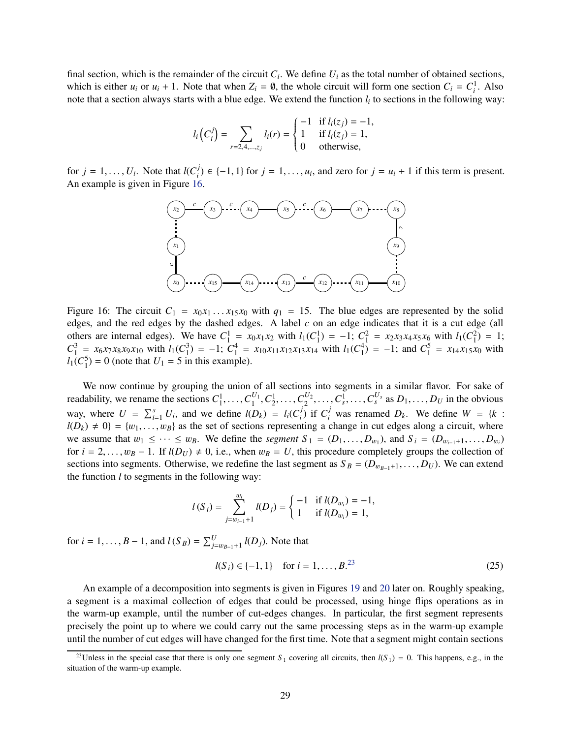final section, which is the remainder of the circuit  $C_i$ . We define  $U_i$  as the total number of obtained sections, which is either  $u_i$  or  $u_i + 1$ . Note that when  $Z_i = \emptyset$ , the whole circuit will form one section  $C_i = C_i^1$ . Also note that a section always starts with a blue edge. We extend the function *l<sup>i</sup>* to sections in the following way:

$$
l_i\left(C_i^j\right) = \sum_{r=2,4,\dots,z_j} l_i(r) = \begin{cases} -1 & \text{if } l_i(z_j) = -1, \\ 1 & \text{if } l_i(z_j) = 1, \\ 0 & \text{otherwise,} \end{cases}
$$

for  $j = 1, \ldots, U_i$ . Note that  $l(C_i^j)$ *i*) ∈ {-1, 1} for *j* = 1, ..., *u<sub>i</sub>*, and zero for *j* = *u<sub>i</sub>* + 1 if this term is present. An example is given in Figure [16.](#page-30-0)



<span id="page-30-0"></span>Figure 16: The circuit  $C_1 = x_0 x_1 \dots x_{15} x_0$  with  $q_1 = 15$ . The blue edges are represented by the solid edges, and the red edges by the dashed edges. A label *c* on an edge indicates that it is a cut edge (all others are internal edges). We have  $C_1^1 = x_0x_1x_2$  with  $l_1(C_1^1) = -1$ ;  $C_1^2 = x_2x_3x_4x_5x_6$  with  $l_1(C_1^2) = 1$ ;  $C_1^3 = x_6x_7x_8x_9x_{10}$  with  $l_1(C_1^3) = -1$ ;  $C_1^4 = x_{10}x_{11}x_{12}x_{13}x_{14}$  with  $l_1(C_1^4) = -1$ ; and  $C_1^5 = x_{14}x_{15}x_0$  with  $l_1(C_1^5) = 0$  (note that  $U_1 = 5$  in this example).

We now continue by grouping the union of all sections into segments in a similar flavor. For sake of readability, we rename the sections  $C_1^1, \ldots, C_1^{U_1}$  $C_1^{U_1}, C_2^1, \ldots, C_2^{U_2}$  $\mathcal{L}_2^U, \ldots, \mathcal{C}_s^{\overline{1}}, \ldots, \mathcal{C}_s^{\overline{U}_s}$  as  $D_1, \ldots, D_U$  in the obvious way, where  $U = \sum_{i=1}^{s} U_i$ , and we define  $l(D_k) = l_i(C_i^j)$  $\int_{i}^{j}$  if  $C_i^j$  was renamed *D<sub>k</sub>*. We define  $W = \{k :$  $l(D_k) \neq 0$ } = { $w_1, \ldots, w_B$ } as the set of sections representing a change in cut edges along a circuit, where we assume that  $w_1 \leq \cdots \leq w_B$ . We define the *segment*  $S_1 = (D_1, \ldots, D_{w_1})$ , and  $S_i = (D_{w_{i-1}+1}, \ldots, D_{w_i})$ for  $i = 2, \ldots, w_B - 1$ . If  $l(D_U) \neq 0$ , i.e., when  $w_B = U$ , this procedure completely groups the collection of sections into segments. Otherwise, we redefine the last segment as  $S_B = (D_{w_{B-1}+1}, \ldots, D_U)$ . We can extend the function *l* to segments in the following way:

$$
l(S_i) = \sum_{j=w_{i-1}+1}^{w_i} l(D_j) = \begin{cases} -1 & \text{if } l(D_{w_i}) = -1, \\ 1 & \text{if } l(D_{w_i}) = 1, \end{cases}
$$

for *i* = 1, ..., *B* − 1, and *l*(*S*<sub>*B*</sub>) =  $\sum_{j=w_{B-1}+1}^{U}$  *l*(*D*<sub>*j*</sub>). Note that

<span id="page-30-2"></span>
$$
l(S_i) \in \{-1, 1\}
$$
 for  $i = 1, ..., B^{23}$  (25)

An example of a decomposition into segments is given in Figures [19](#page-34-0) and [20](#page-34-1) later on. Roughly speaking, a segment is a maximal collection of edges that could be processed, using hinge flips operations as in the warm-up example, until the number of cut-edges changes. In particular, the first segment represents precisely the point up to where we could carry out the same processing steps as in the warm-up example until the number of cut edges will have changed for the first time. Note that a segment might contain sections

<span id="page-30-1"></span><sup>&</sup>lt;sup>23</sup>Unless in the special case that there is only one segment  $S_1$  covering all circuits, then  $l(S_1) = 0$ . This happens, e.g., in the situation of the warm-up example.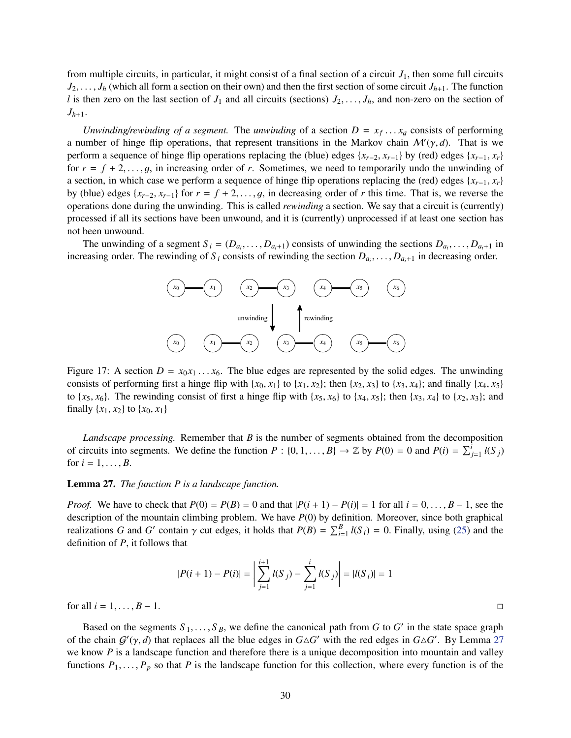from multiple circuits, in particular, it might consist of a final section of a circuit  $J_1$ , then some full circuits  $J_2, \ldots, J_h$  (which all form a section on their own) and then the first section of some circuit  $J_{h+1}$ . The function *l* is then zero on the last section of  $J_1$  and all circuits (sections)  $J_2, \ldots, J_h$ , and non-zero on the section of  $J_{h+1}$ .

*Unwinding/rewinding of a segment.* The *unwinding* of a section  $D = x_f \dots x_g$  consists of performing a number of hinge flip operations, that represent transitions in the Markov chain  $\mathcal{M}'(\gamma, d)$ . That is we perform a sequence of hinge flip operations replacing the (blue) edges  $\{x_{r-2}, x_{r-1}\}$  by (red) edges  $\{x_{r-1}, x_r\}$ for  $r = f + 2, \ldots, g$ , in increasing order of *r*. Sometimes, we need to temporarily undo the unwinding of a section, in which case we perform a sequence of hinge flip operations replacing the (red) edges  $\{x_{r-1}, x_r\}$ by (blue) edges  $\{x_{r-2}, x_{r-1}\}$  for  $r = f + 2, \ldots, g$ , in decreasing order of *r* this time. That is, we reverse the operations done during the unwinding. This is called *rewinding* a section. We say that a circuit is (currently) processed if all its sections have been unwound, and it is (currently) unprocessed if at least one section has not been unwound.

The unwinding of a segment  $S_i = (D_{a_i}, \ldots, D_{a_i+1})$  consists of unwinding the sections  $D_{a_i}, \ldots, D_{a_i+1}$  in increasing order. The rewinding of  $S_i$  consists of rewinding the section  $D_{a_i}, \ldots, D_{a_i+1}$  in decreasing order.



Figure 17: A section  $D = x_0 x_1 \ldots x_6$ . The blue edges are represented by the solid edges. The unwinding consists of performing first a hinge flip with  $\{x_0, x_1\}$  to  $\{x_1, x_2\}$ ; then  $\{x_2, x_3\}$  to  $\{x_3, x_4\}$ ; and finally  $\{x_4, x_5\}$ to  $\{x_5, x_6\}$ . The rewinding consist of first a hinge flip with  $\{x_5, x_6\}$  to  $\{x_4, x_5\}$ ; then  $\{x_3, x_4\}$  to  $\{x_2, x_3\}$ ; and finally  $\{x_1, x_2\}$  to  $\{x_0, x_1\}$ 

*Landscape processing.* Remember that *B* is the number of segments obtained from the decomposition of circuits into segments. We define the function  $P : \{0, 1, ..., B\} \to \mathbb{Z}$  by  $P(0) = 0$  and  $P(i) = \sum_{j=1}^{i} l(S_j)$ for  $i = 1, ..., B$ .

#### <span id="page-31-0"></span>Lemma 27. *The function P is a landscape function.*

*Proof.* We have to check that  $P(0) = P(B) = 0$  and that  $|P(i+1) - P(i)| = 1$  for all  $i = 0, \ldots, B-1$ , see the description of the mountain climbing problem. We have *P*(0) by definition. Moreover, since both graphical realizations *G* and *G'* contain  $\gamma$  cut edges, it holds that  $P(B) = \sum_{i=1}^{B} l(S_i) = 0$ . Finally, using [\(25\)](#page-30-2) and the definition of *P*, it follows that

$$
|P(i + 1) - P(i)| = \left| \sum_{j=1}^{i+1} l(S_j) - \sum_{j=1}^{i} l(S_j) \right| = |l(S_i)| = 1
$$

for all  $i = 1, ..., B - 1$ .

Based on the segments  $S_1, \ldots, S_B$ , we define the canonical path from *G* to *G'* in the state space graph of the chain  $G'(\gamma, d)$  that replaces all the blue edges in  $G \triangle G'$  with the red edges in  $G \triangle G'$ . By Lemma [27](#page-31-0) we know *P* is a landscape function and therefore there is a unique decomposition into mountain and valley functions  $P_1, \ldots, P_p$  so that P is the landscape function for this collection, where every function is of the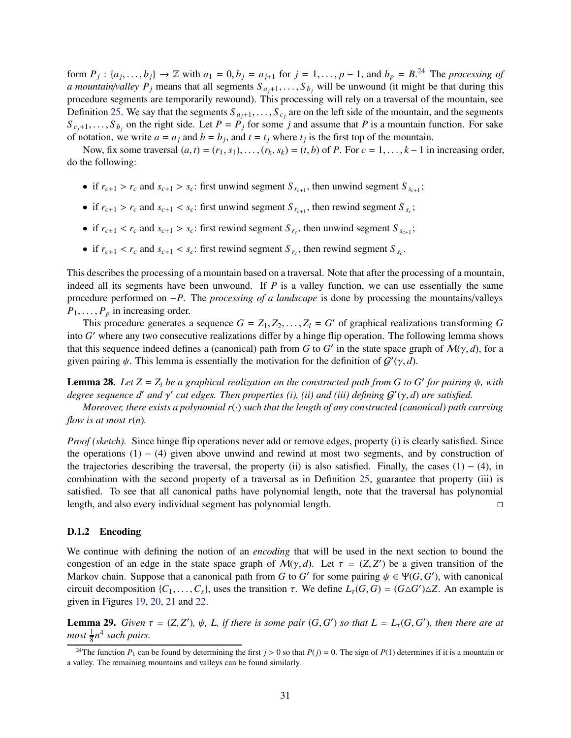form  $P_j$ :  $\{a_j, \ldots, b_j\}$   $\rightarrow \mathbb{Z}$  with  $a_1 = 0, b_j = a_{j+1}$  for  $j = 1, \ldots, p-1$ , and  $b_p = B^{24}$  $b_p = B^{24}$  $b_p = B^{24}$  The processing of *a mountain/valley P<sub>j</sub>* means that all segments  $S_{a_j+1}, \ldots, S_{b_j}$  will be unwound (it might be that during this procedure segments are temporarily rewound). This processing will rely on a traversal of the mountain, see Definition [25.](#page-28-2) We say that the segments  $S_{a_j+1}, \ldots, S_{c_j}$  are on the left side of the mountain, and the segments  $S_{c_j+1}, \ldots, S_{b_j}$  on the right side. Let  $P = P_j$  for some *j* and assume that *P* is a mountain function. For sake of notation, we write  $a = a_j$  and  $b = b_j$ , and  $t = t_j$  where  $t_j$  is the first top of the mountain.

Now, fix some traversal  $(a, t) = (r_1, s_1), \ldots, (r_k, s_k) = (t, b)$  of *P*. For  $c = 1, \ldots, k - 1$  in increasing order, do the following:

- if  $r_{c+1} > r_c$  and  $s_{c+1} > s_c$ : first unwind segment  $S_{r_{c+1}}$ , then unwind segment  $S_{s_{c+1}}$ ;
- if  $r_{c+1} > r_c$  and  $s_{c+1} < s_c$ : first unwind segment  $S_{r_{c+1}}$ , then rewind segment  $S_{s_c}$ ;
- if  $r_{c+1} < r_c$  and  $s_{c+1} > s_c$ : first rewind segment  $S_{r_c}$ , then unwind segment  $S_{s_{c+1}}$ ;
- if  $r_{c+1} < r_c$  and  $s_{c+1} < s_c$ : first rewind segment  $S_{r_c}$ , then rewind segment  $S_{s_c}$ .

This describes the processing of a mountain based on a traversal. Note that after the processing of a mountain, indeed all its segments have been unwound. If *P* is a valley function, we can use essentially the same procedure performed on −*P*. The *processing of a landscape* is done by processing the mountains/valleys  $P_1, \ldots, P_p$  in increasing order.

This procedure generates a sequence  $G = Z_1, Z_2, \ldots, Z_l = G'$  of graphical realizations transforming  $G$ into *G* ′ where any two consecutive realizations differ by a hinge flip operation. The following lemma shows that this sequence indeed defines a (canonical) path from *G* to *G'* in the state space graph of  $M(\gamma, d)$ , for a given pairing  $\psi$ . This lemma is essentially the motivation for the definition of  $\mathcal{G}'(\gamma, d)$ .

**Lemma 28.** Let  $Z = Z_i$  be a graphical realization on the constructed path from G to G' for pairing  $\psi$ , with *degree sequence d*′ *and* γ ′ *cut edges. Then properties (i), (ii) and (iii) defining* G ′ (γ, *d*) *are satisfied.*

*Moreover, there exists a polynomial r*(·) *such that the length of any constructed (canonical) path carrying flow is at most r*(*n*)*.*

*Proof (sketch).* Since hinge flip operations never add or remove edges, property (i) is clearly satisfied. Since the operations  $(1) - (4)$  given above unwind and rewind at most two segments, and by construction of the trajectories describing the traversal, the property (ii) is also satisfied. Finally, the cases  $(1) - (4)$ , in combination with the second property of a traversal as in Definition [25,](#page-28-2) guarantee that property (iii) is satisfied. To see that all canonical paths have polynomial length, note that the traversal has polynomial length, and also every individual segment has polynomial length.

#### <span id="page-32-0"></span>D.1.2 Encoding

We continue with defining the notion of an *encoding* that will be used in the next section to bound the congestion of an edge in the state space graph of  $M(\gamma, d)$ . Let  $\tau = (Z, Z')$  be a given transition of the Markov chain. Suppose that a canonical path from *G* to *G'* for some pairing  $\psi \in \Psi(G, G')$ , with canonical circuit decomposition  $\{C_1, \ldots, C_s\}$ , uses the transition  $\tau$ . We define  $L_\tau(G, G) = (G \triangle G') \triangle Z$ . An example is given in Figures [19,](#page-34-0) [20,](#page-34-1) [21](#page-34-2) and [22.](#page-35-1)

<span id="page-32-2"></span>**Lemma 29.** *Given*  $\tau = (Z, Z')$ ,  $\psi$ , *L*, *if there is some pair*  $(G, G')$  *so that*  $L = L_{\tau}(G, G')$ , *then there are at most* <sup>1</sup> 8 *n* 4 *such pairs.*

<span id="page-32-1"></span><sup>&</sup>lt;sup>24</sup>The function  $P_1$  can be found by determining the first  $j > 0$  so that  $P(j) = 0$ . The sign of  $P(1)$  determines if it is a mountain or a valley. The remaining mountains and valleys can be found similarly.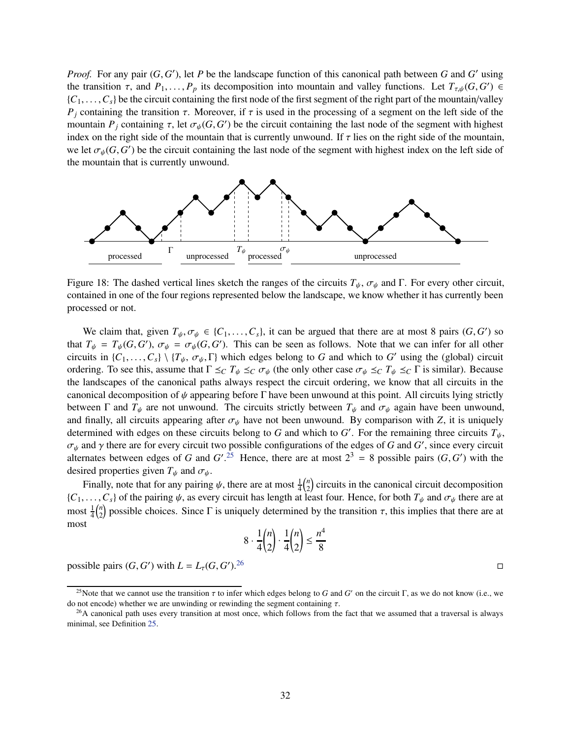*Proof.* For any pair  $(G, G')$ , let *P* be the landscape function of this canonical path between *G* and *G'* using the transition  $\tau$ , and  $P_1, \ldots, P_p$  its decomposition into mountain and valley functions. Let  $T_{\tau,\psi}(G, G') \in$  $\{C_1, \ldots, C_s\}$  be the circuit containing the first node of the first segment of the right part of the mountain/valley *P*<sup>*j*</sup> containing the transition  $\tau$ . Moreover, if  $\tau$  is used in the processing of a segment on the left side of the mountain  $P_j$  containing  $\tau$ , let  $\sigma_{\psi}(G, G')$  be the circuit containing the last node of the segment with highest index on the right side of the mountain that is currently unwound. If  $\tau$  lies on the right side of the mountain, we let  $\sigma_{\psi}(G, G')$  be the circuit containing the last node of the segment with highest index on the left side of the mountain that is currently unwound.



Figure 18: The dashed vertical lines sketch the ranges of the circuits  $T_{\psi}$ ,  $\sigma_{\psi}$  and Γ. For every other circuit, contained in one of the four regions represented below the landscape, we know whether it has currently been processed or not.

We claim that, given  $T_{\psi}, \sigma_{\psi} \in \{C_1, \ldots, C_s\}$ , it can be argued that there are at most 8 pairs  $(G, G')$  so that  $T_{\psi} = T_{\psi}(G, G')$ ,  $\sigma_{\psi} = \sigma_{\psi}(G, G')$ . This can be seen as follows. Note that we can infer for all other circuits in  $\{C_1, \ldots, C_s\} \setminus \{T_\psi, \sigma_\psi, \Gamma\}$  which edges belong to *G* and which to *G'* using the (global) circuit ordering. To see this, assume that  $\Gamma \leq_C T_{\psi} \leq_C \sigma_{\psi}$  (the only other case  $\sigma_{\psi} \leq_C T_{\psi} \leq_C \Gamma$  is similar). Because the landscapes of the canonical paths always respect the circuit ordering, we know that all circuits in the canonical decomposition of  $\psi$  appearing before Γ have been unwound at this point. All circuits lying strictly between  $\Gamma$  and  $T_{\psi}$  are not unwound. The circuits strictly between  $T_{\psi}$  and  $\sigma_{\psi}$  again have been unwound, and finally, all circuits appearing after  $\sigma_{\psi}$  have not been unwound. By comparison with *Z*, it is uniquely determined with edges on these circuits belong to *G* and which to *G'*. For the remaining three circuits  $T_{\psi}$ ,  $\sigma_{\psi}$  and  $\gamma$  there are for every circuit two possible configurations of the edges of *G* and *G'*, since every circuit alternates between edges of *G* and  $G'$ .<sup>[25](#page-33-0)</sup> Hence, there are at most  $2^3 = 8$  possible pairs  $(G, G')$  with the desired properties given  $T_{\psi}$  and  $\sigma_{\psi}$ .

Finally, note that for any pairing  $\psi$ , there are at most  $\frac{1}{4} \binom{n}{2}$  $\binom{n}{2}$  circuits in the canonical circuit decomposition  ${C_1, \ldots, C_s}$  of the pairing  $\psi$ , as every circuit has length at least four. Hence, for both  $T_\psi$  and  $\sigma_\psi$  there are at most  $\frac{1}{4} {n \choose 2}$  $n_2$ ) possible choices. Since  $\Gamma$  is uniquely determined by the transition  $\tau$ , this implies that there are at most

$$
8 \cdot \frac{1}{4} {n \choose 2} \cdot \frac{1}{4} {n \choose 2} \le \frac{n^4}{8}
$$

possible pairs  $(G, G')$  with  $L = L_{\tau}(G, G')$  $1.26$  $1.26$ 

<span id="page-33-0"></span><sup>&</sup>lt;sup>25</sup>Note that we cannot use the transition  $\tau$  to infer which edges belong to *G* and *G'* on the circuit Γ, as we do not know (i.e., we do not encode) whether we are unwinding or rewinding the segment containing  $\tau$ .

<span id="page-33-1"></span> $26A$  canonical path uses every transition at most once, which follows from the fact that we assumed that a traversal is always minimal, see Definition [25.](#page-28-2)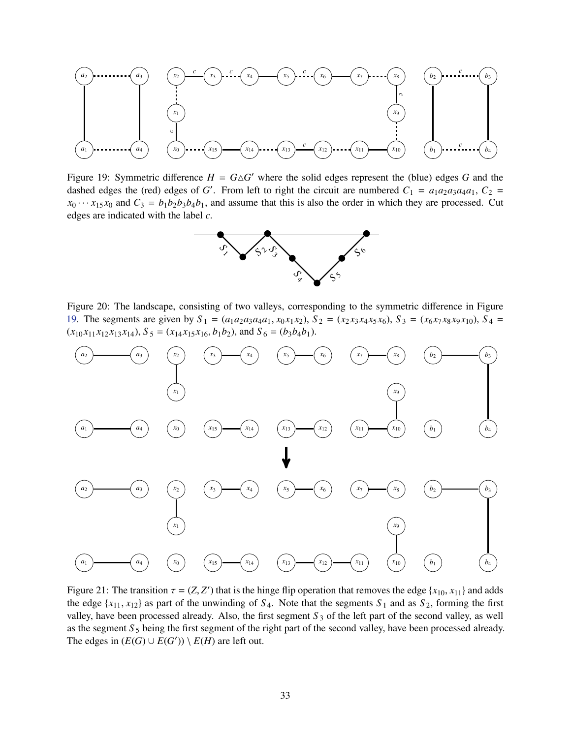

<span id="page-34-0"></span>Figure 19: Symmetric difference  $H = G \triangle G'$  where the solid edges represent the (blue) edges *G* and the dashed edges the (red) edges of *G'*. From left to right the circuit are numbered  $C_1 = a_1 a_2 a_3 a_4 a_1$ ,  $C_2 = a_1 a_2 a_3 a_4 a_1$  $x_0 \cdots x_{15} x_0$  and  $C_3 = b_1 b_2 b_3 b_4 b_1$ , and assume that this is also the order in which they are processed. Cut edges are indicated with the label *c*.



<span id="page-34-1"></span>Figure 20: The landscape, consisting of two valleys, corresponding to the symmetric difference in Figure [19.](#page-34-0) The segments are given by  $S_1 = (a_1 a_2 a_3 a_4 a_1, x_0 x_1 x_2), S_2 = (x_2 x_3 x_4 x_5 x_6), S_3 = (x_6 x_7 x_8 x_9 x_{10}), S_4 = (x_7 x_8 x_9 x_9 x_{10})$  $(x_{10}x_{11}x_{12}x_{13}x_{14}), S_5 = (x_{14}x_{15}x_{16}, b_1b_2), \text{ and } S_6 = (b_3b_4b_1).$ 



<span id="page-34-2"></span>Figure 21: The transition  $\tau = (Z, Z')$  that is the hinge flip operation that removes the edge  $\{x_{10}, x_{11}\}$  and adds the edge  $\{x_{11}, x_{12}\}$  as part of the unwinding of  $S_4$ . Note that the segments  $S_1$  and as  $S_2$ , forming the first valley, have been processed already. Also, the first segment  $S_3$  of the left part of the second valley, as well as the segment *S*<sub>5</sub> being the first segment of the right part of the second valley, have been processed already. The edges in  $(E(G) \cup E(G')) \setminus E(H)$  are left out.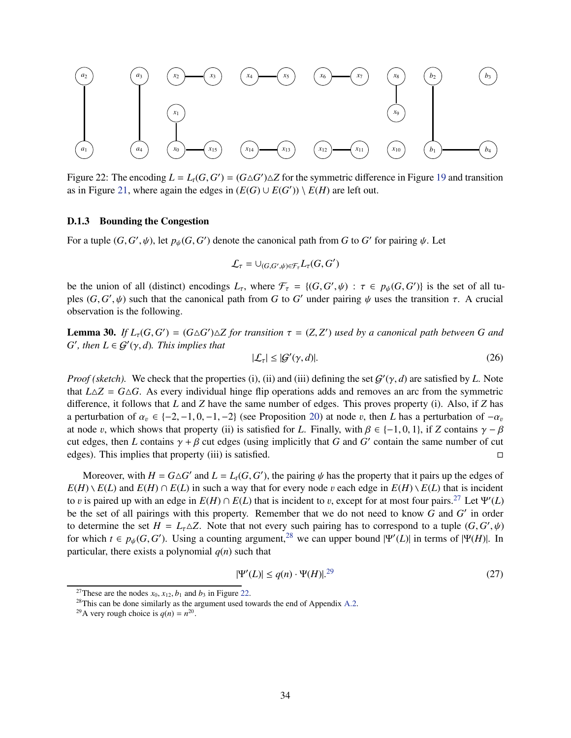

<span id="page-35-1"></span>Figure 22: The encoding  $L = L_t(G, G') = (G \triangle G') \triangle Z$  for the symmetric difference in Figure [19](#page-34-0) and transition as in Figure [21,](#page-34-2) where again the edges in  $(E(G) \cup E(G')) \setminus E(H)$  are left out.

## <span id="page-35-0"></span>D.1.3 Bounding the Congestion

For a tuple  $(G, G', \psi)$ , let  $p_{\psi}(G, G')$  denote the canonical path from *G* to *G'* for pairing  $\psi$ . Let

$$
\mathcal{L}_{\tau} = \cup_{(G,G',\psi)\in\mathcal{F}_{\tau}}L_{\tau}(G,G')
$$

be the union of all (distinct) encodings  $L_{\tau}$ , where  $\mathcal{F}_{\tau} = \{(G, G', \psi) : \tau \in p_{\psi}(G, G')\}$  is the set of all tuples  $(G, G', \psi)$  such that the canonical path from *G* to *G'* under pairing  $\psi$  uses the transition  $\tau$ . A crucial observation is the following.

**Lemma 30.** If  $L_{\tau}(G, G') = (G \triangle G') \triangle Z$  for transition  $\tau = (Z, Z')$  used by a canonical path between G and  $G'$ , then  $L \in \mathcal{G}'(\gamma, d)$ *. This implies that* 

<span id="page-35-6"></span>
$$
|\mathcal{L}_\tau| \le |\mathcal{G}'(\gamma, d)|. \tag{26}
$$

*Proof (sketch)*. We check that the properties (i), (ii) and (iii) defining the set  $G'(\gamma, d)$  are satisfied by *L*. Note that  $L\Delta Z = G\Delta G$ . As every individual hinge flip operations adds and removes an arc from the symmetric difference, it follows that *L* and *Z* have the same number of edges. This proves property (i). Also, if *Z* has a perturbation of  $\alpha_v \in \{-2, -1, 0, -1, -2\}$  (see Proposition [20\)](#page-24-3) at node v, then *L* has a perturbation of  $-\alpha_v$ at node v, which shows that property (ii) is satisfied for *L*. Finally, with  $\beta \in \{-1, 0, 1\}$ , if *Z* contains  $\gamma - \beta$ cut edges, then *L* contains  $\gamma + \beta$  cut edges (using implicitly that *G* and *G'* contain the same number of cut edges). This implies that property (iii) is satisfied.  $\square$ 

Moreover, with  $H = G \triangle G'$  and  $L = L_t(G, G')$ , the pairing  $\psi$  has the property that it pairs up the edges of  $E(H) \setminus E(L)$  and  $E(H) \cap E(L)$  in such a way that for every node v each edge in  $E(H) \setminus E(L)$  that is incident to v is paired up with an edge in  $E(H) \cap E(L)$  that is incident to v, except for at most four pairs.<sup>[27](#page-35-2)</sup> Let  $\Psi'(L)$ be the set of all pairings with this property. Remember that we do not need to know *G* and *G* ′ in order to determine the set  $H = L_{\tau} \triangle Z$ . Note that not every such pairing has to correspond to a tuple  $(G, G', \psi)$ for which  $t \in p_{\psi}(G, G')$ . Using a counting argument,<sup>[28](#page-35-3)</sup> we can upper bound  $|\Psi'(L)|$  in terms of  $|\Psi(H)|$ . In particular, there exists a polynomial  $q(n)$  such that

<span id="page-35-5"></span>
$$
|\Psi'(L)| \le q(n) \cdot \Psi(H)|^{29} \tag{27}
$$

<sup>&</sup>lt;sup>27</sup>These are the nodes  $x_0$ ,  $x_{12}$ ,  $b_1$  and  $b_3$  in Figure [22.](#page-35-1)

<span id="page-35-2"></span> $28$ This can be done similarly as the argument used towards the end of Appendix [A.2.](#page-14-0)

<span id="page-35-4"></span><span id="page-35-3"></span><sup>&</sup>lt;sup>29</sup>A very rough choice is  $q(n) = n^{20}$ .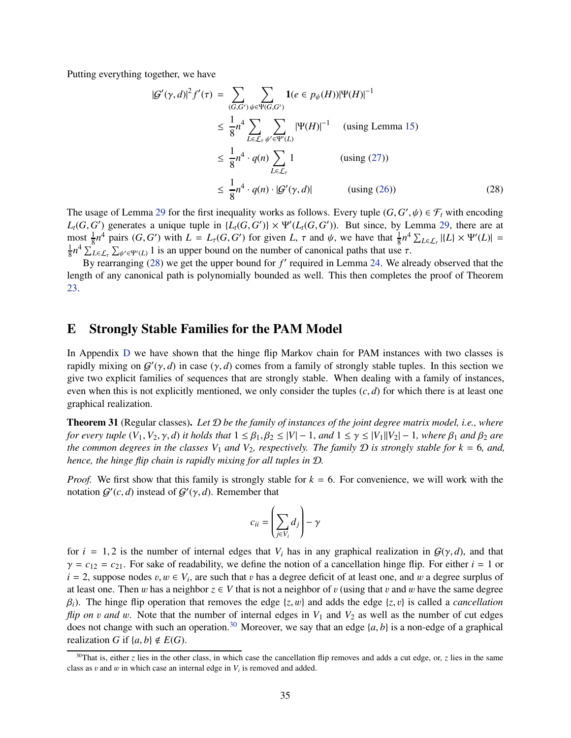Putting everything together, we have

<span id="page-36-2"></span>
$$
|G'(\gamma, d)|^2 f'(\tau) = \sum_{(G, G')}\sum_{\psi \in \Psi(G, G')} 1(e \in p_{\psi}(H))|\Psi(H)|^{-1}
$$
  
\n
$$
\leq \frac{1}{8}n^4 \sum_{L \in \mathcal{L}_{\tau}} \sum_{\psi' \in \Psi'(L)} |\Psi(H)|^{-1} \quad \text{(using Lemma 15)}
$$
  
\n
$$
\leq \frac{1}{8}n^4 \cdot q(n) \sum_{L \in \mathcal{L}_{\tau}} 1 \quad \text{(using (27))}
$$
  
\n
$$
\leq \frac{1}{8}n^4 \cdot q(n) \cdot |G'(\gamma, d)| \quad \text{(using (26))}
$$

The usage of Lemma [29](#page-32-2) for the first inequality works as follows. Every tuple  $(G, G', \psi) \in \mathcal{F}_t$  with encoding  $L_t(G, G')$  generates a unique tuple in  $\{L_t(G, G')\} \times \Psi'(L_t(G, G'))$ . But since, by Lemma [29,](#page-32-2) there are at  $\max_{1 \leq A} \frac{1}{8} n^4$  pairs  $(G, G')$  with  $L = L_\tau(G, G')$  for given  $L, \tau$  and  $\psi$ , we have that  $\frac{1}{8} n^4 \sum_{L \in \mathcal{L}_{\tau}} |\{L\} \times \Psi'(L)| =$ 1  $\frac{1}{8}n^4 \sum_{L \in \mathcal{L}_{\tau}} \sum_{\psi' \in \Psi'(L)} 1$  is an upper bound on the number of canonical paths that use  $\tau$ .

By rearranging [\(28\)](#page-36-2) we get the upper bound for f' required in Lemma [24.](#page-26-4) We already observed that the length of any canonical path is polynomially bounded as well. This then completes the proof of Theorem [23.](#page-26-0)

## <span id="page-36-0"></span>E Strongly Stable Families for the PAM Model

In Appendix [D](#page-24-0) we have shown that the hinge flip Markov chain for PAM instances with two classes is rapidly mixing on  $G'(\gamma, d)$  in case  $(\gamma, d)$  comes from a family of strongly stable tuples. In this section we give two explicit families of sequences that are strongly stable. When dealing with a family of instances, even when this is not explicitly mentioned, we only consider the tuples  $(c, d)$  for which there is at least one graphical realization.

<span id="page-36-1"></span>Theorem 31 (Regular classes). *Let* D *be the family of instances of the joint degree matrix model, i.e., where for every tuple*  $(V_1, V_2, \gamma, d)$  *it holds that*  $1 \leq \beta_1, \beta_2 \leq |V| - 1$ , *and*  $1 \leq \gamma \leq |V_1||V_2| - 1$ , *where*  $\beta_1$  *and*  $\beta_2$  *are the common degrees in the classes*  $V_1$  *and*  $V_2$ , *respectively. The family*  $D$  *is strongly stable for*  $k = 6$ *, and, hence, the hinge flip chain is rapidly mixing for all tuples in* D*.*

*Proof.* We first show that this family is strongly stable for  $k = 6$ . For convenience, we will work with the notation  $G'(c, d)$  instead of  $G'(\gamma, d)$ . Remember that

$$
c_{ii} = \left(\sum_{j \in V_i} d_j\right) - \gamma
$$

for  $i = 1, 2$  is the number of internal edges that  $V_i$  has in any graphical realization in  $\mathcal{G}(\gamma, d)$ , and that  $\gamma = c_{12} = c_{21}$ . For sake of readability, we define the notion of a cancellation hinge flip. For either  $i = 1$  or  $i = 2$ , suppose nodes  $v, w \in V_i$ , are such that v has a degree deficit of at least one, and w a degree surplus of at least one. Then w has a neighbor  $z \in V$  that is not a neighbor of v (using that v and w have the same degree β*i*). The hinge flip operation that removes the edge {*z*, w} and adds the edge {*z*, v} is called a *cancellation flip on v and w.* Note that the number of internal edges in  $V_1$  and  $V_2$  as well as the number of cut edges does not change with such an operation.<sup>[30](#page-36-3)</sup> Moreover, we say that an edge  $\{a, b\}$  is a non-edge of a graphical realization *G* if  $\{a, b\} \notin E(G)$ .

<span id="page-36-3"></span><sup>&</sup>lt;sup>30</sup>That is, either *z* lies in the other class, in which case the cancellation flip removes and adds a cut edge, or, *z* lies in the same class as  $v$  and  $w$  in which case an internal edge in  $V_i$  is removed and added.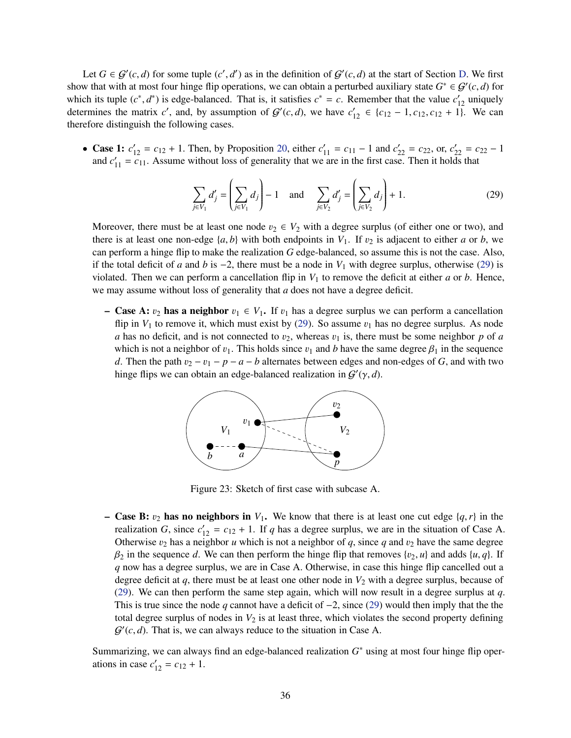Let  $G \in \mathcal{G}'(c,d)$  for some tuple  $(c',d')$  as in the definition of  $\mathcal{G}'(c,d)$  at the start of Section [D.](#page-24-0) We first show that with at most four hinge flip operations, we can obtain a perturbed auxiliary state  $G^* \in \mathcal{G}'(c,d)$  for which its tuple  $(c^*, d^*)$  is edge-balanced. That is, it satisfies  $c^* = c$ . Remember that the value  $c'_{12}$  uniquely determines the matrix *c'*, and, by assumption of  $G'(c,d)$ , we have  $c'_{12} \in \{c_{12} - 1, c_{12}, c_{12} + 1\}$ . We can therefore distinguish the following cases.

• Case 1:  $c'_{12} = c_{12} + 1$ . Then, by Proposition [20,](#page-24-3) either  $c'_{11} = c_{11} - 1$  and  $c'_{22} = c_{22}$ , or,  $c'_{22} = c_{22} - 1$ and  $c'_{11} = c_{11}$ . Assume without loss of generality that we are in the first case. Then it holds that

<span id="page-37-0"></span>
$$
\sum_{j \in V_1} d'_j = \left(\sum_{j \in V_1} d_j\right) - 1 \quad \text{and} \quad \sum_{j \in V_2} d'_j = \left(\sum_{j \in V_2} d_j\right) + 1. \tag{29}
$$

Moreover, there must be at least one node  $v_2 \in V_2$  with a degree surplus (of either one or two), and there is at least one non-edge  $\{a, b\}$  with both endpoints in  $V_1$ . If  $v_2$  is adjacent to either *a* or *b*, we can perform a hinge flip to make the realization *G* edge-balanced, so assume this is not the case. Also, if the total deficit of *a* and *b* is  $-2$ , there must be a node in  $V_1$  with degree surplus, otherwise [\(29\)](#page-37-0) is violated. Then we can perform a cancellation flip in  $V_1$  to remove the deficit at either *a* or *b*. Hence, we may assume without loss of generality that *a* does not have a degree deficit.

– **Case A:**  $v_2$  has a neighbor  $v_1 \in V_1$ . If  $v_1$  has a degree surplus we can perform a cancellation flip in  $V_1$  to remove it, which must exist by [\(29\)](#page-37-0). So assume  $v_1$  has no degree surplus. As node *a* has no deficit, and is not connected to  $v_2$ , whereas  $v_1$  is, there must be some neighbor *p* of *a* which is not a neighbor of  $v_1$ . This holds since  $v_1$  and *b* have the same degree  $\beta_1$  in the sequence *d*. Then the path  $v_2 - v_1 - p - a - b$  alternates between edges and non-edges of *G*, and with two hinge flips we can obtain an edge-balanced realization in  $G'(\gamma, d)$ .



Figure 23: Sketch of first case with subcase A.

– Case B:  $v_2$  has no neighbors in  $V_1$ . We know that there is at least one cut edge  $\{q, r\}$  in the realization *G*, since  $c'_{12} = c_{12} + 1$ . If *q* has a degree surplus, we are in the situation of Case A. Otherwise  $v_2$  has a neighbor *u* which is not a neighbor of *q*, since *q* and  $v_2$  have the same degree  $\beta_2$  in the sequence *d*. We can then perform the hinge flip that removes  $\{v_2, u\}$  and adds  $\{u, q\}$ . If *q* now has a degree surplus, we are in Case A. Otherwise, in case this hinge flip cancelled out a degree deficit at  $q$ , there must be at least one other node in  $V_2$  with a degree surplus, because of [\(29\)](#page-37-0). We can then perform the same step again, which will now result in a degree surplus at *q*. This is true since the node *q* cannot have a deficit of −2, since [\(29\)](#page-37-0) would then imply that the the total degree surplus of nodes in  $V_2$  is at least three, which violates the second property defining  $G'(c, d)$ . That is, we can always reduce to the situation in Case A.

Summarizing, we can always find an edge-balanced realization *G* ∗ using at most four hinge flip operations in case  $c'_{12} = c_{12} + 1$ .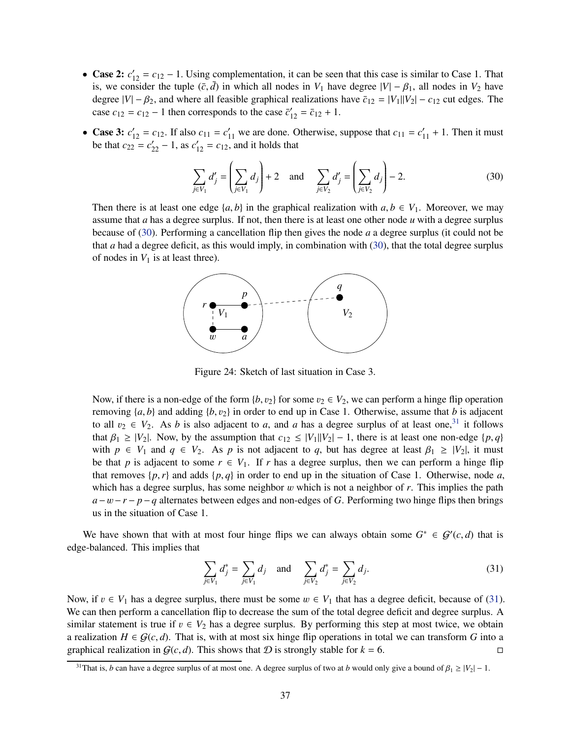- Case 2:  $c'_{12} = c_{12} 1$ . Using complementation, it can be seen that this case is similar to Case 1. That is, we consider the tuple  $(\bar{c}, \bar{d})$  in which all nodes in  $V_1$  have degree  $|V| - \beta_1$ , all nodes in  $V_2$  have degree  $|V| - \beta_2$ , and where all feasible graphical realizations have  $\bar{c}_{12} = |V_1||V_2| - c_{12}$  cut edges. The case  $c_{12} = c_{12} - 1$  then corresponds to the case  $\bar{c}'_{12} = \bar{c}_{12} + 1$ .
- Case 3:  $c'_{12} = c_{12}$ . If also  $c_{11} = c'_{11}$  we are done. Otherwise, suppose that  $c_{11} = c'_{11} + 1$ . Then it must be that  $c_{22} = c'_{22} - 1$ , as  $c'_{12} = c_{12}$ , and it holds that

<span id="page-38-0"></span>
$$
\sum_{j \in V_1} d'_j = \left(\sum_{j \in V_1} d_j\right) + 2 \quad \text{and} \quad \sum_{j \in V_2} d'_j = \left(\sum_{j \in V_2} d_j\right) - 2. \tag{30}
$$

Then there is at least one edge  $\{a, b\}$  in the graphical realization with  $a, b \in V_1$ . Moreover, we may assume that *a* has a degree surplus. If not, then there is at least one other node *u* with a degree surplus because of [\(30\)](#page-38-0). Performing a cancellation flip then gives the node *a* a degree surplus (it could not be that *a* had a degree deficit, as this would imply, in combination with [\(30\)](#page-38-0), that the total degree surplus of nodes in  $V_1$  is at least three).



Figure 24: Sketch of last situation in Case 3.

Now, if there is a non-edge of the form  $\{b, v_2\}$  for some  $v_2 \in V_2$ , we can perform a hinge flip operation removing  $\{a, b\}$  and adding  $\{b, v_2\}$  in order to end up in Case 1. Otherwise, assume that *b* is adjacent to all  $v_2 \in V_2$ . As *b* is also adjacent to *a*, and *a* has a degree surplus of at least one,<sup>[31](#page-38-1)</sup> it follows that  $\beta_1 \geq |V_2|$ . Now, by the assumption that  $c_{12} \leq |V_1||V_2| - 1$ , there is at least one non-edge  $\{p, q\}$ with  $p \in V_1$  and  $q \in V_2$ . As  $p$  is not adjacent to  $q$ , but has degree at least  $\beta_1 \geq |V_2|$ , it must be that *p* is adjacent to some  $r \in V_1$ . If *r* has a degree surplus, then we can perform a hinge flip that removes  $\{p, r\}$  and adds  $\{p, q\}$  in order to end up in the situation of Case 1. Otherwise, node *a*, which has a degree surplus, has some neighbor w which is not a neighbor of r. This implies the path  $a-w-r-p-q$  alternates between edges and non-edges of *G*. Performing two hinge flips then brings us in the situation of Case 1.

We have shown that with at most four hinge flips we can always obtain some  $G^* \in \mathcal{G}'(c,d)$  that is edge-balanced. This implies that

<span id="page-38-2"></span>
$$
\sum_{j \in V_1} d_j^* = \sum_{j \in V_1} d_j \quad \text{and} \quad \sum_{j \in V_2} d_j^* = \sum_{j \in V_2} d_j. \tag{31}
$$

Now, if  $v \in V_1$  has a degree surplus, there must be some  $w \in V_1$  that has a degree deficit, because of [\(31\)](#page-38-2). We can then perform a cancellation flip to decrease the sum of the total degree deficit and degree surplus. A similar statement is true if  $v \in V_2$  has a degree surplus. By performing this step at most twice, we obtain a realization *H* ∈  $G(c, d)$ . That is, with at most six hinge flip operations in total we can transform *G* into a graphical realization in  $G(c, d)$ . This shows that *D* is strongly stable for  $k = 6$ . graphical realization in  $G(c, d)$ . This shows that  $D$  is strongly stable for  $k = 6$ .

<span id="page-38-1"></span><sup>&</sup>lt;sup>31</sup>That is, *b* can have a degree surplus of at most one. A degree surplus of two at *b* would only give a bound of  $\beta_1 \ge |V_2| - 1$ .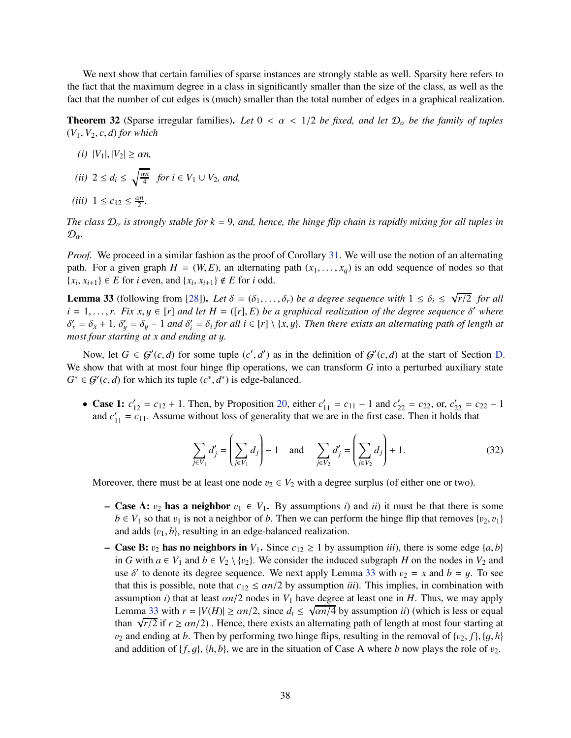We next show that certain families of sparse instances are strongly stable as well. Sparsity here refers to the fact that the maximum degree in a class in significantly smaller than the size of the class, as well as the fact that the number of cut edges is (much) smaller than the total number of edges in a graphical realization.

<span id="page-39-1"></span>**Theorem 32** (Sparse irregular families). Let  $0 < \alpha < 1/2$  be fixed, and let  $\mathcal{D}_{\alpha}$  be the family of tuples  $(V_1, V_2, c, d)$  *for which* 

- $(i)$   $|V_1|, |V_2| \ge \alpha n$ ,
- $(ii)$  2  $\leq d_i \leq \sqrt{\frac{\alpha n}{4}}$  $\frac{\pi}{4}$  *for i* ∈  $V_1$  ∪  $V_2$ *, and,*
- *(iii)*  $1 \le c_{12} \le \frac{\alpha n}{2}$  $\frac{\nu n}{2}$ .

*The class*  $\mathcal{D}_{\alpha}$  *is strongly stable for*  $k = 9$ *, and, hence, the hinge flip chain is rapidly mixing for all tuples in*  $\mathcal{D}_{\alpha}$ .

*Proof.* We proceed in a similar fashion as the proof of Corollary [31.](#page-36-1) We will use the notion of an alternating path. For a given graph  $H = (W, E)$ , an alternating path  $(x_1, \ldots, x_q)$  is an odd sequence of nodes so that {*x<sub>i</sub>*, *x<sub>i+1</sub>*} ∈ *E* for *i* even, and {*x<sub>i</sub>*, *x<sub>i+1</sub>*} ∉ *E* for *i* odd.

<span id="page-39-0"></span>**Lemma 33** (following from [\[28\]](#page-44-14)). Let  $\delta = (\delta_1, \ldots, \delta_r)$  be a degree sequence with  $1 \leq \delta_i \leq \sqrt{r/2}$  for all  $i = 1, \ldots, r$ . Fix  $x, y \in [r]$  *and let*  $H = ([r], E)$  *be a graphical realization of the degree sequence*  $\delta'$  *where*  $\delta'_x = \delta_x + 1$ ,  $\delta'_y = \delta_y - 1$  and  $\delta'_i = \delta_i$  for all  $i \in [r] \setminus \{x, y\}$ . Then there exists an alternating path of length at *most four starting at x and ending at* y*.*

Now, let  $G \in \mathcal{G}'(c,d)$  for some tuple  $(c',d')$  as in the definition of  $\mathcal{G}'(c,d)$  at the start of Section [D.](#page-24-0) We show that with at most four hinge flip operations, we can transform *G* into a perturbed auxiliary state  $G^* \in \mathcal{G}'(c,d)$  for which its tuple  $(c^*, d^*)$  is edge-balanced.

• Case 1:  $c'_{12} = c_{12} + 1$ . Then, by Proposition [20,](#page-24-3) either  $c'_{11} = c_{11} - 1$  and  $c'_{22} = c_{22}$ , or,  $c'_{22} = c_{22} - 1$ and  $c'_{11} = c_{11}$ . Assume without loss of generality that we are in the first case. Then it holds that

$$
\sum_{j \in V_1} d'_j = \left(\sum_{j \in V_1} d_j\right) - 1 \quad \text{and} \quad \sum_{j \in V_2} d'_j = \left(\sum_{j \in V_2} d_j\right) + 1. \tag{32}
$$

Moreover, there must be at least one node  $v_2 \in V_2$  with a degree surplus (of either one or two).

- Case A:  $v_2$  has a neighbor  $v_1 \in V_1$ . By assumptions *i*) and *ii*) it must be that there is some  $b \in V_1$  so that  $v_1$  is not a neighbor of *b*. Then we can perform the hinge flip that removes  $\{v_2, v_1\}$ and adds {v1, *b*}, resulting in an edge-balanced realization.
- Case B:  $v_2$  has no neighbors in  $V_1$ . Since  $c_{12} \ge 1$  by assumption *iii*), there is some edge  $\{a, b\}$ in *G* with *a* ∈ *V*<sub>1</sub> and *b* ∈ *V*<sub>2</sub> \ {*v*<sub>2</sub>}. We consider the induced subgraph *H* on the nodes in *V*<sub>2</sub> and use  $\delta'$  to denote its degree sequence. We next apply Lemma [33](#page-39-0) with  $v_2 = x$  and  $b = y$ . To see that this is possible, note that  $c_{12} \le \alpha n/2$  by assumption *iii*). This implies, in combination with assumption *i*) that at least  $\alpha n/2$  nodes in  $V_1$  have degree at least one in *H*. Thus, we may apply Lemma [33](#page-39-0) with  $r = |V(H)| \ge \alpha n/2$ , since  $d_i \le \sqrt{\alpha n/4}$  by assumption *ii*) (which is less or equal than  $\sqrt{r/2}$  if  $r \ge \alpha n/2$ ). Hence, there exists an alternating path of length at most four starting at  $v_2$  and ending at *b*. Then by performing two hinge flips, resulting in the removal of  $\{v_2, f\}$ ,  $\{g, h\}$ and addition of  $\{f, g\}$ ,  $\{h, b\}$ , we are in the situation of Case A where *b* now plays the role of  $v_2$ .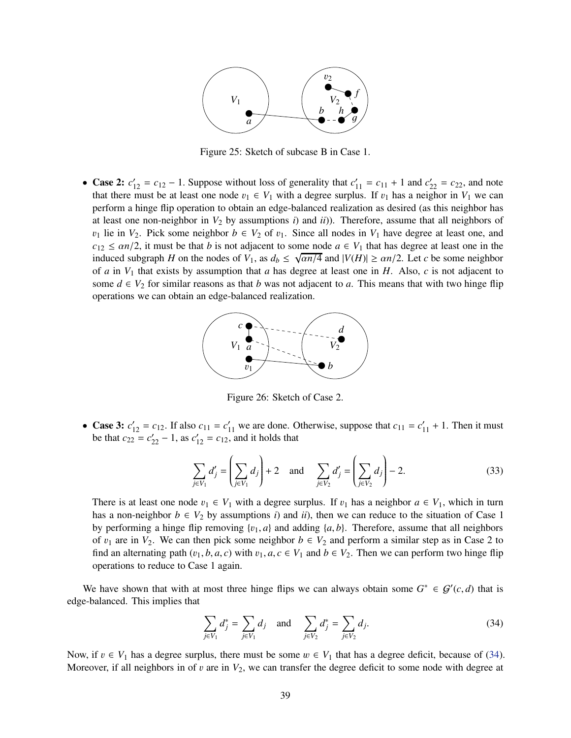

Figure 25: Sketch of subcase B in Case 1.

• Case 2:  $c'_{12} = c_{12} - 1$ . Suppose without loss of generality that  $c'_{11} = c_{11} + 1$  and  $c'_{22} = c_{22}$ , and note that there must be at least one node  $v_1 \in V_1$  with a degree surplus. If  $v_1$  has a neighor in  $V_1$  we can perform a hinge flip operation to obtain an edge-balanced realization as desired (as this neighbor has at least one non-neighbor in  $V_2$  by assumptions *i*) and *ii*)). Therefore, assume that all neighbors of  $v_1$  lie in  $V_2$ . Pick some neighbor  $b \in V_2$  of  $v_1$ . Since all nodes in  $V_1$  have degree at least one, and  $c_{12} \leq \alpha n/2$ , it must be that *b* is not adjacent to some node  $a \in V_1$  that has degree at least one in the induced subgraph *H* on the nodes of  $V_1$ , as  $d_b \le \sqrt{\frac{\alpha n}{4}}$  and  $|V(H)| \ge \frac{\alpha n}{2}$ . Let *c* be some neighbor of *a* in *V*<sup>1</sup> that exists by assumption that *a* has degree at least one in *H*. Also, *c* is not adjacent to some  $d \in V_2$  for similar reasons as that *b* was not adjacent to *a*. This means that with two hinge flip operations we can obtain an edge-balanced realization.



Figure 26: Sketch of Case 2.

• Case 3:  $c'_{12} = c_{12}$ . If also  $c_{11} = c'_{11}$  we are done. Otherwise, suppose that  $c_{11} = c'_{11} + 1$ . Then it must be that  $c_{22} = c'_{22} - 1$ , as  $c'_{12} = c_{12}$ , and it holds that

$$
\sum_{j \in V_1} d'_j = \left(\sum_{j \in V_1} d_j\right) + 2 \quad \text{and} \quad \sum_{j \in V_2} d'_j = \left(\sum_{j \in V_2} d_j\right) - 2. \tag{33}
$$

There is at least one node  $v_1 \in V_1$  with a degree surplus. If  $v_1$  has a neighbor  $a \in V_1$ , which in turn has a non-neighbor  $b \in V_2$  by assumptions *i*) and *ii*), then we can reduce to the situation of Case 1 by performing a hinge flip removing  $\{v_1, a\}$  and adding  $\{a, b\}$ . Therefore, assume that all neighbors of  $v_1$  are in  $V_2$ . We can then pick some neighbor  $b \in V_2$  and perform a similar step as in Case 2 to find an alternating path  $(v_1, b, a, c)$  with  $v_1, a, c \in V_1$  and  $b \in V_2$ . Then we can perform two hinge flip operations to reduce to Case 1 again.

We have shown that with at most three hinge flips we can always obtain some  $G^* \in \mathcal{G}'(c,d)$  that is edge-balanced. This implies that

<span id="page-40-0"></span>
$$
\sum_{j \in V_1} d_j^* = \sum_{j \in V_1} d_j \quad \text{and} \quad \sum_{j \in V_2} d_j^* = \sum_{j \in V_2} d_j. \tag{34}
$$

Now, if  $v \in V_1$  has a degree surplus, there must be some  $w \in V_1$  that has a degree deficit, because of [\(34\)](#page-40-0). Moreover, if all neighbors in of  $v$  are in  $V_2$ , we can transfer the degree deficit to some node with degree at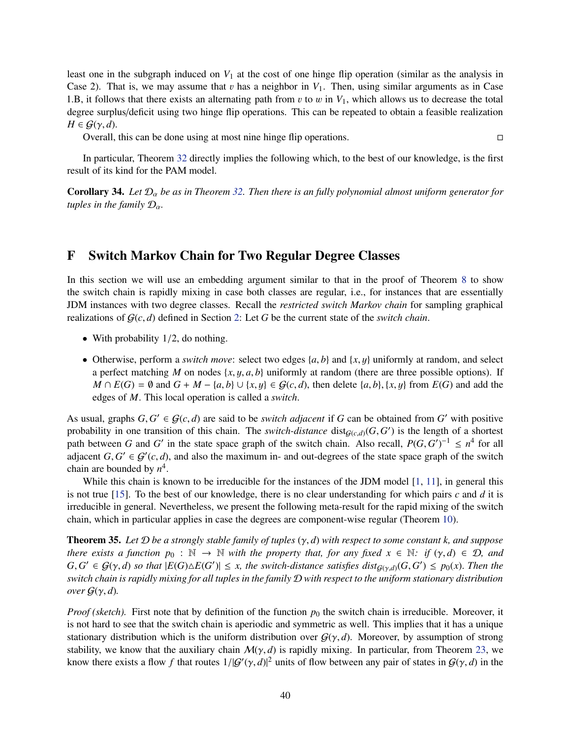least one in the subgraph induced on  $V_1$  at the cost of one hinge flip operation (similar as the analysis in Case 2). That is, we may assume that  $v$  has a neighbor in  $V_1$ . Then, using similar arguments as in Case 1.B, it follows that there exists an alternating path from  $v$  to  $w$  in  $V_1$ , which allows us to decrease the total degree surplus/deficit using two hinge flip operations. This can be repeated to obtain a feasible realization  $H \in \mathcal{G}(\gamma, d)$ .

Overall, this can be done using at most nine hinge flip operations.

In particular, Theorem [32](#page-39-1) directly implies the following which, to the best of our knowledge, is the first result of its kind for the PAM model.

<span id="page-41-2"></span>**Corollary 34.** Let  $\mathcal{D}_{\alpha}$  be as in Theorem [32.](#page-39-1) Then there is an fully polynomial almost uniform generator for *tuples in the family*  $\mathcal{D}_{\alpha}$ *.* 

# <span id="page-41-0"></span>F Switch Markov Chain for Two Regular Degree Classes

In this section we will use an embedding argument similar to that in the proof of Theorem [8](#page-8-5) to show the switch chain is rapidly mixing in case both classes are regular, i.e., for instances that are essentially JDM instances with two degree classes. Recall the *restricted switch Markov chain* for sampling graphical realizations of  $G(c, d)$  defined in Section [2:](#page-4-0) Let G be the current state of the *switch chain*.

- With probability  $1/2$ , do nothing.
- Otherwise, perform a *switch move*: select two edges  $\{a, b\}$  and  $\{x, y\}$  uniformly at random, and select a perfect matching *M* on nodes  $\{x, y, a, b\}$  uniformly at random (there are three possible options). If *M* ∩  $E(G) = ∅$  and  $G + M - \{a, b\} ∪ \{x, y\} ∈ G(c, d)$ , then delete  $\{a, b\}, \{x, y\}$  from  $E(G)$  and add the edges of *M*. This local operation is called a *switch*.

As usual, graphs  $G, G' \in \mathcal{G}(c,d)$  are said to be *switch adjacent* if *G* can be obtained from *G'* with positive probability in one transition of this chain. The *switch-distance* dist $_{G(c,d)}(G, G')$  is the length of a shortest path between *G* and *G*<sup> $\prime$ </sup> in the state space graph of the switch chain. Also recall,  $P(G, G')^{-1} \leq n^4$  for all adjacent  $G, G' \in \mathcal{G}'(c,d)$ , and also the maximum in- and out-degrees of the state space graph of the switch chain are bounded by  $n^4$ .

While this chain is known to be irreducible for the instances of the JDM model [\[1,](#page-42-4) [11\]](#page-43-5), in general this is not true [\[15\]](#page-43-8). To the best of our knowledge, there is no clear understanding for which pairs *c* and *d* it is irreducible in general. Nevertheless, we present the following meta-result for the rapid mixing of the switch chain, which in particular applies in case the degrees are component-wise regular (Theorem [10\)](#page-11-1).

<span id="page-41-1"></span>Theorem 35. *Let* D *be a strongly stable family of tuples* (γ, *d*) *with respect to some constant k, and suppose there exists a function*  $p_0 : \mathbb{N} \to \mathbb{N}$  *with the property that, for any fixed*  $x \in \mathbb{N}$ *: if*  $(\gamma, d) \in \mathcal{D}$ *, and*  $G, G' \in \mathcal{G}(\gamma, d)$  *so that*  $|E(G) \triangle E(G')| \leq x$ , the switch-distance satisfies dist $g_{(\gamma,d)}(G, G') \leq p_0(x)$ . Then the *switch chain is rapidly mixing for all tuples in the family* D *with respect to the uniform stationary distribution over*  $G(\gamma, d)$ *.* 

*Proof (sketch).* First note that by definition of the function  $p_0$  the switch chain is irreducible. Moreover, it is not hard to see that the switch chain is aperiodic and symmetric as well. This implies that it has a unique stationary distribution which is the uniform distribution over  $G(\gamma, d)$ . Moreover, by assumption of strong stability, we know that the auxiliary chain  $M(\gamma, d)$  is rapidly mixing. In particular, from Theorem [23,](#page-26-0) we know there exists a flow *f* that routes  $1/|G'(y, d)|^2$  units of flow between any pair of states in  $G(y, d)$  in the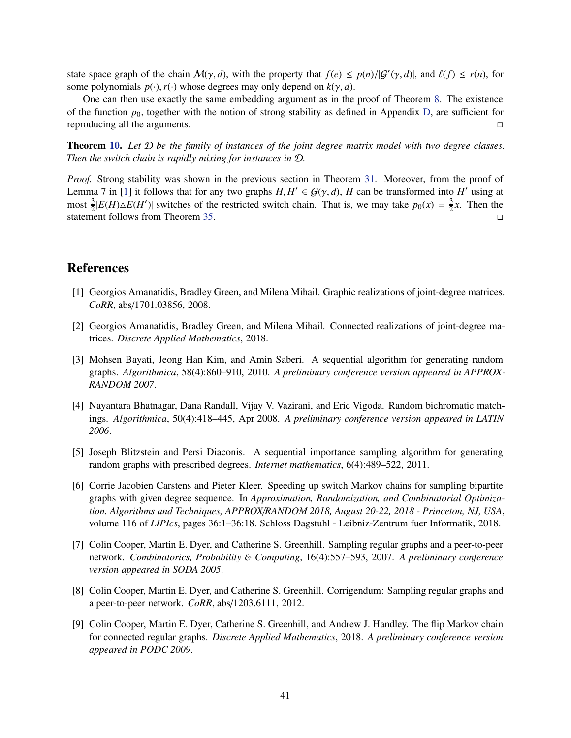state space graph of the chain  $M(\gamma, d)$ , with the property that  $f(e) \leq p(n)/|G'(\gamma, d)|$ , and  $\ell(f) \leq r(n)$ , for some polynomials  $p(\cdot), r(\cdot)$  whose degrees may only depend on  $k(\gamma, d)$ .

One can then use exactly the same embedding argument as in the proof of Theorem [8.](#page-8-5) The existence of the function  $p_0$ , together with the notion of strong stability as defined in Appendix [D,](#page-24-0) are sufficient for reproducing all the arguments.

Theorem [10.](#page-11-1) *Let* D *be the family of instances of the joint degree matrix model with two degree classes. Then the switch chain is rapidly mixing for instances in* D*.*

*Proof.* Strong stability was shown in the previous section in Theorem [31.](#page-36-1) Moreover, from the proof of Lemma 7 in [\[1\]](#page-42-4) it follows that for any two graphs  $H, H' \in \mathcal{G}(\gamma, d)$ , *H* can be transformed into *H*<sup>'</sup> using at most  $\frac{3}{2}|E(H)\triangle E(H')|$  switches of the restricted switch chain. That is, we may take  $p_0(x) = \frac{3}{2}$  $\frac{3}{2}x$ . Then the statement follows from Theorem [35.](#page-41-1)

# <span id="page-42-4"></span>References

- <span id="page-42-5"></span>[1] Georgios Amanatidis, Bradley Green, and Milena Mihail. Graphic realizations of joint-degree matrices. *CoRR*, abs/1701.03856, 2008.
- [2] Georgios Amanatidis, Bradley Green, and Milena Mihail. Connected realizations of joint-degree matrices. *Discrete Applied Mathematics*, 2018.
- <span id="page-42-8"></span>[3] Mohsen Bayati, Jeong Han Kim, and Amin Saberi. A sequential algorithm for generating random graphs. *Algorithmica*, 58(4):860–910, 2010. *A preliminary conference version appeared in APPROX-RANDOM 2007*.
- <span id="page-42-6"></span>[4] Nayantara Bhatnagar, Dana Randall, Vijay V. Vazirani, and Eric Vigoda. Random bichromatic matchings. *Algorithmica*, 50(4):418–445, Apr 2008. *A preliminary conference version appeared in LATIN 2006*.
- <span id="page-42-0"></span>[5] Joseph Blitzstein and Persi Diaconis. A sequential importance sampling algorithm for generating random graphs with prescribed degrees. *Internet mathematics*, 6(4):489–522, 2011.
- <span id="page-42-3"></span>[6] Corrie Jacobien Carstens and Pieter Kleer. Speeding up switch Markov chains for sampling bipartite graphs with given degree sequence. In *Approximation, Randomization, and Combinatorial Optimization. Algorithms and Techniques, APPROX*/*RANDOM 2018, August 20-22, 2018 - Princeton, NJ, USA*, volume 116 of *LIPIcs*, pages 36:1–36:18. Schloss Dagstuhl - Leibniz-Zentrum fuer Informatik, 2018.
- <span id="page-42-1"></span>[7] Colin Cooper, Martin E. Dyer, and Catherine S. Greenhill. Sampling regular graphs and a peer-to-peer network. *Combinatorics, Probability* & *Computing*, 16(4):557–593, 2007. *A preliminary conference version appeared in SODA 2005*.
- <span id="page-42-7"></span>[8] Colin Cooper, Martin E. Dyer, and Catherine S. Greenhill. Corrigendum: Sampling regular graphs and a peer-to-peer network. *CoRR*, abs/1203.6111, 2012.
- <span id="page-42-2"></span>[9] Colin Cooper, Martin E. Dyer, Catherine S. Greenhill, and Andrew J. Handley. The flip Markov chain for connected regular graphs. *Discrete Applied Mathematics*, 2018. *A preliminary conference version appeared in PODC 2009*.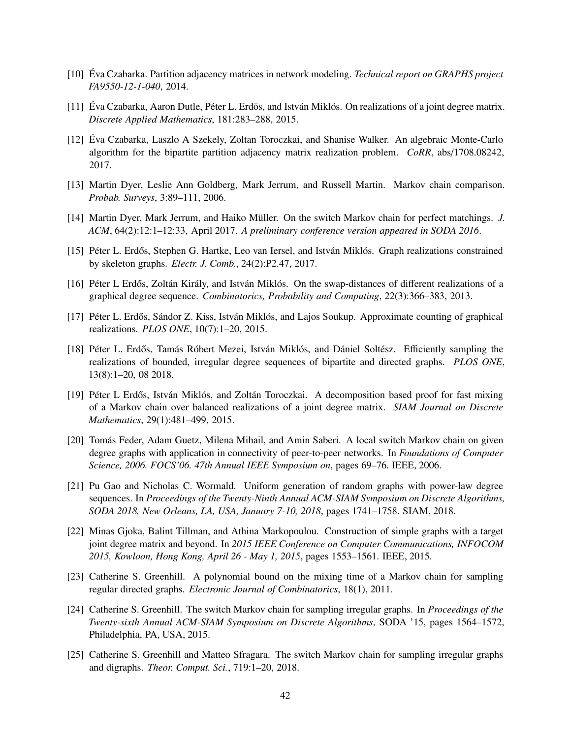- <span id="page-43-7"></span><span id="page-43-5"></span>[10] Éva Czabarka. Partition adjacency matrices in network modeling. *Technical report on GRAPHS project FA9550-12-1-040*, 2014.
- <span id="page-43-15"></span>[11] Éva Czabarka, Aaron Dutle, Péter L. Erdös, and István Miklós. On realizations of a joint degree matrix. *Discrete Applied Mathematics*, 181:283–288, 2015.
- [12] Éva Czabarka, Laszlo A Szekely, Zoltan Toroczkai, and Shanise Walker. An algebraic Monte-Carlo algorithm for the bipartite partition adjacency matrix realization problem. *CoRR*, abs/1708.08242, 2017.
- <span id="page-43-11"></span><span id="page-43-10"></span>[13] Martin Dyer, Leslie Ann Goldberg, Mark Jerrum, and Russell Martin. Markov chain comparison. *Probab. Surveys*, 3:89–111, 2006.
- <span id="page-43-8"></span>[14] Martin Dyer, Mark Jerrum, and Haiko Müller. On the switch Markov chain for perfect matchings. *J. ACM*, 64(2):12:1–12:33, April 2017. *A preliminary conference version appeared in SODA 2016*.
- <span id="page-43-12"></span>[15] Péter L. Erdős, Stephen G. Hartke, Leo van Iersel, and István Miklós. Graph realizations constrained by skeleton graphs. *Electr. J. Comb.*, 24(2):P2.47, 2017.
- <span id="page-43-14"></span>[16] Péter L Erdős, Zoltán Király, and István Miklós. On the swap-distances of different realizations of a graphical degree sequence. *Combinatorics, Probability and Computing*, 22(3):366–383, 2013.
- <span id="page-43-3"></span>[17] Péter L. Erdős, Sándor Z. Kiss, István Miklós, and Lajos Soukup. Approximate counting of graphical realizations. *PLOS ONE*, 10(7):1–20, 2015.
- [18] Péter L. Erdős, Tamás Róbert Mezei, István Miklós, and Dániel Soltész. Efficiently sampling the realizations of bounded, irregular degree sequences of bipartite and directed graphs. *PLOS ONE*, 13(8):1–20, 08 2018.
- <span id="page-43-2"></span>[19] Péter L Erdős, István Miklós, and Zoltán Toroczkai. A decomposition based proof for fast mixing of a Markov chain over balanced realizations of a joint degree matrix. *SIAM Journal on Discrete Mathematics*, 29(1):481–499, 2015.
- <span id="page-43-0"></span>[20] Tomás Feder, Adam Guetz, Milena Mihail, and Amin Saberi. A local switch Markov chain on given degree graphs with application in connectivity of peer-to-peer networks. In *Foundations of Computer Science, 2006. FOCS'06. 47th Annual IEEE Symposium on*, pages 69–76. IEEE, 2006.
- <span id="page-43-9"></span>[21] Pu Gao and Nicholas C. Wormald. Uniform generation of random graphs with power-law degree sequences. In *Proceedings of the Twenty-Ninth Annual ACM-SIAM Symposium on Discrete Algorithms, SODA 2018, New Orleans, LA, USA, January 7-10, 2018*, pages 1741–1758. SIAM, 2018.
- <span id="page-43-6"></span>[22] Minas Gjoka, Balint Tillman, and Athina Markopoulou. Construction of simple graphs with a target joint degree matrix and beyond. In *2015 IEEE Conference on Computer Communications, INFOCOM 2015, Kowloon, Hong Kong, April 26 - May 1, 2015*, pages 1553–1561. IEEE, 2015.
- <span id="page-43-13"></span>[23] Catherine S. Greenhill. A polynomial bound on the mixing time of a Markov chain for sampling regular directed graphs. *Electronic Journal of Combinatorics*, 18(1), 2011.
- <span id="page-43-4"></span>[24] Catherine S. Greenhill. The switch Markov chain for sampling irregular graphs. In *Proceedings of the Twenty-sixth Annual ACM-SIAM Symposium on Discrete Algorithms*, SODA '15, pages 1564–1572, Philadelphia, PA, USA, 2015.
- <span id="page-43-1"></span>[25] Catherine S. Greenhill and Matteo Sfragara. The switch Markov chain for sampling irregular graphs and digraphs. *Theor. Comput. Sci.*, 719:1–20, 2018.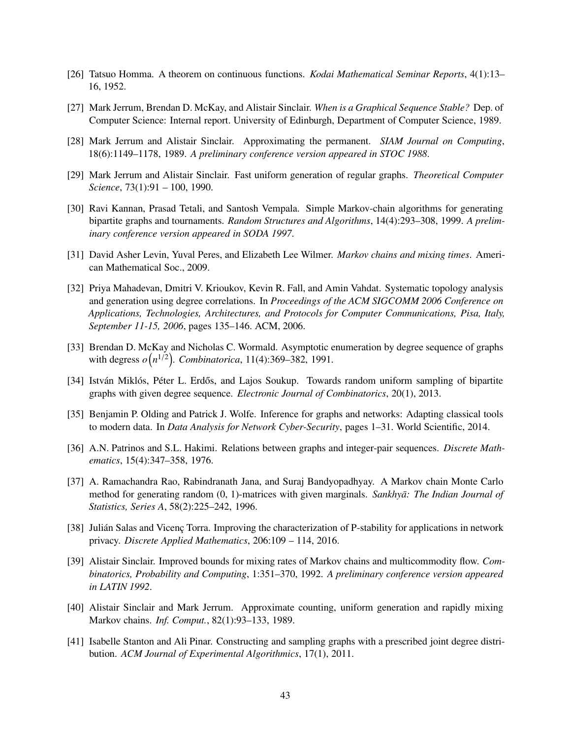- <span id="page-44-9"></span><span id="page-44-8"></span>[26] Tatsuo Homma. A theorem on continuous functions. *Kodai Mathematical Seminar Reports*, 4(1):13– 16, 1952.
- <span id="page-44-14"></span>[27] Mark Jerrum, Brendan D. McKay, and Alistair Sinclair. *When is a Graphical Sequence Stable?* Dep. of Computer Science: Internal report. University of Edinburgh, Department of Computer Science, 1989.
- <span id="page-44-2"></span>[28] Mark Jerrum and Alistair Sinclair. Approximating the permanent. *SIAM Journal on Computing*, 18(6):1149–1178, 1989. *A preliminary conference version appeared in STOC 1988*.
- <span id="page-44-3"></span>[29] Mark Jerrum and Alistair Sinclair. Fast uniform generation of regular graphs. *Theoretical Computer Science*, 73(1):91 – 100, 1990.
- [30] Ravi Kannan, Prasad Tetali, and Santosh Vempala. Simple Markov-chain algorithms for generating bipartite graphs and tournaments. *Random Structures and Algorithms*, 14(4):293–308, 1999. *A preliminary conference version appeared in SODA 1997*.
- <span id="page-44-12"></span><span id="page-44-5"></span>[31] David Asher Levin, Yuval Peres, and Elizabeth Lee Wilmer. *Markov chains and mixing times*. American Mathematical Soc., 2009.
- [32] Priya Mahadevan, Dmitri V. Krioukov, Kevin R. Fall, and Amin Vahdat. Systematic topology analysis and generation using degree correlations. In *Proceedings of the ACM SIGCOMM 2006 Conference on Applications, Technologies, Architectures, and Protocols for Computer Communications, Pisa, Italy, September 11-15, 2006*, pages 135–146. ACM, 2006.
- <span id="page-44-15"></span>[33] Brendan D. McKay and Nicholas C. Wormald. Asymptotic enumeration by degree sequence of graphs with degress  $o(n^{1/2})$ . *Combinatorica*, 11(4):369–382, 1991.
- <span id="page-44-4"></span><span id="page-44-0"></span>[34] István Miklós, Péter L. Erdős, and Lajos Soukup. Towards random uniform sampling of bipartite graphs with given degree sequence. *Electronic Journal of Combinatorics*, 20(1), 2013.
- <span id="page-44-11"></span>[35] Benjamin P. Olding and Patrick J. Wolfe. Inference for graphs and networks: Adapting classical tools to modern data. In *Data Analysis for Network Cyber-Security*, pages 1–31. World Scientific, 2014.
- <span id="page-44-1"></span>[36] A.N. Patrinos and S.L. Hakimi. Relations between graphs and integer-pair sequences. *Discrete Mathematics*, 15(4):347–358, 1976.
- [37] A. Ramachandra Rao, Rabindranath Jana, and Suraj Bandyopadhyay. A Markov chain Monte Carlo method for generating random (0, 1)-matrices with given marginals. *Sankhyā: The Indian Journal of Statistics, Series A*, 58(2):225–242, 1996.
- <span id="page-44-13"></span>[38] Julián Salas and Vicenc Torra. Improving the characterization of P-stability for applications in network privacy. *Discrete Applied Mathematics*, 206:109 – 114, 2016.
- <span id="page-44-7"></span>[39] Alistair Sinclair. Improved bounds for mixing rates of Markov chains and multicommodity flow. *Combinatorics, Probability and Computing*, 1:351–370, 1992. *A preliminary conference version appeared in LATIN 1992*.
- <span id="page-44-10"></span>[40] Alistair Sinclair and Mark Jerrum. Approximate counting, uniform generation and rapidly mixing Markov chains. *Inf. Comput.*, 82(1):93–133, 1989.
- <span id="page-44-6"></span>[41] Isabelle Stanton and Ali Pinar. Constructing and sampling graphs with a prescribed joint degree distribution. *ACM Journal of Experimental Algorithmics*, 17(1), 2011.